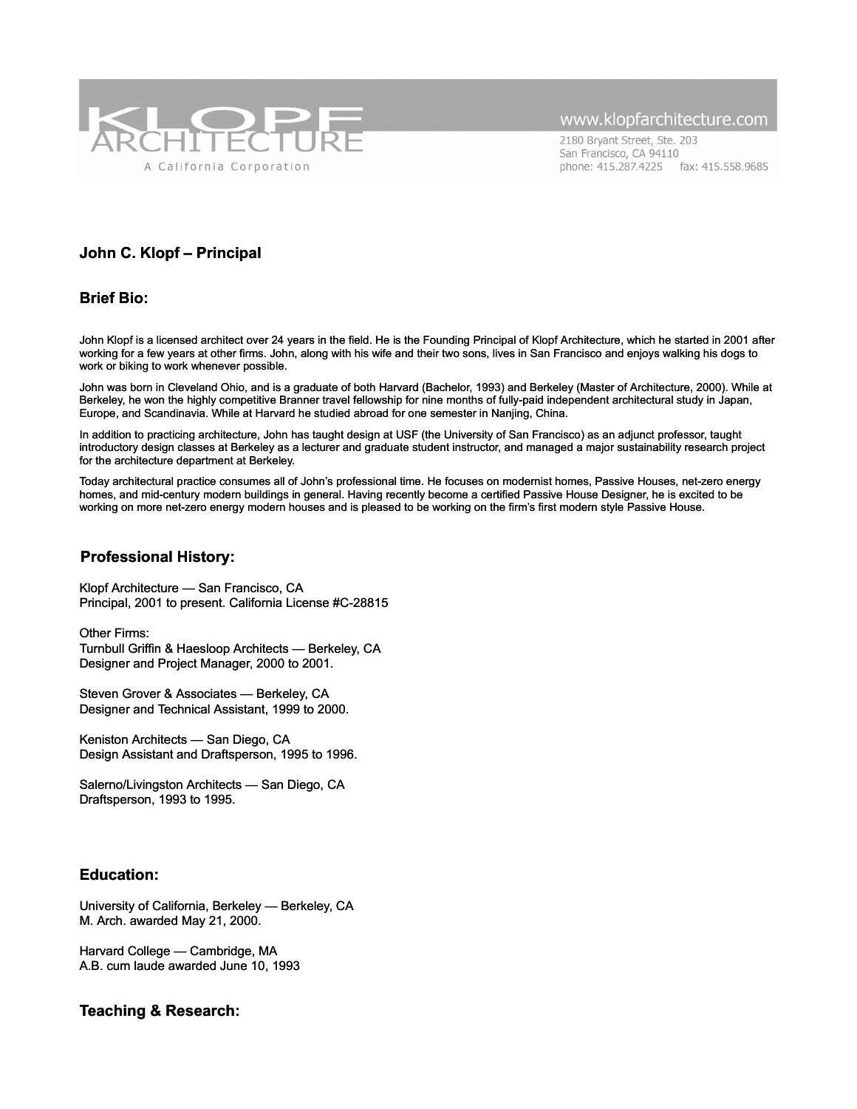

2180 Bryant Street, Ste. 203 San Francisco, CA 94110 phone: 415.287.4225 fax: 415.558.9685

### **John C. Klopf – Principal**

### **Brief Bio:**

John Klopf is a licensed architect over 24 years in the field. He is the Founding Principal of Klopf Architecture, which he started in 2001 after working for a few years at other firms. John, along with his wife and their two sons, lives in San Francisco and enjoys walking his dogs to work or biking to work whenever possible.

John was born in Cleveland Ohio, and is a graduate of both Harvard (Bachelor, 1993) and Berkeley (Master of Architecture, 2000). While at Berkeley, he won the highly competitive Branner travel fellowship for nine months of fully-paid independent architectural study in Japan, Europe, and Scandinavia. While at Harvard he studied abroad for one semester in Nanjing, China.

In addition to practicing architecture, John has taught design at USF (the University of San Francisco) as an adjunct professor, taught introductory design classes at Berkeley as a lecturer and graduate student instructor, and managed a major sustainability research project for the architecture department at Berkeley.

Today architectural practice consumes all of John's professional time. He focuses on modernist homes, Passive Houses, net-zero energy homes, and mid-century modern buildings in general. Having recently become a certified Passive House Designer, he is excited to be working on more net-zero energy modern houses and is pleased to be working on the firm's first modern style Passive House.

#### **Professional History:**

Klopf Architecture — San Francisco, CA Principal, 2001 to present. California License #C-28815

Other Firms: Turnbull Griffin & Haesloop Architects — Berkeley, CA Designer and Project Manager, 2000 to 2001.

Steven Grover & Associates — Berkeley, CA Designer and Technical Assistant, 1999 to 2000.

Keniston Architects — San Diego, CA Design Assistant and Draftsperson, 1995 to 1996.

Salerno/Livingston Architects — San Diego, CA Draftsperson, 1993 to 1995.

### **Education:**

University of California, Berkeley — Berkeley, CA M. Arch. awarded May 21, 2000.

Harvard College — Cambridge, MA A.B. cum laude awarded June 10, 1993

### **Teaching & Research:**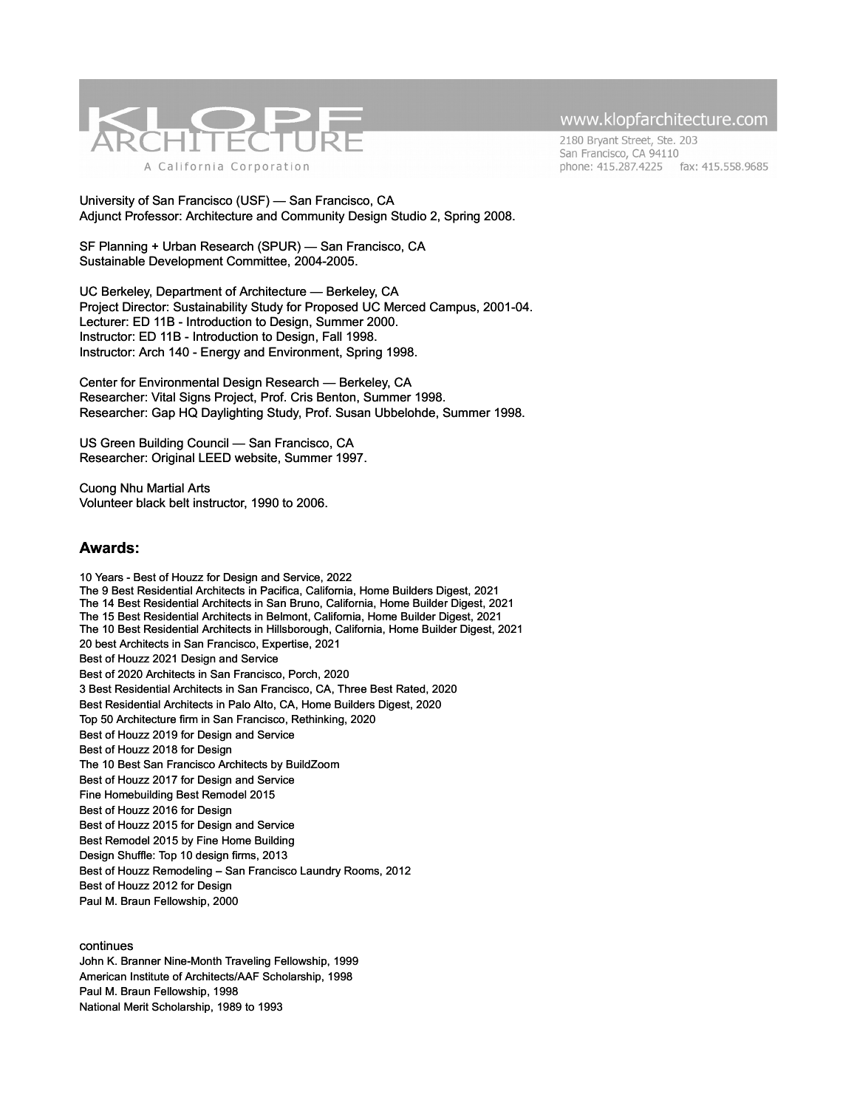

2180 Bryant Street, Ste. 203 San Francisco, CA 94110 phone: 415.287.4225 fax: 415.558.9685

University of San Francisco (USF) — San Francisco, CA Adjunct Professor: Architecture and Community Design Studio 2, Spring 2008.

SF Planning + Urban Research (SPUR) — San Francisco, CA Sustainable Development Committee, 2004-2005.

UC Berkeley, Department of Architecture — Berkeley, CA Project Director: Sustainability Study for Proposed UC Merced Campus, 2001-04. Lecturer: ED 11B - Introduction to Design, Summer 2000. Instructor: ED 11B - Introduction to Design, Fall 1998. Instructor: Arch 140 - Energy and Environment, Spring 1998.

Center for Environmental Design Research — Berkeley, CA Researcher: Vital Signs Project, Prof. Cris Benton, Summer 1998. Researcher: Gap HQ Daylighting Study, Prof. Susan Ubbelohde, Summer 1998.

US Green Building Council — San Francisco, CA Researcher: Original LEED website, Summer 1997.

Cuong Nhu Martial Arts Volunteer black belt instructor, 1990 to 2006.

#### **Awards:**

10 Years - Best of Houzz for Design and Service, 2022 The 9 Best Residential Architects in Pacifica, California, Home Builders Digest, 2021 The 14 Best Residential Architects in San Bruno, California, Home Builder Digest, 2021 The 15 Best Residential Architects in Belmont, California, Home Builder Digest, 2021 The 10 Best Residential Architects in Hillsborough, California, Home Builder Digest, 2021 20 best Architects in San Francisco, Expertise, 2021 Best of Houzz 2021 Design and Service Best of 2020 Architects in San Francisco, Porch, 2020 3 Best Residential Architects in San Francisco, CA, Three Best Rated, 2020 Best Residential Architects in Palo Alto, CA, Home Builders Digest, 2020 Top 50 Architecture firm in San Francisco, Rethinking, 2020 Best of Houzz 2019 for Design and Service Best of Houzz 2018 for Design [The 10 Best San Francisco Architects by BuildZoom](http://www.klopfarchitecture.com/klopf-architecture-listed-as-the-10-best-san-francisco-architects-by-buildzoom/) Best of Houzz 2017 for Design and Service Fine Homebuilding Best Remodel 2015 Best of Houzz 2016 for Design Best of Houzz 2015 for Design and Service Best Remodel 2015 by Fine Home Building Design Shuffle: Top 10 design firms, 2013 Best of Houzz Remodeling – San Francisco Laundry Rooms, 2012 Best of Houzz 2012 for Design Paul M. Braun Fellowship, 2000

#### continues

John K. Branner Nine-Month Traveling Fellowship, 1999 American Institute of Architects/AAF Scholarship, 1998 Paul M. Braun Fellowship, 1998 National Merit Scholarship, 1989 to 1993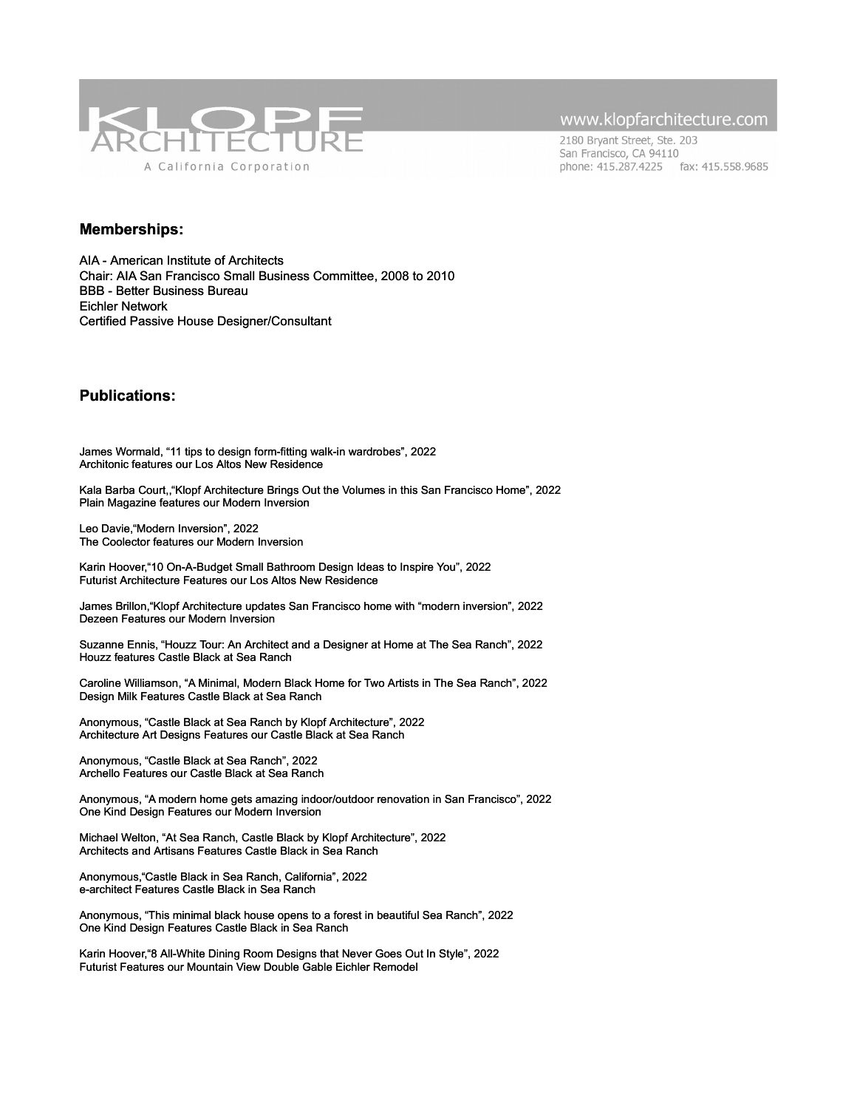

2180 Bryant Street, Ste. 203 San Francisco, CA 94110 phone: 415.287.4225 fax: 415.558.9685

#### **Memberships:**

AIA - American Institute of Architects Chair: AIA San Francisco Small Business Committee, 2008 to 2010 BBB - Better Business Bureau Eichler Network Certified Passive House Designer/Consultant

### **Publications:**

James Wormald, "11 tips to design form-fitting walk-in wardrobes", 2022 [Architonic features our Los Altos New Residence](https://www.architonic.com/en/story/james-wormald-11-tips-to-design-form-fitting-walk-in-wardrobes/20252477)

Kala Barba Court,,"Klopf Architecture Brings Out the Volumes in this San Francisco Home", 2022 [Plain Magazine features our Modern Inversion](https://plainmagazine.com/klopf-architecture-modern-inversion-san-francisco/)

Leo Davie,"Modern Inversion", 2022 [The Coolector features our Modern Inversion](https://www.thecoolector.com/modern-inversion-house/)

Karin Hoover,"10 On-A-Budget Small Bathroom Design Ideas to Inspire You", 2022 [Futurist Architecture Features our Los Altos New Residence](https://www.futuristarchitecture.com/100026-10-on-a-budget-small-bathroom-design-ideas-to-inspire-you.html)

James Brillon,"Klopf Architecture updates San Francisco home with "modern inversion", 2022 [Dezeen Features our Modern Inversion](https://www.dezeen.com/2022/03/13/klopf-architecture-modern-inversion-home-renovation-san-francisco/)

Suzanne Ennis, "Houzz Tour: An Architect and a Designer at Home at The Sea Ranch", 2022 Houzz [features Castle Black at Sea Ranch](https://www.houzz.com/magazine/houzz-tour-an-architect-and-a-designer-at-home-at-the-sea-ranch-stsetivw-vs~155630206)

Caroline Williamson, "A Minimal, Modern Black Home for Two Artists in The Sea Ranch", 2022 [Design Milk Features Castle Black at Sea Ranch](https://design-milk.com/a-minimal-modern-black-home-for-two-artists-in-the-sea-ranch/)

Anonymous, "Castle Black at Sea Ranch by Klopf Architecture", 2022 [Architecture Art Designs Features our Castle Black at Sea Ranch](https://www.architectureartdesigns.com/castle-black-at-sea-ranch-by-klopf-architecture/)

Anonymous, "Castle Black at Sea Ranch", 2022 [Archello Features our Castle Black at Sea Ranch](https://archello.com/project/castle-black-at-sea-ranch-2)

Anonymous, "A modern home gets amazing indoor/outdoor renovation in San Francisco", 2022 [One Kind Design Features our Modern Inversion](https://onekindesign.com/2022/02/20/san-francisco-modern-home/)

Michael Welton, "At Sea Ranch, Castle Black by Klopf Architecture", 2022 [Architects and Artisans Features Castle Black in Sea Ranch](https://architectsandartisans.com/at-sea-ranch-castle-black-by-klopf-architecture/)

Anonymous,"Castle Black in Sea Ranch, California", 2022 [e-architect Features Castle Black in Sea Ranch](https://www.e-architect.com/california/castle-black-sea-ranch-california)

Anonymous, "This minimal black house opens to a forest in beautiful Sea Ranch", 2022 [One Kind Design Features Castle Black in Sea Ranch](https://onekindesign.com/2022/02/02/minimal-black-house-tour/?fbclid=IwAR2-cboJ7wkX7nDP1tK0FyFy_U8ZisZPJ3eE8RQaQ8rNaY5J_Qr72HA7kxM)

Karin Hoover,"8 All-White Dining Room Designs that Never Goes Out In Style", 2022 [Futurist Features our Mountain View Double Gable Eichler Remodel](https://www.futuristarchitecture.com/98797-8-all-white-dining-room-designs-that-never-goes-out-in-style.html)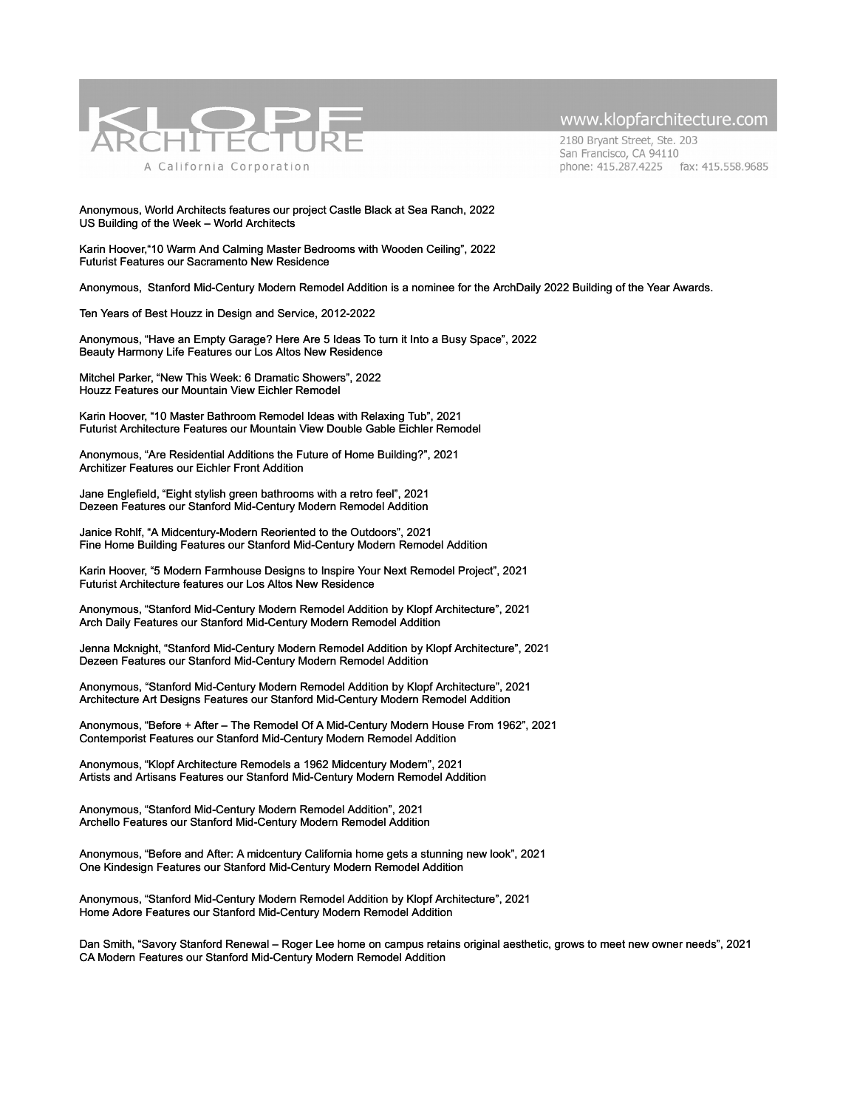

2180 Bryant Street, Ste. 203 San Francisco, CA 94110 phone: 415.287.4225 fax: 415.558.9685

#### Anonymous, World Architects features our project Castle Black at Sea Ranch, 2022 US Building of the Week – World Architects

Karin Hoover,"10 Warm And Calming Master Bedrooms with Wooden Ceiling", 2022 [Futurist Features our Sacramento New Residence](https://www.futuristarchitecture.com/98801-10-warm-and-calming-master-bedrooms-with-wooden-ceiling.html)

Anonymous, Stanford Mid-Century Modern Remodel Addition is a nominee for the ArchDaily 2022 Building of the Year Awards.

Ten Years of Best Houzz in Design and Service, 2012-2022

Anonymous, "Have an Empty Garage? Here Are 5 Ideas To turn it Into a Busy Space", 2022 [Beauty Harmony Life Features our Los Altos New Residence](https://beautyharmonylife.com/have-an-empty-garage-here-are-5-ideas-to-turn-it-into-a-busy-space/)

Mitchel Parker, "New This Week: 6 Dramatic Showers", 2022 [Houzz Features our Mountain View Eichler Remodel](https://www.houzz.com/magazine/new-this-week-6-dramatic-showers-stsetivw-vs~155654935)

Karin Hoover, "10 Master Bathroom Remodel Ideas with Relaxing Tub", 2021 Futurist Architecture Features our Mountain View Double Gable Eichler Remodel

Anonymous, "Are Residential Additions the Future of Home Building?", 2021 [Architizer Features our Eichler Front Addition](https://architizer.com/blog/inspiration/industry/the-future-of-home-building-residential-additions/)

Jane Englefield, "Eight stylish green bathrooms with a retro feel", 2021 [Dezeen Features our Stanford Mid-Century Modern Remodel Addition](https://www.dezeen.com/2021/11/28/green-bathrooms-retro-lookbook/)

Janice Rohlf, "A Midcentury-Modern Reoriented to the Outdoors", 2021 [Fine Home Building Features our Stanford Mid-Century Modern Remodel Addition](https://www.finehomebuilding.com/2021/11/22/a-midcentury-modern-reoriented-to-the-outdoors)

Karin Hoover, "5 Modern Farmhouse Designs to Inspire Your Next Remodel Project", 2021 [Futurist Architecture features our Los Altos New Residence](https://www.futuristarchitecture.com/97167-5-modern-farmhouse-designs-to-inspire-your-next-remodel-project.html)

Anonymous, "Stanford Mid-Century Modern Remodel Addition by Klopf Architecture", 2021 [Arch Daily Features our Stanford Mid-Century Modern Remodel Addition](https://www.archdaily.com/971427/stanford-mid-century-modern-remodel-addition-klopf-architecture?utm_source=lead_architect&utm_medium=email&utm_campaign=just-published)

Jenna Mcknight, "Stanford Mid-Century Modern Remodel Addition by Klopf Architecture", 2021 [Dezeen Features our Stanford Mid-Century Modern Remodel Addition](https://www.dezeen.com/2021/10/06/klopf-architecture-mid-century-home-renovation-stanford-university/)

Anonymous, "Stanford Mid-Century Modern Remodel Addition by Klopf Architecture", 2021 [Architecture Art Designs Features our Stanford Mid-Century Modern Remodel Addition](https://www.architectureartdesigns.com/stanford-mid-century-modern-remodel-addition-by-klopf-architecture-in-california/)

Anonymous, "Before + After – The Remodel Of A Mid-Century Modern House From 1962", 2021 [Contemporist Features our Stanford Mid-Century Modern Remodel Addition](https://www.contemporist.com/remodel-of-a-mid-century-modern-house-from-1962/)

Anonymous, "Klopf Architecture Remodels a 1962 Midcentury Modern", 2021 [Artists and Artisans Features our Stanford Mid-Century Modern Remodel Addition](https://architectsandartisans.com/klopf-architecture-remodels-a-1962-midcentury-modern/)

Anonymous, "Stanford Mid-Century Modern Remodel Addition", 2021 [Archello Features our Stanford Mid-Century Modern Remodel Addition](https://archello.com/project/stanford-mid-century-modern-remodel-addition)

Anonymous, "Before and After: A midcentury California home gets a stunning new look", 2021 [One Kindesign Features our Stanford Mid-Century Modern Remodel Addition](https://onekindesign.com/2021/08/20/midcentury-california-home/)

Anonymous, "Stanford Mid-Century Modern Remodel Addition by Klopf Architecture", 2021 [Home Adore Features our Stanford Mid-Century Modern Remodel Addition](https://www.eichlernetwork.com/article/savory-stanford-renewal)

Dan Smith, "Savory Stanford Renewal – Roger Lee home on campus retains original aesthetic, grows to meet new owner needs", 2021 [CA Modern Features our Stanford Mid-Century Modern Remodel Addition](https://www.eichlernetwork.com/article/savory-stanford-renewal)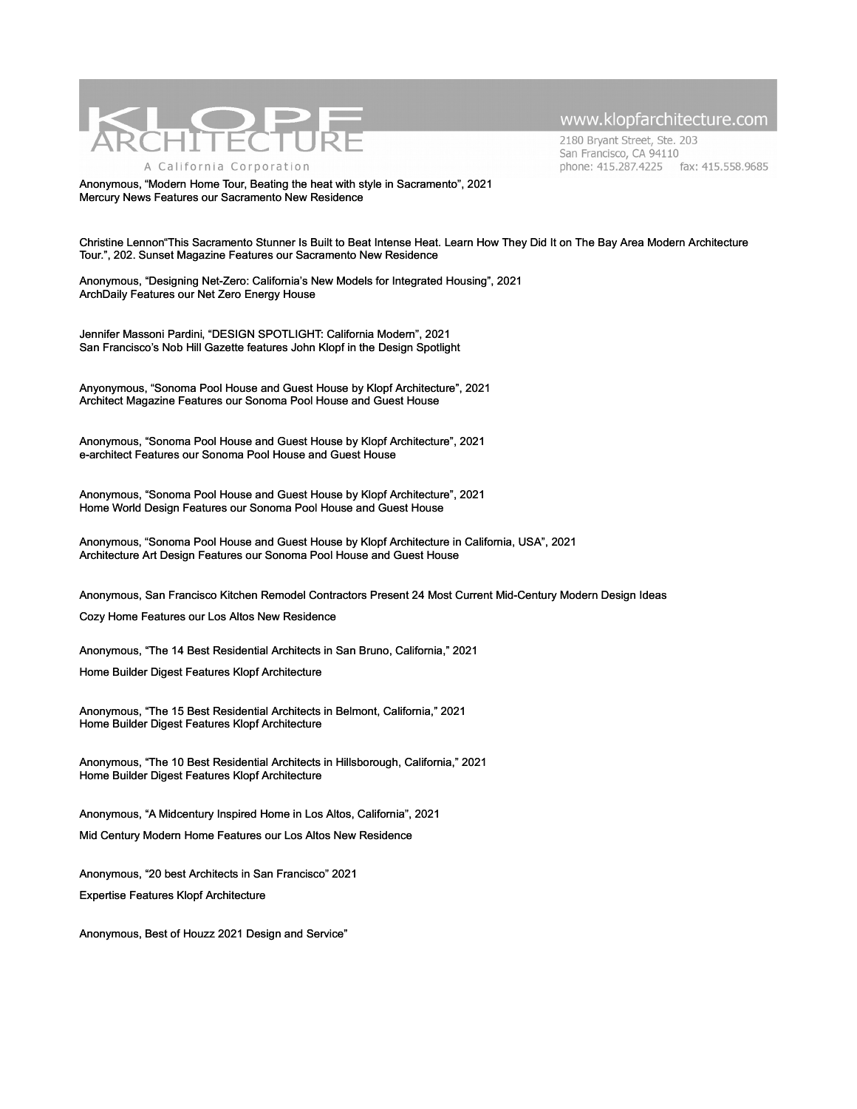

2180 Bryant Street, Ste. 203 San Francisco, CA 94110 phone: 415.287.4225 fax: 415.558.9685

Anonymous, "Modern Home Tour, Beating the heat with style in Sacramento", 2021 [Mercury News Features our Sacramento New Residence](https://l.facebook.com/l.php?u=https%3A%2F%2Fwww.mercurynews.com%2F2021%2F06%2F21%2Fhome-tours-5-klopf-architecture-sacramento%2F%3Ffbclid%3DIwAR0xXvHWkx_1h8q2vhh5qlyhAYRRlkwuStaOfR-B49Ob5zcNoTWpPIMZhB4&h=AT2FTuRizBHxkilqXfAvwDSxGiWanClGV6wUIWJIvtW2OzFGZsFKdX3tjyz1Ti8RwLigvTOTbCjVTUP4Hel8G7FXcCwPXevYnuuQ-NV4B7386RZU2cUs9Og9FChvLG7IGdNGTzt4OQ&__tn__=H-R&c%5B0%5D=AT3u1U30axp-hhtY56y5uGOurogAUe4wjdH0lFz1tgGwbUU8CKwxOF7UFX-G0ggAXrJTOKY0N0WB9CIO0LeYJre2ZGhH8e41-SbWGT1DfVek7jA08kR2Uwhdo3g38jIPPXKyMylBrUX7w9LyILmUv3CEAX6_gqOEh-DhMFI8nbCw_llTlkNpDhZZSGApkE8uDYsRtZQ)

Christine Lennon"This Sacramento Stunner Is Built to Beat Intense Heat. Learn How They Did It on The Bay Area Modern Architecture Tour.", 202. Sunset Magazine Features our Sacramento New Residence

Anonymous, "Designing Net-Zero: California's New Models for Integrated Housing", 2021 ArchDaily Features our Net Zero Energy House

Jennifer Massoni Pardini, "DESIGN SPOTLIGHT: California Modern", 2021 San Francisco's Nob Hill Gazette features John Klopf in the Design Spotlight

Anyonymous, "Sonoma Pool House and Guest House by Klopf Architecture", 2021 Architect Magazine Features our Sonoma Pool House and Guest House

Anonymous, "Sonoma Pool House and Guest House by Klopf Architecture", 2021 e-architect Features our Sonoma Pool House and Guest House

Anonymous, "Sonoma Pool House and Guest House by Klopf Architecture", 2021 Home World Design Features our Sonoma Pool House and Guest House

Anonymous, "Sonoma Pool House and Guest House by Klopf Architecture in California, USA", 2021 Architecture Art Design Features our Sonoma Pool House and Guest House

Anonymous, San Francisco Kitchen Remodel Contractors Present 24 Most Current Mid-Century Modern Design Ideas

Cozy Home Features our Los Altos New Residence

Anonymous, "The 14 Best Residential Architects in San Bruno, California," 2021

Home Builder Digest Features Klopf Architecture

Anonymous, "The 15 Best Residential Architects in Belmont, California," 2021 Home Builder Digest Features Klopf Architecture

Anonymous, "The 10 Best Residential Architects in Hillsborough, California," 2021 Home Builder Digest Features Klopf Architecture

Anonymous, "A Midcentury Inspired Home in Los Altos, California", 2021

Mid Century Modern Home Features our Los Altos New Residence

Anonymous, "20 best Architects in San Francisco" 2021 Expertise Features Klopf Architecture

Anonymous, Best of Houzz 2021 Design and Service"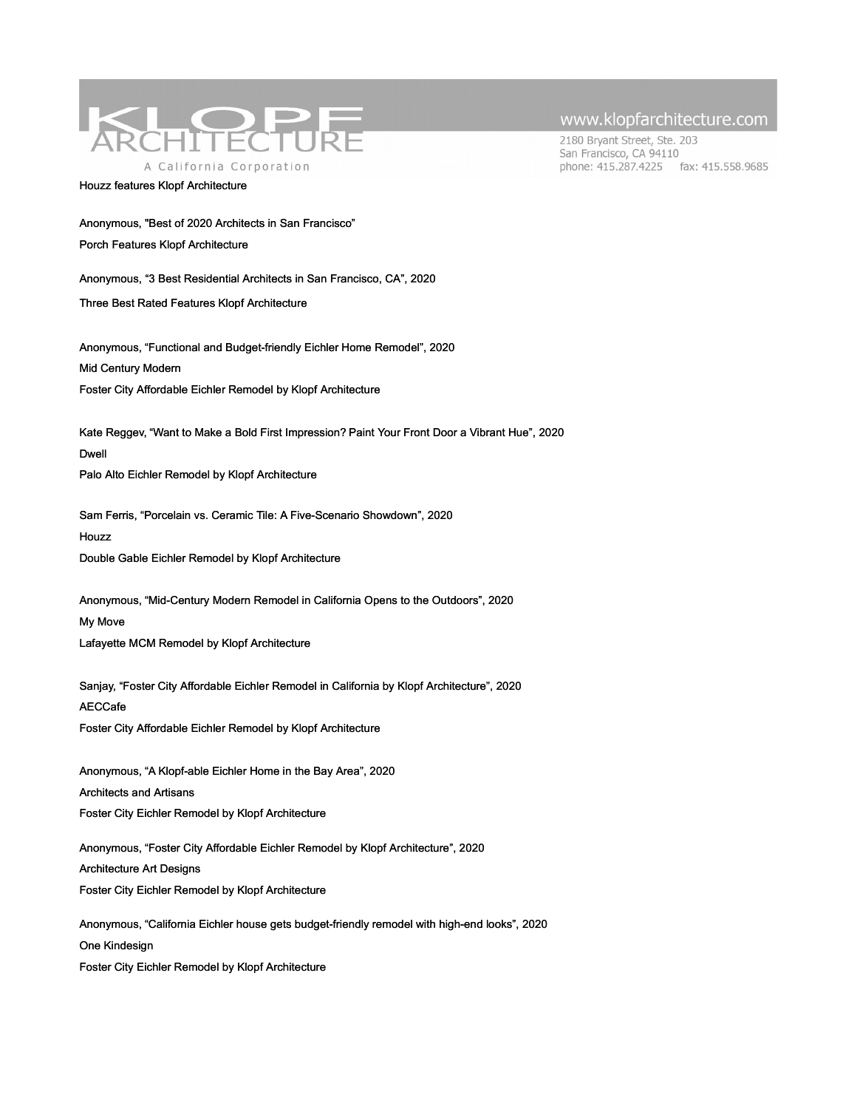

#### Houzz features Klopf Architecture

www.klopfarchitecture.com

2180 Bryant Street, Ste. 203 San Francisco, CA 94110 phone: 415.287.4225 fax: 415.558.9685

Anonymous, "Best of 2020 Architects in San Francisco"

Porch Features Klopf Architecture

Anonymous, "3 Best Residential Architects in San Francisco, CA", 2020

Three Best Rated Features Klopf Architecture

Anonymous, "Functional and Budget-friendly Eichler Home Remodel", 2020 [Mid Century Modern](https://klopfarchitecture.com/foster-city-affordable-2-2-2-2-2-2-2-3/)  Foster City Affordable Eichler Remodel by Klopf Architecture

Kate Reggev, "Want to Make a Bold First Impression? Paint Your Front Door a Vibrant Hue", 2020 Dwell Palo Alto Eichler Remodel by Klopf Architecture

Sam Ferris, "Porcelain vs. Ceramic Tile: A Five-Scenario Showdown", 2020 **[Houzz](https://klopfarchitecture.com/foster-city-affordable-2-2-2-2-2-2-2-2-2/)** Double Gable Eichler Remodel by Klopf Architecture

Anonymous, "Mid-Century Modern Remodel in California Opens to the Outdoors", 2020 [My Move](https://klopfarchitecture.com/foster-city-affordable-2-2-2-2-2-2-2-2/)  Lafayette MCM Remodel by Klopf Architecture

Sanjay, "Foster City Affordable Eichler Remodel in California by Klopf Architecture", 2020 [AECCafe](https://klopfarchitecture.com/foster-city-affordable-2-2-2-2-2-2-2/) Foster City Affordable Eichler Remodel by Klopf Architecture

Anonymous, "A Klopf-able Eichler Home in the Bay Area", 2020 [Architects and Artisans](https://klopfarchitecture.com/foster-city-affordable-2-2-2-2-2-2/) Foster City Eichler Remodel by Klopf Architecture

Anonymous, "Foster City Affordable Eichler Remodel by Klopf Architecture", 2020 [Architecture Art Designs](https://klopfarchitecture.com/foster-city-affordable-2-2-2-2-2/) Foster City Eichler Remodel by Klopf Architecture

Anonymous, "California Eichler house gets budget-friendly remodel with high-end looks", 2020 [One Kindesign](https://klopfarchitecture.com/foster-city-affordable-2-2-2-2/) Foster City Eichler Remodel by Klopf Architecture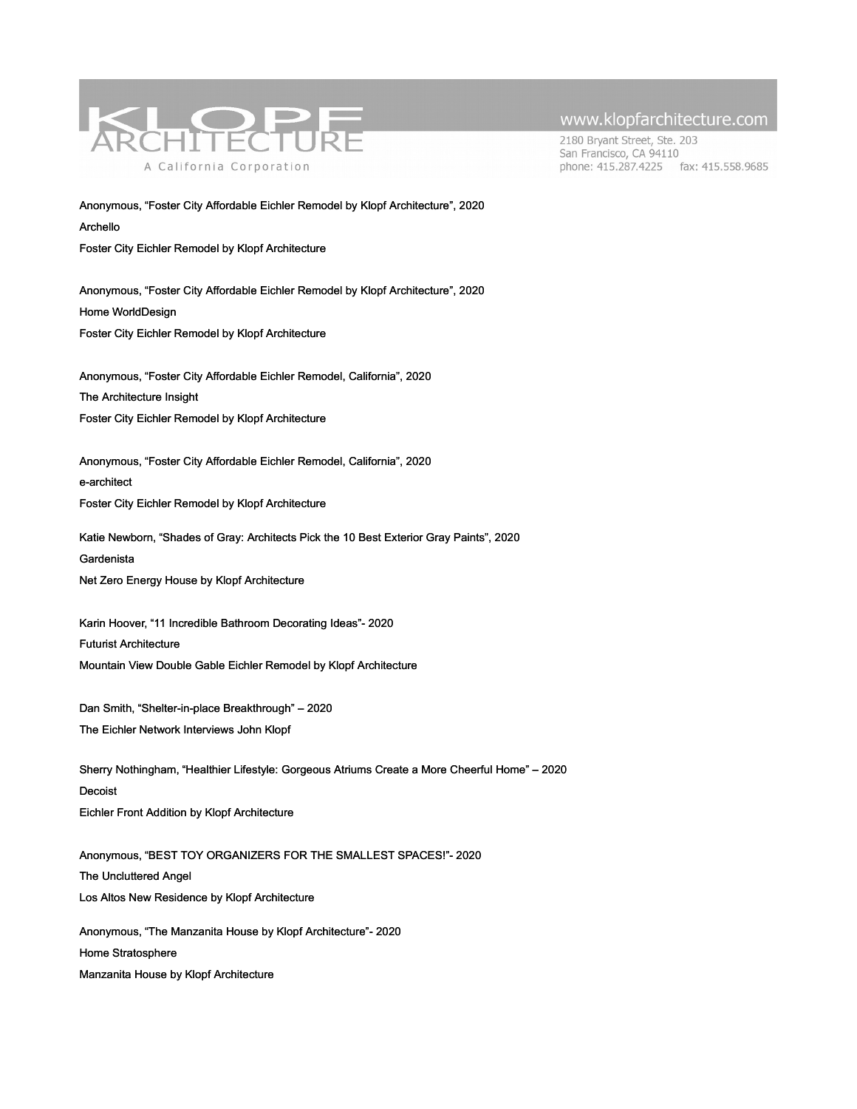

2180 Bryant Street, Ste. 203 San Francisco, CA 94110 phone: 415.287.4225 fax: 415.558.9685

Anonymous, "Foster City Affordable Eichler Remodel by Klopf Architecture", 2020 [Archello](https://klopfarchitecture.com/foster-city-affordable-2-2-2/)  Foster City Eichler Remodel by Klopf Architecture

Anonymous, "Foster City Affordable Eichler Remodel by Klopf Architecture", 2020 [Home WorldDesign](https://klopfarchitecture.com/foster-city-affordable-2-2/) Foster City Eichler Remodel by Klopf Architecture

Anonymous, "Foster City Affordable Eichler Remodel, California", 2020 [The Architecture Insight](https://klopfarchitecture.com/foster-city-affordable-2/) Foster City Eichler Remodel by Klopf Architecture

Anonymous, "Foster City Affordable Eichler Remodel, California", 2020 [e-architect](https://klopfarchitecture.com/foster-city-affordable/)  Foster City Eichler Remodel by Klopf Architecture

Katie Newborn, "Shades of Gray: Architects Pick the 10 Best Exterior Gray Paints", 2020 [Gardenista](https://klopfarchitecture.com/living-room-cozy-2-2-2-2-2-2-3-2/) Net Zero Energy House by Klopf Architecture

Karin Hoover, "11 Incredible Bathroom Decorating Ideas"- 2020 [Futurist Architecture](https://klopfarchitecture.com/living-room-cozy-2-2-2-2-2-2-3/)  Mountain View Double Gable Eichler Remodel by Klopf Architecture

Dan Smith, "Shelter-in-place Breakthrough" – 2020 [The Eichler Network Interviews John Klopf](https://klopfarchitecture.com/living-room-cozy-2-2-2-2-2-2-2/)

Sherry Nothingham, "Healthier Lifestyle: Gorgeous Atriums Create a More Cheerful Home" – 2020 [Decoist](https://klopfarchitecture.com/living-room-cozy-2-2-2-2-2-2/) Eichler Front Addition by Klopf Architecture

Anonymous, "BEST TOY ORGANIZERS FOR THE SMALLEST SPACES!"- 2020 [The Uncluttered Angel](https://klopfarchitecture.com/living-room-cozy-2-2-2-2-2/) Los Altos New Residence by Klopf Architecture Anonymous, "The Manzanita House by Klopf Architecture"- 2020 [Home Stratosphere](https://klopfarchitecture.com/living-room-cozy-2-2-2-2/)

Manzanita House by Klopf Architecture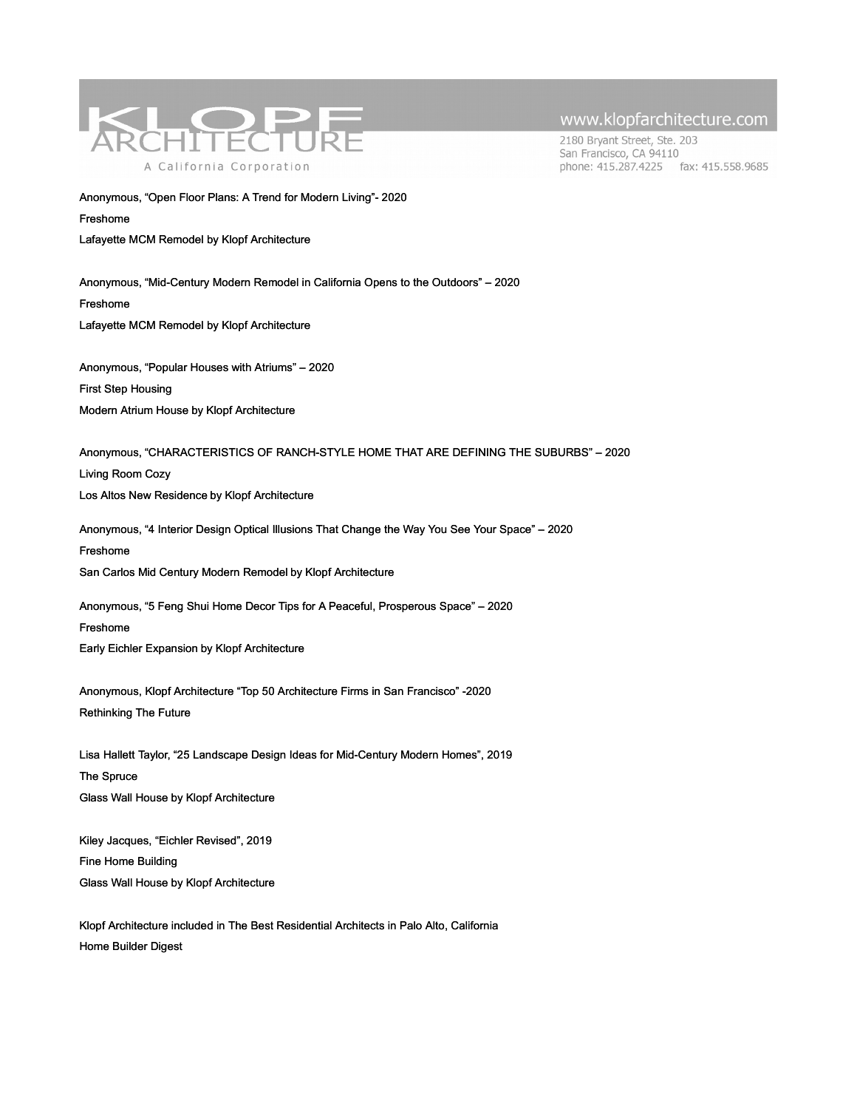

2180 Bryant Street, Ste. 203 San Francisco, CA 94110 phone: 415.287.4225 fax: 415.558.9685

Anonymous, "Open Floor Plans: A Trend for Modern Living"- 2020 [Freshome](https://klopfarchitecture.com/living-room-cozy-2-2-2/) 

Lafayette MCM Remodel by Klopf Architecture

Anonymous, "Mid-Century Modern Remodel in California Opens to the Outdoors" – 2020 [Freshome](https://klopfarchitecture.com/living-room-cozy-2-2/) Lafayette MCM Remodel by Klopf Architecture

Anonymous, "Popular Houses with Atriums" – 2020 [First Step Housing](https://klopfarchitecture.com/living-room-cozy-2/) Modern Atrium House by Klopf Architecture

Anonymous, "CHARACTERISTICS OF RANCH-STYLE HOME THAT ARE DEFINING THE SUBURBS" – 2020 [Living Room Cozy](https://klopfarchitecture.com/living-room-cozy/) Los Altos New Residence by Klopf Architecture

Anonymous, "4 Interior Design Optical Illusions That Change the Way You See Your Space" – 2020 [Freshome](https://klopfarchitecture.com/glass-wall-house-on-spruce-2-2-2-2-3-2/) San Carlos Mid Century Modern Remodel by Klopf Architecture

Anonymous, "5 Feng Shui Home Decor Tips for A Peaceful, Prosperous Space" – 2020 [Freshome](https://klopfarchitecture.com/glass-wall-house-on-spruce-2-2-2-2-3/)  Early Eichler Expansion by Klopf Architecture

Anonymous, Klopf Architecture "Top 50 Architecture Firms in San Francisco" -2020 Rethinking The Future

Lisa Hallett Taylor, "25 Landscape Design Ideas for Mid-Century Modern Homes", 2019 [The Spruce](https://klopfarchitecture.com/glass-wall-house-on-spruce/) [Gl](https://klopfarchitecture.com/glass-wall-house-on-spruce/)ass Wall House by Klopf Architecture

Kiley Jacques, "Eichler Revised", 2019 [Fine Home Building](https://klopfarchitecture.com/glass-wall-house-on-spruce-2/)  Glass Wall House by Klopf Architecture

[Klopf Architecture included in The Best Residential Architects in Palo Alto, California](https://klopfarchitecture.com/palo-alto-best/) [Home Builder Digest](https://klopfarchitecture.com/palo-alto-best/)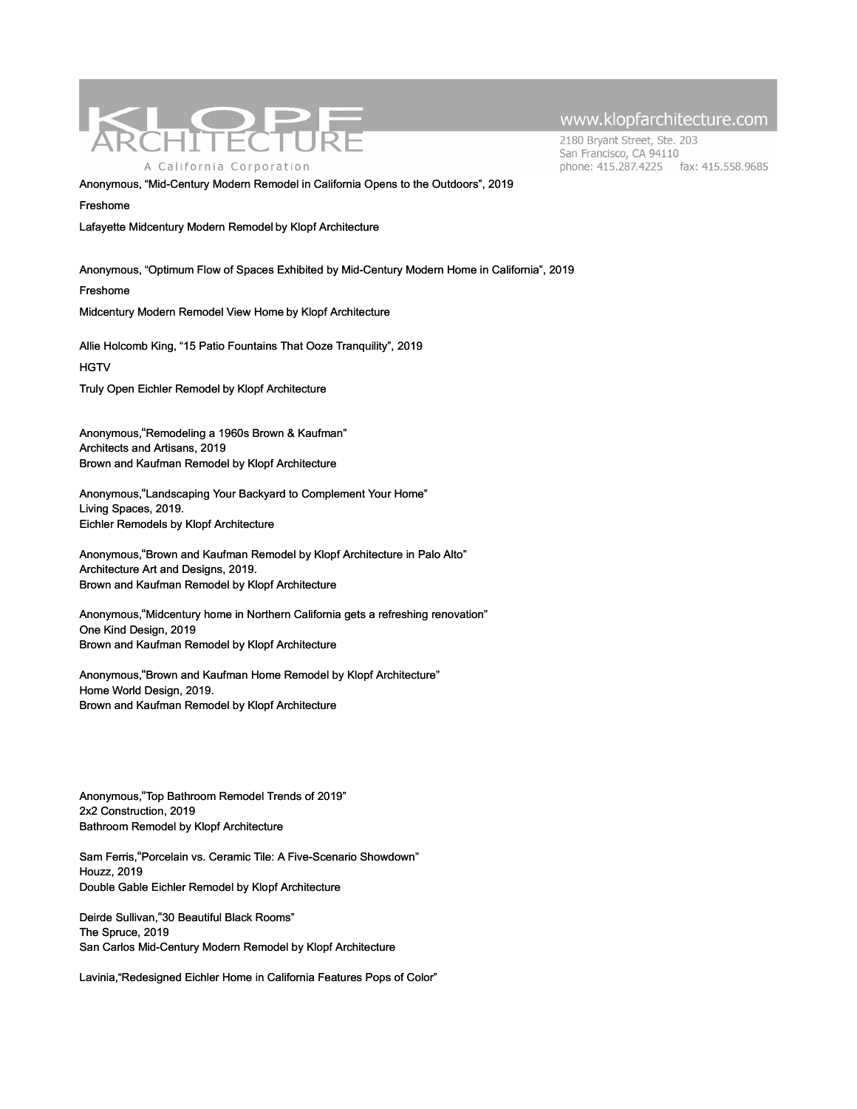

2180 Bryant Street, Ste. 203 San Francisco, CA 94110 phone: 415.287.4225 fax: 415.558.9685

Anonymous, "Mid-Century Modern Remodel in California Opens to the Outdoors", 2019

Freshome

Lafayette Midcentury Modern Remodel by Klopf Architecture

Anonymous, "Optimum Flow of Spaces Exhibited by Mid-Century Modern Home in California", 2019

[Freshome](https://klopfarchitecture.com/glass-wall-house-on-spruce-2-2-2/)

Midcentury Modern Remodel View Home by Klopf Architecture

Allie Holcomb King, "15 Patio Fountains That Ooze Tranquility", 2019

**HGTV** 

Truly Open Eichler Remodel by Klopf Architecture

Anonymous,"Remodeling a 1960s Brown & Kaufman" Architects and Artisans, 2019 Brown and Kaufman Remodel by Klopf Architecture

Anonymous,"Landscaping Your Backyard to Complement Your Home" Living Spaces, 2019. Eichler Remodels by Klopf Architecture

Anonymous,"Brown and Kaufman Remodel by Klopf Architecture in Palo Alto" Architecture Art and Designs, 2019. Brown and Kaufman Remodel by Klopf Architecture

Anonymous,"Midcentury home in Northern California gets a refreshing renovation" One Kind Design, 2019 Brown and Kaufman Remodel by Klopf Architecture

Anonymous,"Brown and Kaufman Home Remodel by Klopf Architecture" Home World Design, 2019. Brown and Kaufman Remodel by Klopf Architecture

Anonymous,"Top Bathroom Remodel Trends of 2019" 2x2 Construction, 2019 Bathroom Remodel by Klopf Architecture

Sam Ferris,"Porcelain vs. Ceramic Tile: A Five-Scenario Showdown" Houzz, 2019 Double Gable Eichler Remodel by Klopf Architecture

Deirde Sullivan,"30 Beautiful Black Rooms" The Spruce, 2019 San Carlos Mid-Century Modern Remodel by Klopf Architecture

Lavinia,"Redesigned Eichler Home in California Features Pops of Color"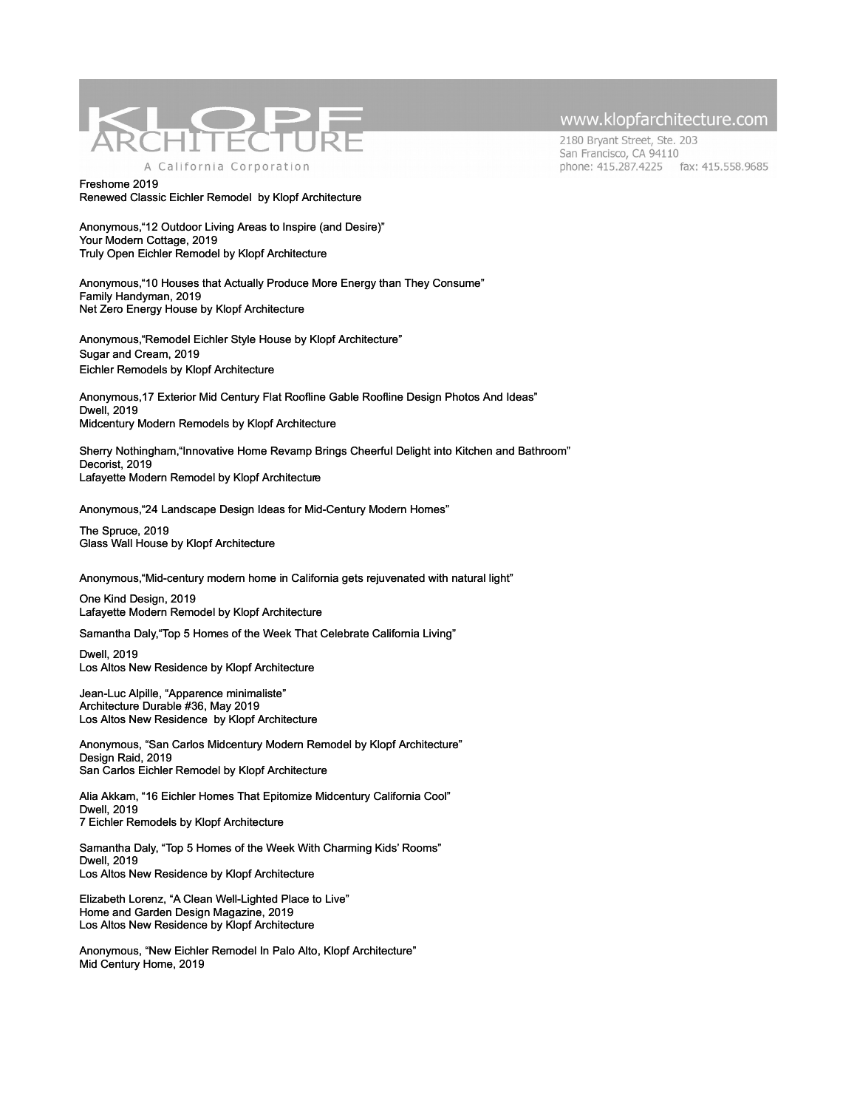

2180 Bryant Street, Ste. 203 San Francisco, CA 94110 phone: 415.287.4225 fax: 415.558.9685

Freshome 2019 Renewed Classic Eichler Remodel by Klopf Architecture

Anonymous,"12 Outdoor Living Areas to Inspire (and Desire)" Your Modern Cottage, 2019 Truly Open Eichler Remodel by Klopf Architecture

Anonymous,"10 Houses that Actually Produce More Energy than They Consume" Family Handyman, 2019 Net Zero Energy House by Klopf Architecture

Anonymous,"Remodel Eichler Style House by Klopf Architecture" Sugar and Cream, 2019 Eichler Remodels by Klopf Architecture

Anonymous,17 Exterior Mid Century Flat Roofline Gable Roofline Design Photos And Ideas" Dwell, 2019 Midcentury Modern Remodels by Klopf Architecture

Sherry Nothingham,"Innovative Home Revamp Brings Cheerful Delight into Kitchen and Bathroom" Decorist, 2019 Lafayette Modern Remodel by Klopf Architecture

Anonymous,"24 Landscape Design Ideas for Mid-Century Modern Homes"

The Spruce, 2019 Glass Wall House by Klopf Architecture

Anonymous,"Mid-century modern home in California gets rejuvenated with natural light"

One Kind Design, 2019 Lafayette Modern Remodel by Klopf Architecture

Samantha Daly,"Top 5 Homes of the Week That Celebrate California Living"

Dwell, 2019 Los Altos New Residence by Klopf Architecture

Jean-Luc Alpille, "Apparence minimaliste" Architecture Durable #36, May 2019 Los Altos New Residence by Klopf Architecture

Anonymous, "San Carlos Midcentury Modern Remodel by Klopf Architecture" Design Raid, 2019 San Carlos Eichler Remodel by Klopf Architecture

Alia Akkam, "16 Eichler Homes That Epitomize Midcentury California Cool" Dwell, 2019 7 Eichler Remodels by Klopf Architecture

Samantha Daly, "Top 5 Homes of the Week With Charming Kids' Rooms" Dwell, 2019 Los Altos New Residence by Klopf Architecture

Elizabeth Lorenz, "A Clean Well-Lighted Place to Live" Home and Garden Design Magazine, 2019 Los Altos New Residence by Klopf Architecture

Anonymous, "New Eichler Remodel In Palo Alto, Klopf Architecture" Mid Century Home, 2019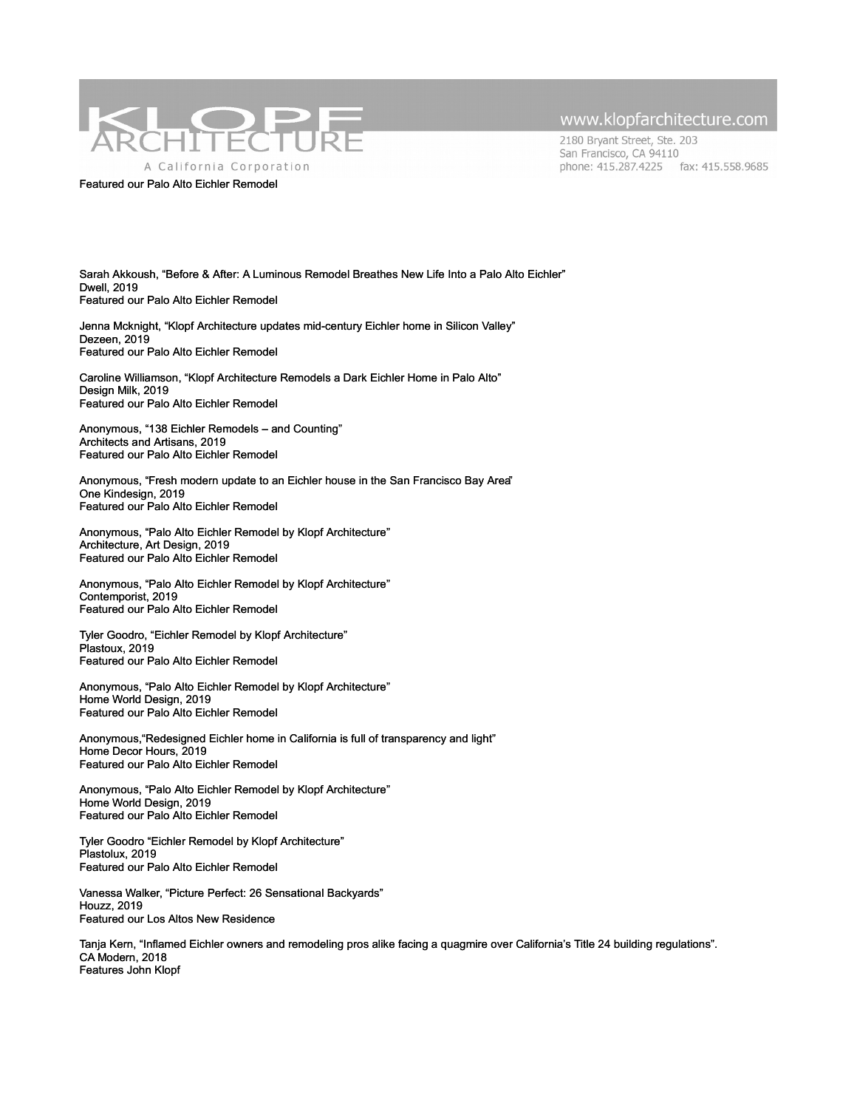

#### Featured our Palo Alto Eichler Remodel

#### www.klopfarchitecture.com

2180 Bryant Street, Ste. 203 San Francisco, CA 94110 phone: 415.287.4225 fax: 415.558.9685

Sarah Akkoush, "Before & After: A Luminous Remodel Breathes New Life Into a Palo Alto Eichler" Dwell, 2019 Featured our Palo Alto Eichler Remodel

Jenna Mcknight, "Klopf Architecture updates mid-century Eichler home in Silicon Valley" Dezeen, 2019 Featured our Palo Alto Eichler Remodel

Caroline Williamson, "Klopf Architecture Remodels a Dark Eichler Home in Palo Alto" Design Milk, 2019 Featured our Palo Alto Eichler Remodel

Anonymous, "138 Eichler Remodels – and Counting" Architects and Artisans, 2019 Featured our Palo Alto Eichler Remodel

Anonymous, "Fresh modern update to an Eichler house in the San Francisco Bay Area" One Kindesign, 2019 Featured our Palo Alto Eichler Remodel

Anonymous, "Palo Alto Eichler Remodel by Klopf Architecture" Architecture, Art Design, 2019 Featured our Palo Alto Eichler Remodel

Anonymous, "Palo Alto Eichler Remodel by Klopf Architecture" Contemporist, 2019 Featured our Palo Alto Eichler Remodel

Tyler Goodro, "Eichler Remodel by Klopf Architecture" Plastoux, 2019 Featured our Palo Alto Eichler Remodel

Anonymous, "Palo Alto Eichler Remodel by Klopf Architecture" Home World Design, 2019 Featured our Palo Alto Eichler Remodel

Anonymous,"Redesigned Eichler home in California is full of transparency and light" Home Decor Hours, 2019 Featured our Palo Alto Eichler Remodel

Anonymous, "Palo Alto Eichler Remodel by Klopf Architecture" Home World Design, 2019 Featured our Palo Alto Eichler Remodel

Tyler Goodro "Eichler Remodel by Klopf Architecture" Plastolux, 2019 Featured our Palo Alto Eichler Remodel

Vanessa Walker, "Picture Perfect: 26 Sensational Backyards" Houzz, 2019 Featured our Los Altos New Residence

Tanja Kern, "Inflamed Eichler owners and remodeling pros alike facing a quagmire over California's Title 24 building regulations". CA Modern, 2018 Features John Klopf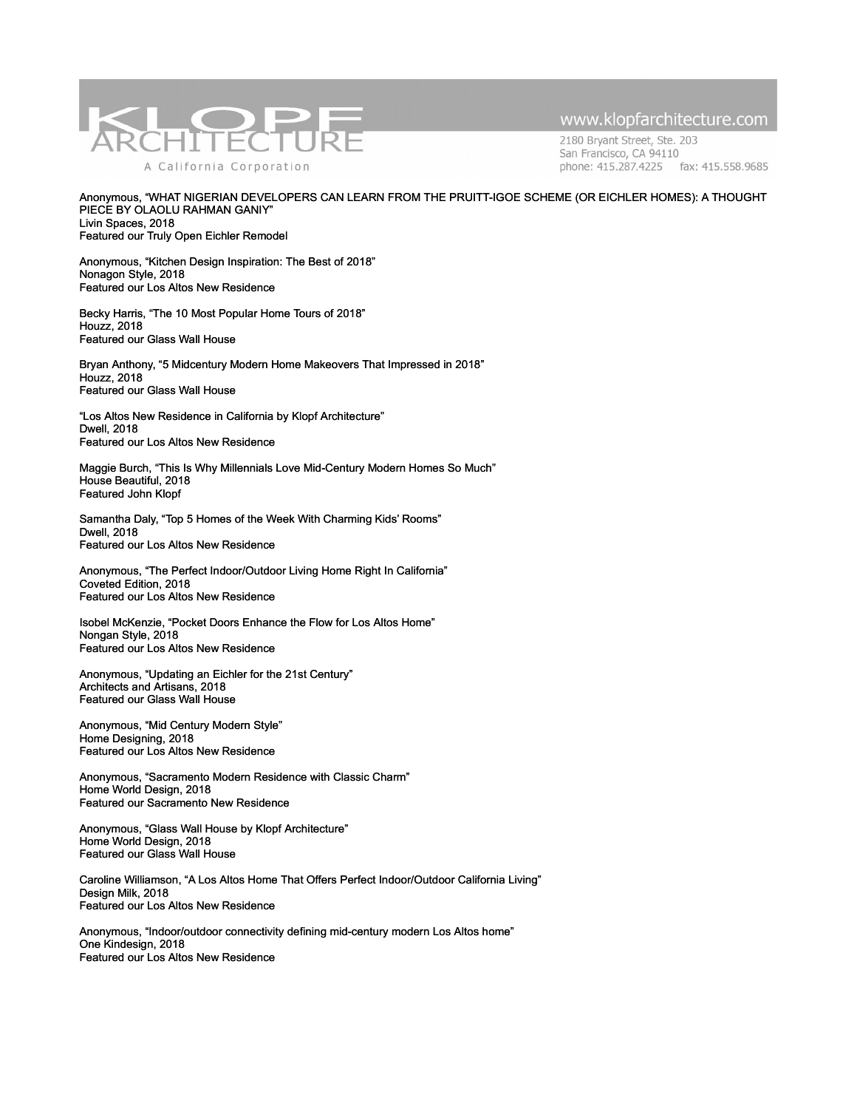

2180 Bryant Street, Ste. 203 San Francisco, CA 94110 phone: 415.287.4225 fax: 415.558.9685

Anonymous, "WHAT NIGERIAN DEVELOPERS CAN LEARN FROM THE PRUITT-IGOE SCHEME (OR EICHLER HOMES): A THOUGHT PIECE BY OLAOLU RAHMAN GANIY" Livin Spaces, 2018 Featured our Truly Open Eichler Remodel

Anonymous, "Kitchen Design Inspiration: The Best of 2018" Nonagon Style, 2018 Featured our Los Altos New Residence

Becky Harris, "The 10 Most Popular Home Tours of 2018" Houzz, 2018 Featured our Glass Wall House

Bryan Anthony, "5 Midcentury Modern Home Makeovers That Impressed in 2018" Houzz, 2018 Featured our Glass Wall House

"Los Altos New Residence in California by Klopf Architecture" Dwell, 2018 Featured our Los Altos New Residence

Maggie Burch, "This Is Why Millennials Love Mid-Century Modern Homes So Much" House Beautiful, 2018 Featured John Klopf

Samantha Daly, "Top 5 Homes of the Week With Charming Kids' Rooms" Dwell, 2018 Featured our Los Altos New Residence

Anonymous, "The Perfect Indoor/Outdoor Living Home Right In California" Coveted Edition, 2018 Featured our Los Altos New Residence

Isobel McKenzie, "Pocket Doors Enhance the Flow for Los Altos Home" Nongan Style, 2018 Featured our Los Altos New Residence

Anonymous, "Updating an Eichler for the 21st Century" Architects and Artisans, 2018 Featured our Glass Wall House

Anonymous, "Mid Century Modern Style" Home Designing, 2018 Featured our Los Altos New Residence

Anonymous, "Sacramento Modern Residence with Classic Charm" Home World Design, 2018 Featured our Sacramento New Residence

Anonymous, "Glass Wall House by Klopf Architecture" Home World Design, 2018 Featured our Glass Wall House

Caroline Williamson, "A Los Altos Home That Offers Perfect Indoor/Outdoor California Living" Design Milk, 2018 Featured our Los Altos New Residence

Anonymous, "Indoor/outdoor connectivity defining mid-century modern Los Altos home" One Kindesign, 2018 Featured our Los Altos New Residence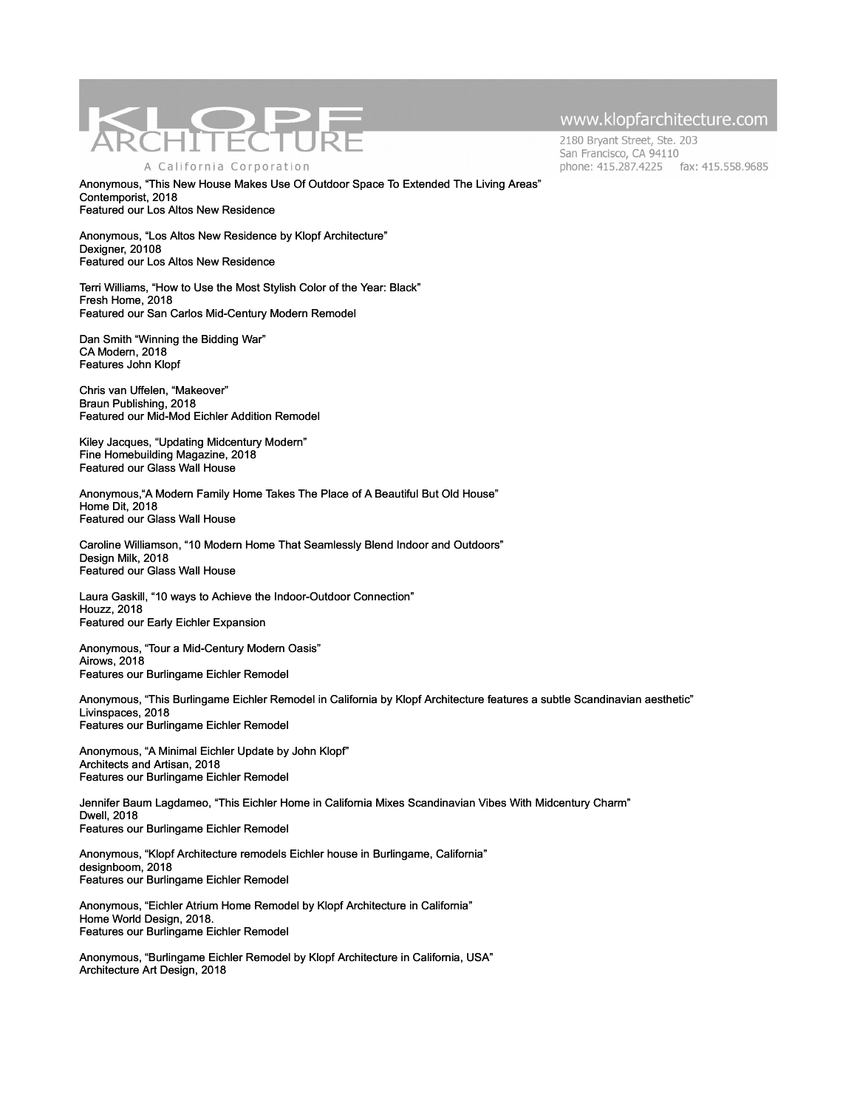

2180 Bryant Street, Ste. 203 San Francisco, CA 94110 phone: 415.287.4225 fax: 415.558.9685

Anonymous, "This New House Makes Use Of Outdoor Space To Extended The Living Areas" Contemporist, 2018 Featured our Los Altos New Residence

Anonymous, "Los Altos New Residence by Klopf Architecture" Dexigner, 20108 Featured our Los Altos New Residence

Terri Williams, "How to Use the Most Stylish Color of the Year: Black" Fresh Home, 2018 Featured our San Carlos Mid-Century Modern Remodel

Dan Smith "Winning the Bidding War" CA Modern, 2018 Features John Klopf

Chris van Uffelen, "Makeover" Braun Publishing, 2018 Featured our Mid-Mod Eichler Addition Remodel

Kiley Jacques, "Updating Midcentury Modern" Fine Homebuilding Magazine, 2018 Featured our Glass Wall House

Anonymous,"A Modern Family Home Takes The Place of A Beautiful But Old House" Home Dit, 2018 Featured our Glass Wall House

Caroline Williamson, "10 Modern Home That Seamlessly Blend Indoor and Outdoors" Design Milk, 2018 Featured our Glass Wall House

Laura Gaskill, "10 ways to Achieve the Indoor-Outdoor Connection" Houzz, 2018 Featured our Early Eichler Expansion

Anonymous, "Tour a Mid-Century Modern Oasis" Airows, 2018 Features our Burlingame Eichler Remodel

Anonymous, "This Burlingame Eichler Remodel in California by Klopf Architecture features a subtle Scandinavian aesthetic" Livinspaces, 2018 Features our Burlingame Eichler Remodel

Anonymous, "A Minimal Eichler Update by John Klopf" Architects and Artisan, 2018 Features our Burlingame Eichler Remodel

Jennifer Baum Lagdameo, "This Eichler Home in California Mixes Scandinavian Vibes With Midcentury Charm" Dwell, 2018 Features our Burlingame Eichler Remodel

Anonymous, "Klopf Architecture remodels Eichler house in Burlingame, California" designboom, 2018 Features our Burlingame Eichler Remodel

Anonymous, "Eichler Atrium Home Remodel by Klopf Architecture in California" Home World Design, 2018. Features our Burlingame Eichler Remodel

Anonymous, "Burlingame Eichler Remodel by Klopf Architecture in California, USA" Architecture Art Design, 2018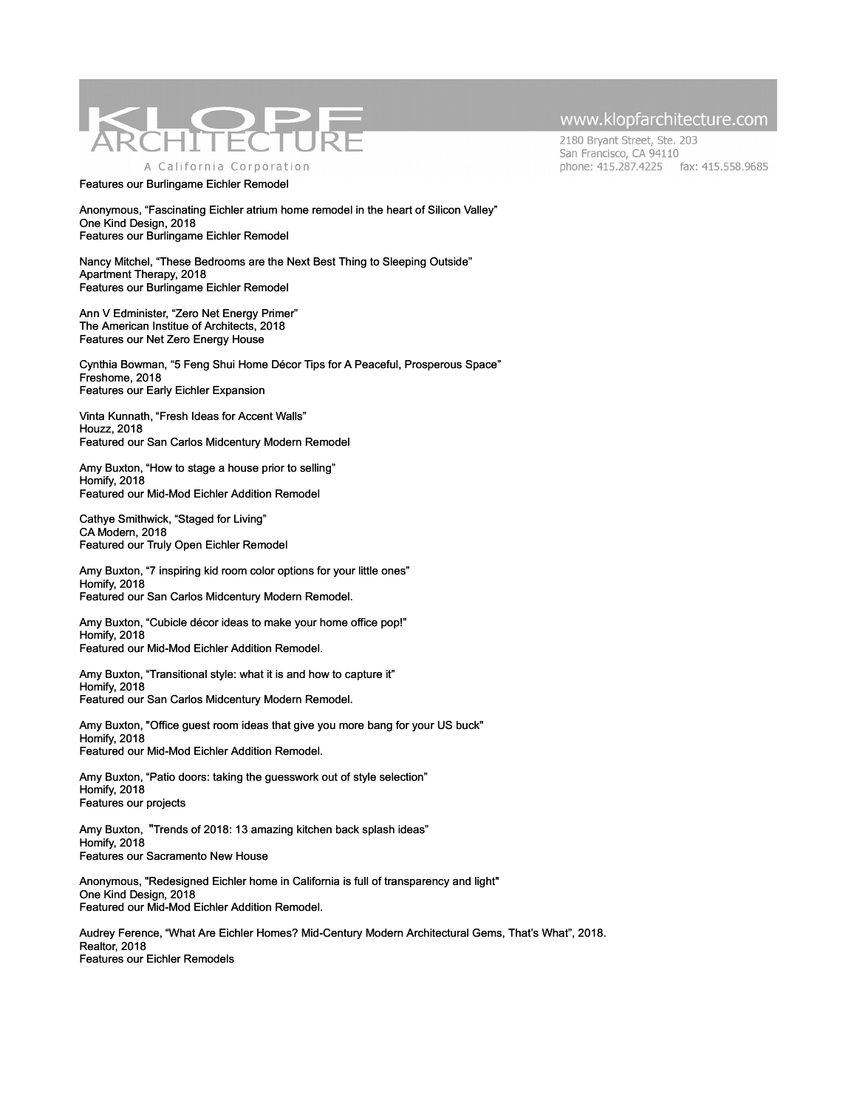

Features our Burlingame Eichler Remodel

Anonymous, "Fascinating Eichler atrium home remodel in the heart of Silicon Valley" One Kind Design, 2018 Features our Burlingame Eichler Remodel

Nancy Mitchel, "These Bedrooms are the Next Best Thing to Sleeping Outside" Apartment Therapy, 2018 Features our Burlingame Eichler Remodel

Ann V Edminister, "Zero Net Energy Primer" The American Institue of Architects, 2018 Features our Net Zero Energy House

Cynthia Bowman, "5 Feng Shui Home Décor Tips for A Peaceful, Prosperous Space" Freshome, 2018 Features our Early Eichler Expansion

Vinta Kunnath, "Fresh Ideas for Accent Walls" Houzz, 2018 Featured our San Carlos Midcentury Modern Remodel

[Amy Buxton, "](http://www.klopfarchitecture.com/homify-features-our-san-carlos-mid-century-modern-remodel-2-2-2/)How to stage a house prior to selling" Homify, 2018 Featured our Mid-Mod Eichler Addition Remodel

Cathye Smithwick, "Staged for Living" CA Modern, 2018 Featured our Truly Open Eichler Remodel

[Amy Buxton, "](http://www.klopfarchitecture.com/homify-features-our-san-carlos-mid-century-modern-remodel-2-2-2/)7 inspiring kid room color options for your little ones" Homify, 2018 Featured our San Carlos Midcentury Modern Remodel.

[Amy Buxton, "](http://www.klopfarchitecture.com/homify-features-our-san-carlos-mid-century-modern-remodel-2-2-2/)Cubicle décor ideas to make your home office pop!" Homify, 2018 Featured our Mid-Mod Eichler Addition Remodel.

[Amy Buxton, "](http://www.klopfarchitecture.com/homify-features-our-san-carlos-mid-century-modern-remodel-2-2-2/)Transitional style: what it is and how to capture it" Homify, 2018 Featured our San Carlos Midcentury Modern Remodel.

[Amy Buxton, "](http://www.klopfarchitecture.com/homify-features-our-san-carlos-mid-century-modern-remodel-2-2-2/)Office guest room ideas that give you more bang for your US buck" Homify, 2018 Featured our Mid-Mod Eichler Addition Remodel.

[Amy Buxton, "](http://www.klopfarchitecture.com/homify-features-our-san-carlos-mid-century-modern-remodel-2-2-2/)Patio doors: taking the guesswork out of style selection" Homify, 2018 Features our projects

[Amy Buxton,](http://www.klopfarchitecture.com/homify-features-our-san-carlos-mid-century-modern-remodel-2-2-2/) ["](http://www.klopfarchitecture.com/homify-features-our-sacramento-new-house/)Trends of 2018: 13 amazing kitchen back splash ideas" Homify, 2018 Features our Sacramento New House

Anonymous, "Redesigned Eichler home in California is full of transparency and light" One Kind Design, 2018 Featured our Mid-Mod Eichler Addition Remodel.

Audrey Ference, "What Are Eichler Homes? Mid-Century Modern Architectural Gems, That's What", 2018. [Realtor, 2018](http://www.klopfarchitecture.com/realtor-features-our-double-gable-eichler-remodel/) Features our Eichler Remodels

## www.klopfarchitecture.com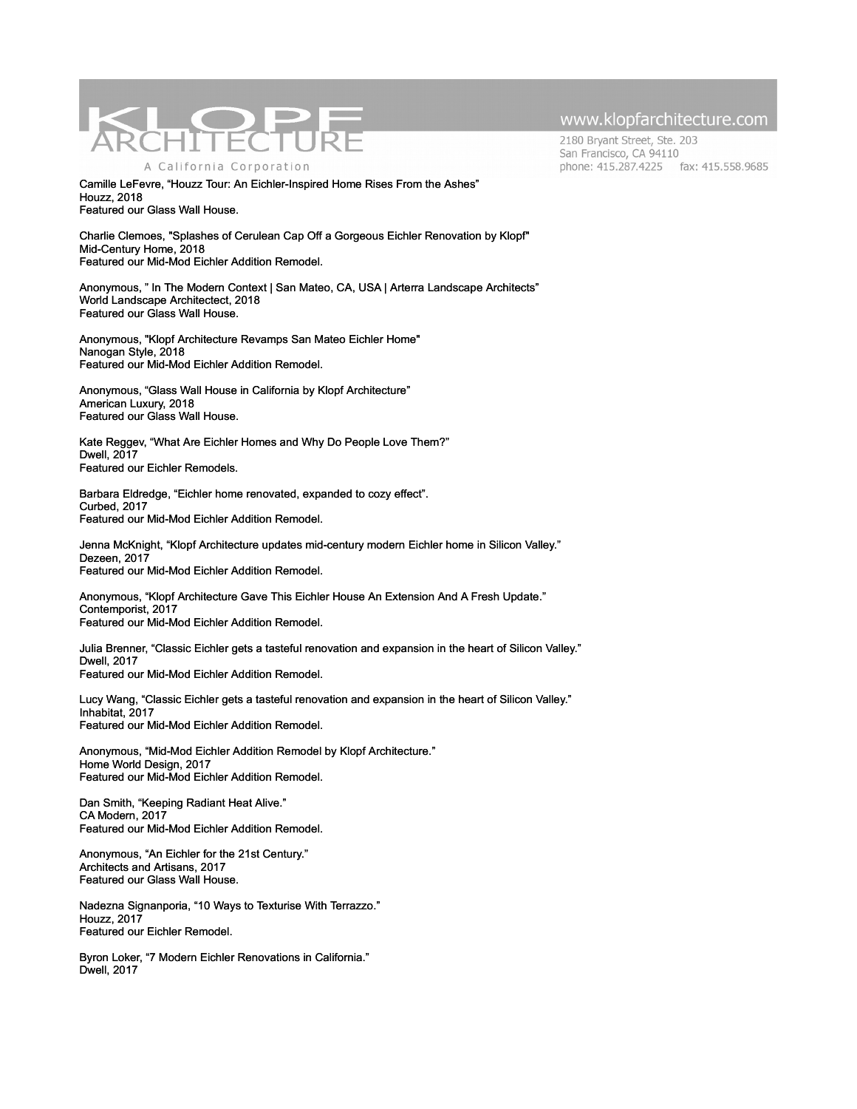

Camille LeFevre, "Houzz Tour: An Eichler-Inspired Home Rises From the Ashes" Houzz, 2018 Featured our Glass Wall House.

Charlie Clemoes, "Splashes of Cerulean Cap Off a Gorgeous Eichler Renovation by Klopf" Mid-Century Home, 2018 Featured our Mid-Mod Eichler Addition Remodel.

Anonymous, " In The Modern Context | San Mateo, CA, USA | Arterra Landscape Architects" World Landscape Architectect, 2018 Featured our Glass Wall House.

Anonymous, "Klopf Architecture Revamps San Mateo Eichler Home" [Nanogan Style, 2018](http://www.klopfarchitecture.com/nanogan-style-features-klopf-architecture/) Featured our Mid-Mod Eichler Addition Remodel.

Anonymous, "Glass Wall House in California by Klopf Architecture" American Luxury, 2018 Featured our Glass Wall House.

Kate Reggev, "What Are Eichler Homes and Why Do People Love Them?" Dwell, 2017 Featured our Eichler Remodels.

Barbara Eldredge, "Eichler home renovated, expanded to cozy effect". Curbed, 2017 Featured our Mid-Mod Eichler Addition Remodel.

Jenna McKnight, "Klopf Architecture updates mid-century modern Eichler home in Silicon Valley." Dezeen, 2017 Featured our Mid-Mod Eichler Addition Remodel.

Anonymous, "Klopf Architecture Gave This Eichler House An Extension And A Fresh Update." Contemporist, 2017 Featured our Mid-Mod Eichler Addition Remodel.

Julia Brenner, "Classic Eichler gets a tasteful renovation and expansion in the heart of Silicon Valley." Dwell, 2017 Featured our Mid-Mod Eichler Addition Remodel.

Lucy Wang, "Classic Eichler gets a tasteful renovation and expansion in the heart of Silicon Valley." Inhabitat, 2017 Featured our Mid-Mod Eichler Addition Remodel.

Anonymous, "Mid-Mod Eichler Addition Remodel by Klopf Architecture." Home World Design, 2017 Featured our Mid-Mod Eichler Addition Remodel.

Dan Smith, "Keeping Radiant Heat Alive." CA Modern, 2017 Featured our Mid-Mod Eichler Addition Remodel.

Anonymous, "An Eichler for the 21st Century." Architects and Artisans, 2017 Featured our Glass Wall House.

Nadezna Signanporia, "10 Ways to Texturise With Terrazzo." Houzz, 2017 Featured our Eichler Remodel.

Byron Loker, "7 Modern Eichler Renovations in California." Dwell, 2017

## www.klopfarchitecture.com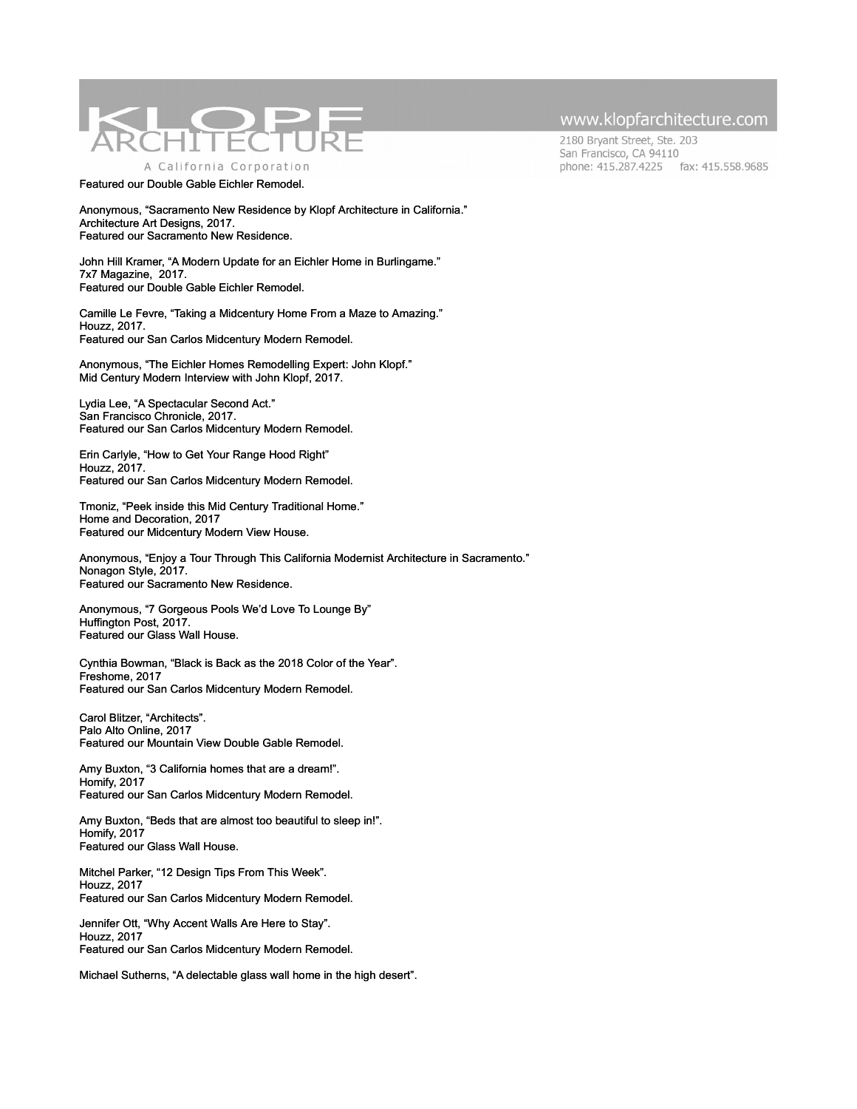

Featured our Double Gable Eichler Remodel.

Anonymous, "Sacramento New Residence by Klopf Architecture in California." Architecture Art Designs, 2017. Featured our Sacramento New Residence.

John Hill Kramer, "A Modern Update for an Eichler Home in Burlingame." 7x7 Magazine, 2017. Featured our Double Gable Eichler Remodel.

Camille Le Fevre, "Taking a Midcentury Home From a Maze to Amazing." Houzz, 2017. Featured our San Carlos Midcentury Modern Remodel.

Anonymous, "The Eichler Homes Remodelling Expert: John Klopf." Mid Century Modern Interview with John Klopf, 2017.

Lydia Lee, "A Spectacular Second Act." San Francisco Chronicle, 2017. Featured our San Carlos Midcentury Modern Remodel.

Erin Carlyle, "How to Get Your Range Hood Right" Houzz, 2017. Featured our San Carlos Midcentury Modern Remodel.

Tmoniz, "Peek inside this Mid Century Traditional Home." Home and Decoration, 2017 Featured our Midcentury Modern View House.

Anonymous, "Enjoy a Tour Through This California Modernist Architecture in Sacramento." Nonagon Style, 2017. Featured our Sacramento New Residence.

Anonymous, "7 Gorgeous Pools We'd Love To Lounge By" Huffington Post, 2017. Featured our Glass Wall House.

Cynthia Bowman, "Black is Back as the 2018 Color of the Year". Freshome, 2017 Featured our San Carlos Midcentury Modern Remodel.

Carol Blitzer, "Architects". Palo Alto Online, 2017 Featured our Mountain View Double Gable Remodel.

Amy Buxton, "3 California homes that are a dream!". Homify, 2017 Featured our San Carlos Midcentury Modern Remodel.

Amy Buxton, "Beds that are almost too beautiful to sleep in!". Homify, 2017 Featured our Glass Wall House.

Mitchel Parker, "12 Design Tips From This Week". Houzz, 2017 Featured our San Carlos Midcentury Modern Remodel.

Jennifer Ott, "Why Accent Walls Are Here to Stay". Houzz, 2017 Featured our San Carlos Midcentury Modern Remodel.

Michael Sutherns, "A delectable glass wall home in the high desert".

### www.klopfarchitecture.com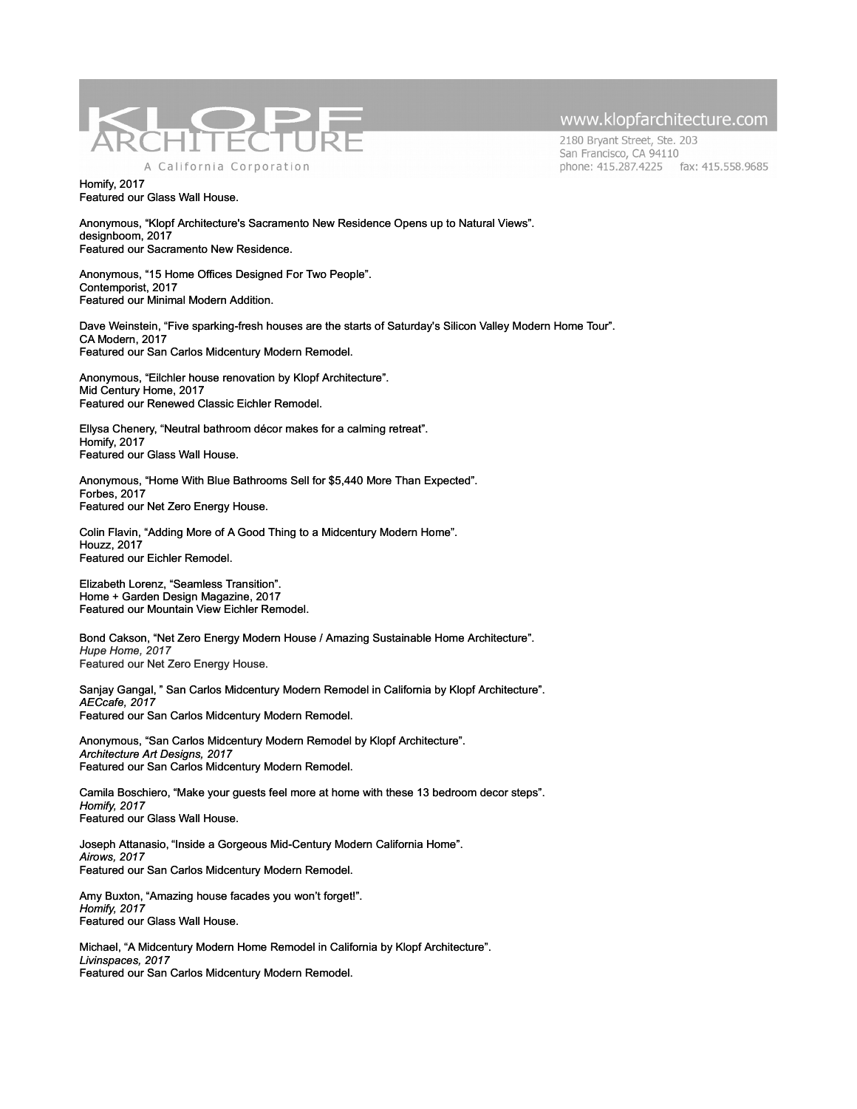

2180 Bryant Street, Ste. 203 San Francisco, CA 94110 phone: 415.287.4225 fax: 415.558.9685

#### Homify, 2017 Featured our Glass Wall House.

Anonymous, "Klopf Architecture's Sacramento New Residence Opens up to Natural Views". designboom, 2017 Featured our Sacramento New Residence.

Anonymous, "15 Home Offices Designed For Two People". Contemporist, 2017 Featured our Minimal Modern Addition.

Dave Weinstein, "Five sparking-fresh houses are the starts of Saturday's Silicon Valley Modern Home Tour". CA Modern, 2017 Featured our San Carlos Midcentury Modern Remodel.

Anonymous, "Eilchler house renovation by Klopf Architecture". Mid Century Home, 2017 Featured our Renewed Classic Eichler Remodel.

Ellysa Chenery, "Neutral bathroom décor makes for a calming retreat". Homify, 2017 Featured our Glass Wall House.

Anonymous, "Home With Blue Bathrooms Sell for \$5,440 More Than Expected". Forbes, 2017 Featured our Net Zero Energy House.

Colin Flavin, "Adding More of A Good Thing to a Midcentury Modern Home". Houzz, 2017 Featured our Eichler Remodel.

Elizabeth Lorenz, "Seamless Transition". Home + Garden Design Magazine, 2017 Featured our Mountain View Eichler Remodel.

Bond Cakson, "Net Zero Energy Modern House / Amazing Sustainable Home Architecture". *Hupe Home, 2017* Featured our Net Zero Energy House.

Sanjay Gangal, " San Carlos Midcentury Modern Remodel in California by Klopf Architecture". *AECcafe, 2017* Featured our San Carlos Midcentury Modern Remodel.

Anonymous, "San Carlos Midcentury Modern Remodel by Klopf Architecture". *Architecture Art Designs, 2017* Featured our San Carlos Midcentury Modern Remodel.

Camila Boschiero, "Make your guests feel more at home with these 13 bedroom decor steps". *Homify, 2017* Featured our Glass Wall House.

Joseph Attanasio, "Inside a Gorgeous Mid-Century Modern California Home". *Airows, 2017* Featured our San Carlos Midcentury Modern Remodel.

Amy Buxton, "Amazing house facades you won't forget!". *Homify, 2017* Featured our Glass Wall House.

Michael, "A Midcentury Modern Home Remodel in California by Klopf Architecture". *Livinspaces, 2017* Featured our San Carlos Midcentury Modern Remodel.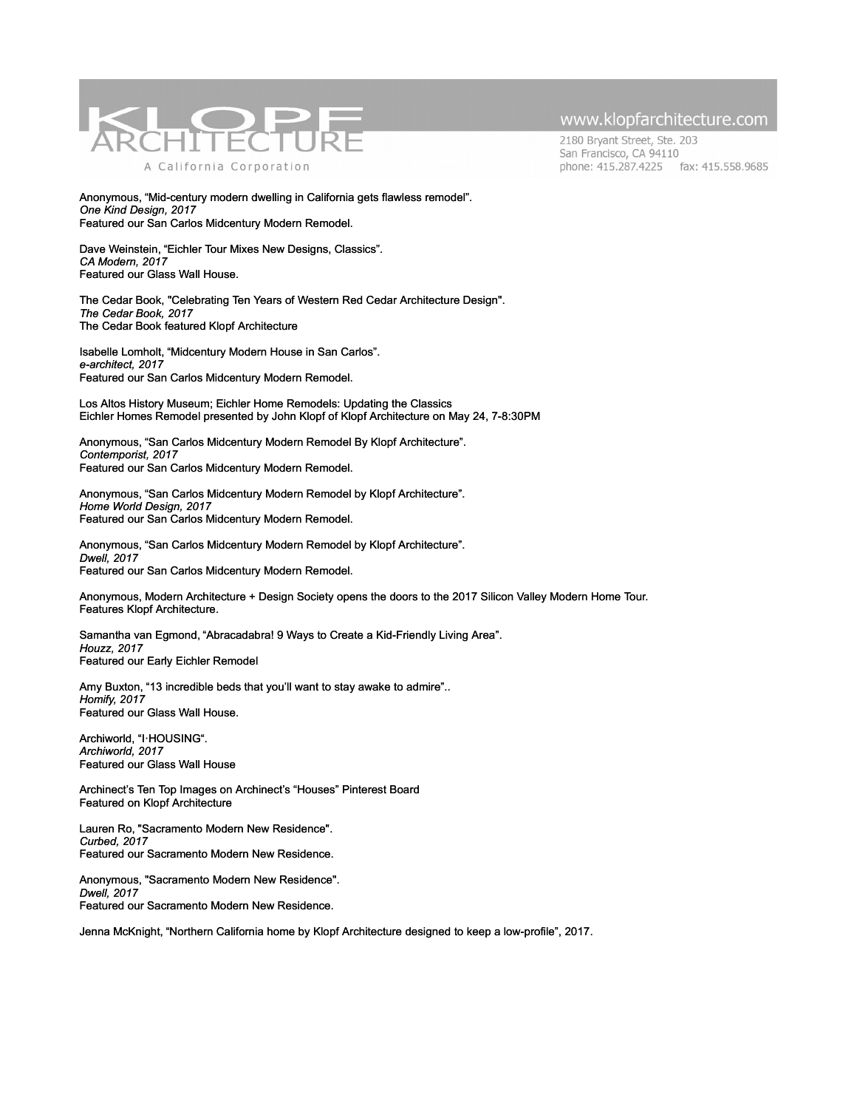

2180 Bryant Street, Ste. 203 San Francisco, CA 94110 phone: 415.287.4225 fax: 415.558.9685

Anonymous, "Mid-century modern dwelling in California gets flawless remodel". *One Kind Design, 2017* Featured our San Carlos Midcentury Modern Remodel.

Dave Weinstein, "Eichler Tour Mixes New Designs, Classics". *CA Modern, 2017* Featured our Glass Wall House.

[The Cedar Book, "Celebrating Ten Years of Western Red Cedar Architecture Design".](http://www.realcedar.com/cedarbook/) *[The Cedar Book, 2017](http://www.realcedar.com/cedarbook/)* [The Cedar Book featured Klopf Architecture](http://www.realcedar.com/cedarbook/)

Isabelle Lomholt, "Midcentury Modern House in San Carlos". *e-architect, 2017* Featured our San Carlos Midcentury Modern Remodel.

[Los Altos History Museum; Eichler Home Remodels: Updating the Classics](https://losaltoshistory.org/events/eichler-home-remodels/) Eichler Homes Remodel presented by John Klopf of Klopf Architecture on May 24, 7-8:30PM

Anonymous, "San Carlos Midcentury Modern Remodel By Klopf Architecture". *Contemporist, 2017* Featured our San Carlos Midcentury Modern Remodel.

Anonymous, "San Carlos Midcentury Modern Remodel by Klopf Architecture". *Home World Design, 2017* Featured our San Carlos Midcentury Modern Remodel.

Anonymous, "San Carlos Midcentury Modern Remodel by Klopf Architecture". *Dwell, 2017* Featured our San Carlos Midcentury Modern Remodel.

Anonymous, Modern Architecture + Design Society opens the doors to the 2017 Silicon Valley Modern Home Tour. Features Klopf Architecture.

Samantha van Egmond, "Abracadabra! 9 Ways to Create a Kid-Friendly Living Area". *[Houzz, 2017](https://www.houzz.com/ideabooks/81819757/list/abracadabra-9-ways-to-create-a-kid-friendly-living-area)* [Featured our Early Eichler Remodel](https://www.houzz.com/ideabooks/81819757/list/abracadabra-9-ways-to-create-a-kid-friendly-living-area)

Amy Buxton, "13 incredible beds that you'll want to stay awake to admire".. *Homify, 2017* Featured our Glass Wall House.

[Archiworld, "I](http://archiworld1995.com/)·[HOUSING".](http://archiworld1995.com/) *[Archiworld, 2017](http://archiworld1995.com/)* [Featured our Glass Wall House](http://archiworld1995.com/)

[Archinect's Ten Top Images on Archinect's "Houses" Pinterest Board](http://archinect.com/news/article/150000601/ten-top-images-on-archinect-s-houses-pinterest-board) [Featured on Klopf Architecture](http://archinect.com/news/article/150000601/ten-top-images-on-archinect-s-houses-pinterest-board)

Lauren Ro, "Sacramento Modern New Residence". *[Curbed, 2017](http://www.curbed.com/2017/3/30/15130558/klopf-architecture-orangevale-sacramento-home)* [Featured our Sacramento Modern New Residence.](http://www.curbed.com/2017/3/30/15130558/klopf-architecture-orangevale-sacramento-home)

[Anonymous, "Sacramento Modern New Residence".](http://www.curbed.com/2017/3/30/15130558/klopf-architecture-orangevale-sacramento-home) *[Dwell, 2017](https://www.dwell.com/home/sacramento-modern-residence-by-klopf-architecture-9b57607d)* [Featured our Sacramento Modern New Residence.](http://www.curbed.com/2017/3/30/15130558/klopf-architecture-orangevale-sacramento-home)

Jenna McKnight, "Northern California home by Klopf Architecture designed to keep a low-profile", 2017.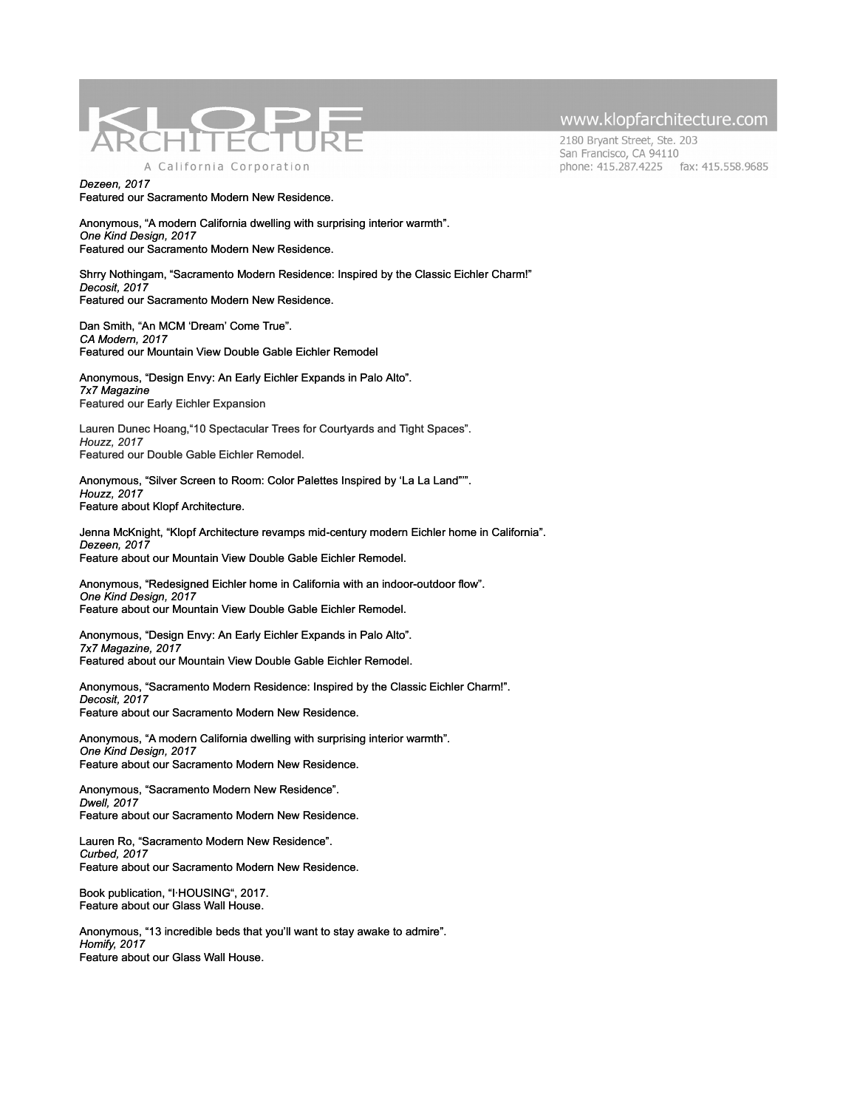

2180 Bryant Street, Ste. 203 San Francisco, CA 94110 phone: 415.287.4225 fax: 415.558.9685

*[Dezeen, 2017](http://www.curbed.com/2017/3/30/15130558/klopf-architecture-orangevale-sacramento-home)* [Featured our Sacramento Modern New Residence.](http://www.curbed.com/2017/3/30/15130558/klopf-architecture-orangevale-sacramento-home)

Anonymous, "A modern California dwelling with surprising interior warmth". *[One Kind Design, 2017](http://www.curbed.com/2017/3/30/15130558/klopf-architecture-orangevale-sacramento-home)* [Featured our Sacramento Modern New Residence.](http://www.curbed.com/2017/3/30/15130558/klopf-architecture-orangevale-sacramento-home)

Shrry Nothingam, "Sacramento Modern Residence: Inspired by the Classic Eichler Charm!" *[Decosit, 2017](http://www.decoist.com/modern-family-residence-sacramento/)* [Featured our Sacramento Modern New Residence.](http://www.curbed.com/2017/3/30/15130558/klopf-architecture-orangevale-sacramento-home)

Dan Smith, "An MCM 'Dream' Come True". *CA Modern, 2017* Featured our Mountain View Double Gable Eichler Remodel

Anonymous, "Design Envy: An Early Eichler Expands in Palo Alto". *7x7 Magazine* Featured our Early Eichler Expansion

Lauren Dunec Hoang,"10 Spectacular Trees for Courtyards and Tight Spaces". *Houzz, 2017* Featured our Double Gable Eichler Remodel.

Anonymous, "Silver Screen to Room: Color Palettes Inspired by 'La La Land"'". *Houzz, 2017* Feature about Klopf Architecture.

Jenna McKnight, "Klopf Architecture revamps mid-century modern Eichler home in California". *Dezeen, 2017* Feature about our Mountain View Double Gable Eichler Remodel.

Anonymous, "Redesigned Eichler home in California with an indoor-outdoor flow". *One Kind Design, 2017* Feature about our Mountain View Double Gable Eichler Remodel.

Anonymous, "Design Envy: An Early Eichler Expands in Palo Alto". *7x7 Magazine, 2017* Featured about our Mountain View Double Gable Eichler Remodel.

Anonymous, "Sacramento Modern Residence: Inspired by the Classic Eichler Charm!". *Decosit, 2017* Feature about our Sacramento Modern New Residence.

Anonymous, "A modern California dwelling with surprising interior warmth". *One Kind Design, 2017* Feature about our Sacramento Modern New Residence.

Anonymous, "Sacramento Modern New Residence". *Dwell, 2017* Feature about our Sacramento Modern New Residence.

Lauren Ro, "Sacramento Modern New Residence". *Curbed, 2017* Feature about our Sacramento Modern New Residence.

Book publication, "I·HOUSING", 2017. Feature about our Glass Wall House.

Anonymous, "13 incredible beds that you'll want to stay awake to admire". *Homify, 2017* Feature about our Glass Wall House.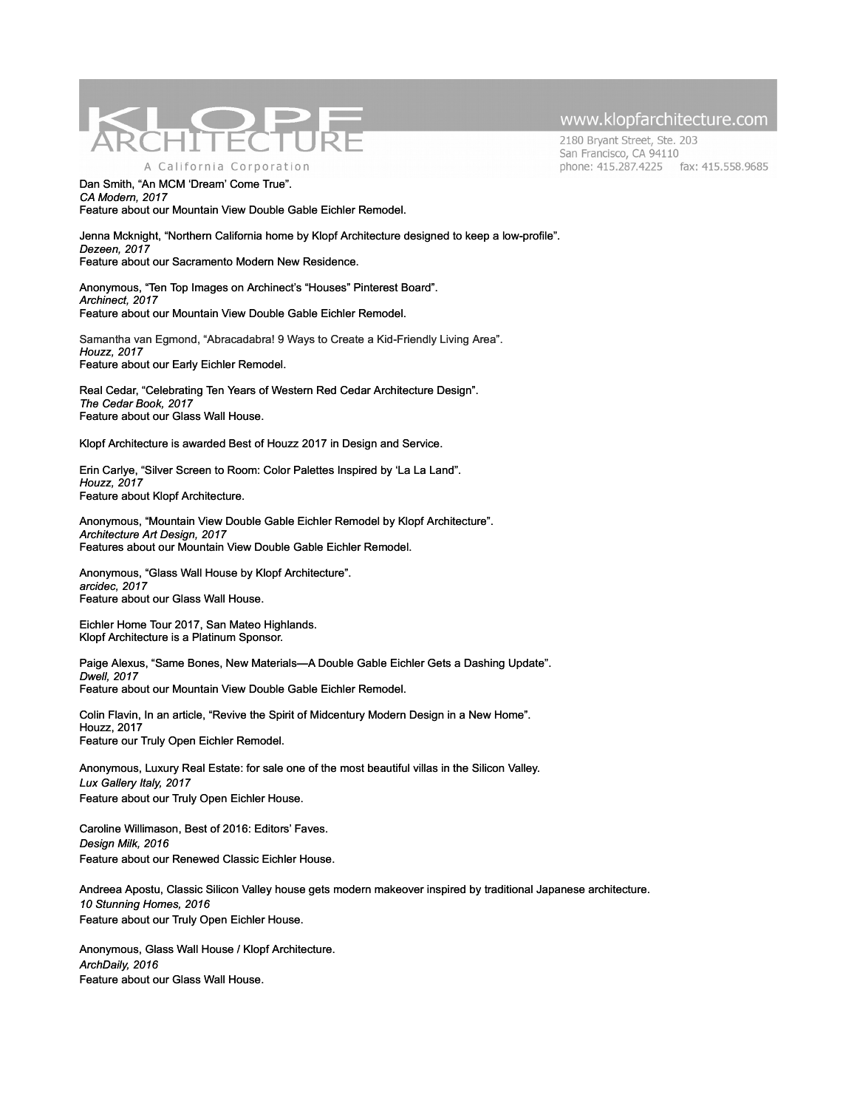

2180 Bryant Street, Ste. 203 San Francisco, CA 94110 phone: 415.287.4225 fax: 415.558.9685

Dan Smith, "An MCM 'Dream' Come True". *CA Modern, 2017* Feature about our Mountain View Double Gable Eichler Remodel.

Jenna Mcknight, "Northern California home by Klopf Architecture designed to keep a low-profile". *Dezeen, 2017* Feature about our Sacramento Modern New Residence.

Anonymous, "Ten Top Images on Archinect's "Houses" Pinterest Board". *Archinect, 2017* Feature about our Mountain View Double Gable Eichler Remodel.

Samantha van Egmond, "Abracadabra! 9 Ways to Create a Kid-Friendly Living Area". *Houzz, 2017* Feature about our Early Eichler Remodel.

Real Cedar, "Celebrating Ten Years of Western Red Cedar Architecture Design". *The Cedar Book, 2017* Feature about our Glass Wall House.

Klopf Architecture is awarded Best of Houzz 2017 in Design and Service.

Erin Carlye, "Silver Screen to Room: Color Palettes Inspired by 'La La Land". *Houzz, 2017* Feature about Klopf Architecture.

Anonymous, "Mountain View Double Gable Eichler Remodel by Klopf Architecture". *Architecture Art Design, 2017* Features about our Mountain View Double Gable Eichler Remodel.

Anonymous, "Glass Wall House by Klopf Architecture". *arcidec, 2017*  Feature about our Glass Wall House.

Eichler Home Tour 2017, San Mateo Highlands. Klopf Architecture is a Platinum Sponsor.

Paige Alexus, "Same Bones, New Materials—A Double Gable Eichler Gets a Dashing Update". *Dwell, 2017* Feature about our Mountain View Double Gable Eichler Remodel.

Colin Flavin, In an article, "Revive the Spirit of Midcentury Modern Design in a New Home". Houzz, 2017 Feature our Truly Open Eichler Remodel.

Anonymous, Luxury Real Estate: for sale one of the most beautiful villas in the Silicon Valley. *Lux Gallery Italy, 2017* Feature about our Truly Open Eichler House.

Caroline Willimason, Best of 2016: Editors' Faves. *Design Milk, 2016* Feature about our Renewed Classic Eichler House.

Andreea Apostu, Classic Silicon Valley house gets modern makeover inspired by traditional Japanese architecture. *10 Stunning Homes, 2016* Feature about our Truly Open Eichler House.

Anonymous, Glass Wall House / Klopf Architecture. *ArchDaily, 2016* Feature about our Glass Wall House.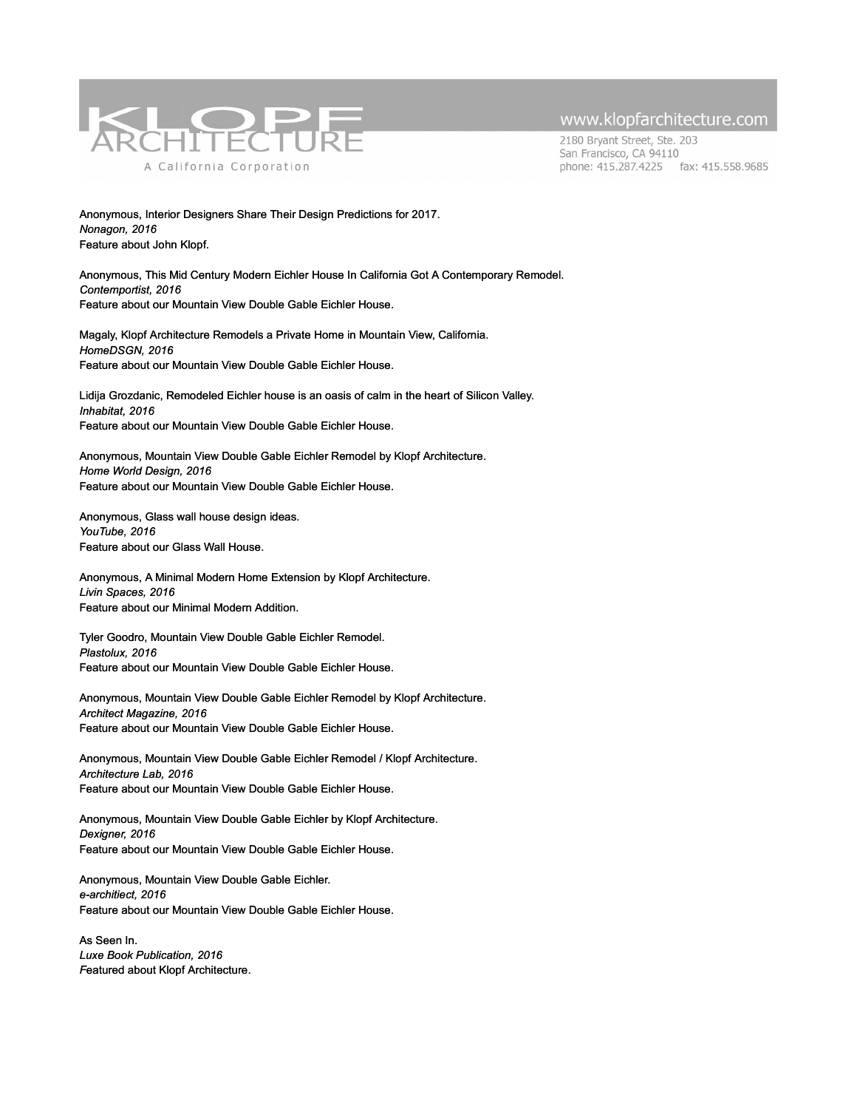

2180 Bryant Street, Ste. 203 San Francisco, CA 94110 phone: 415.287.4225 fax: 415.558.9685

Anonymous, Interior Designers Share Their Design Predictions for 2017. *Nonagon, 2016* Feature about John Klopf.

Anonymous, This Mid Century Modern Eichler House In California Got A Contemporary Remodel. *Contemportist, 2016* Feature about our Mountain View Double Gable Eichler House.

Magaly, Klopf Architecture Remodels a Private Home in Mountain View, California. *HomeDSGN, 2016* Feature about our Mountain View Double Gable Eichler House.

Lidija Grozdanic, Remodeled Eichler house is an oasis of calm in the heart of Silicon Valley. *Inhabitat, 2016* Feature about our Mountain View Double Gable Eichler House.

Anonymous, Mountain View Double Gable Eichler Remodel by Klopf Architecture. *Home World Design, 2016* Feature about our Mountain View Double Gable Eichler House.

Anonymous, Glass wall house design ideas. *YouTube, 2016* Feature about our Glass Wall House.

Anonymous, A Minimal Modern Home Extension by Klopf Architecture. *Livin Spaces, 2016* Feature about our Minimal Modern Addition.

Tyler Goodro, Mountain View Double Gable Eichler Remodel. *Plastolux, 2016* Feature about our Mountain View Double Gable Eichler House.

Anonymous, Mountain View Double Gable Eichler Remodel by Klopf Architecture. *Architect Magazine, 2016* Feature about our Mountain View Double Gable Eichler House.

Anonymous, Mountain View Double Gable Eichler Remodel / Klopf Architecture. *Architecture Lab, 2016* Feature about our Mountain View Double Gable Eichler House.

Anonymous, Mountain View Double Gable Eichler by Klopf Architecture. *Dexigner, 2016* Feature about our Mountain View Double Gable Eichler House.

Anonymous, Mountain View Double Gable Eichler. *e-architiect, 2016* Feature about our Mountain View Double Gable Eichler House.

As Seen In. *Luxe Book Publication, 2016 F*eatured about Klopf Architecture.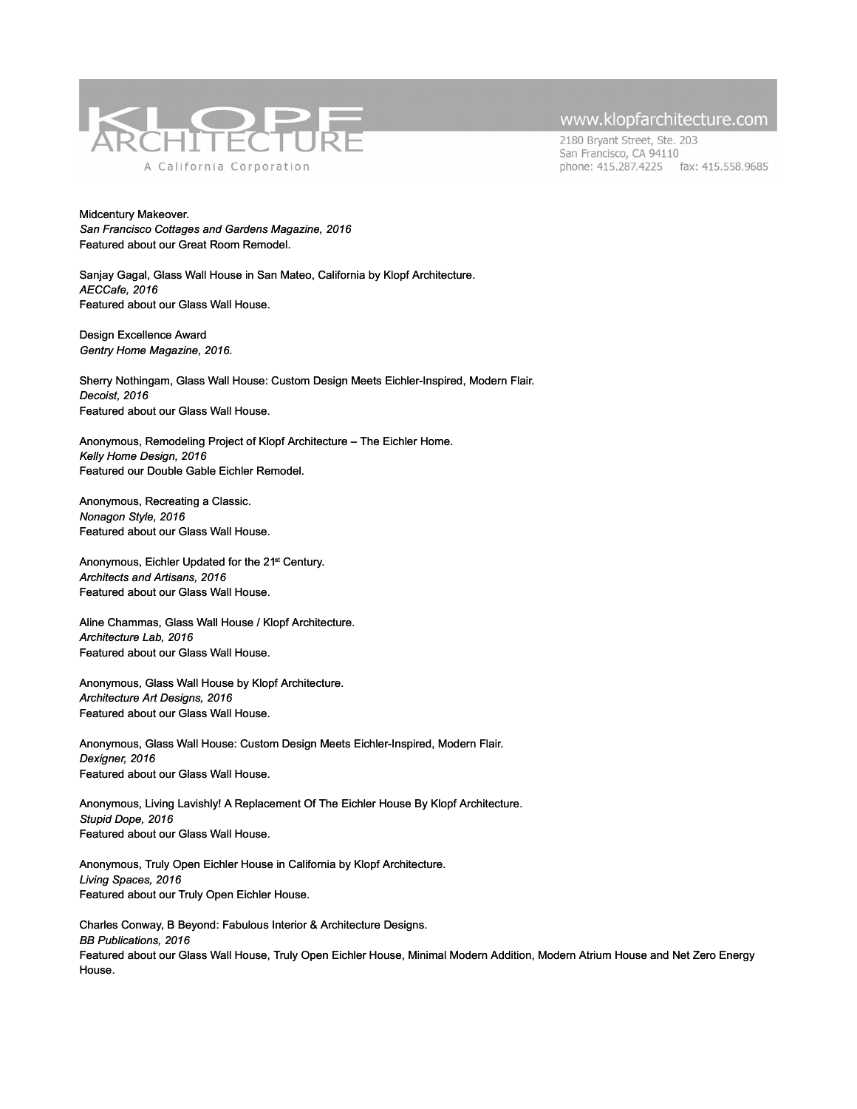

2180 Bryant Street, Ste. 203 San Francisco, CA 94110 phone: 415.287.4225 fax: 415.558.9685

Midcentury Makeover. *San Francisco Cottages and Gardens Magazine, 2016* Featured about our Great Room Remodel.

Sanjay Gagal, Glass Wall House in San Mateo, California by Klopf Architecture. *AECCafe, 2016* Featured about our Glass Wall House.

Design Excellence Award *Gentry Home Magazine, 2016.*

Sherry Nothingam, Glass Wall House: Custom Design Meets Eichler-Inspired, Modern Flair. *Decoist, 2016* Featured about our Glass Wall House.

Anonymous, Remodeling Project of Klopf Architecture – The Eichler Home. *Kelly Home Design, 2016* Featured our Double Gable Eichler Remodel.

Anonymous, Recreating a Classic. *Nonagon Style, 2016* Featured about our Glass Wall House.

Anonymous, Eichler Updated for the 21st Century. *Architects and Artisans, 2016* Featured about our Glass Wall House.

Aline Chammas, Glass Wall House / Klopf Architecture. *Architecture Lab, 2016* Featured about our Glass Wall House.

Anonymous, Glass Wall House by Klopf Architecture. *Architecture Art Designs, 2016* Featured about our Glass Wall House.

Anonymous, Glass Wall House: Custom Design Meets Eichler-Inspired, Modern Flair. *Dexigner, 2016* Featured about our Glass Wall House.

Anonymous, Living Lavishly! A Replacement Of The Eichler House By Klopf Architecture. *Stupid Dope, 2016* Featured about our Glass Wall House.

Anonymous, Truly Open Eichler House in California by Klopf Architecture. *Living Spaces, 2016* Featured about our Truly Open Eichler House.

Charles Conway, B Beyond: Fabulous Interior & Architecture Designs. *BB Publications, 2016* Featured about our Glass Wall House, Truly Open Eichler House, Minimal Modern Addition, Modern Atrium House and Net Zero Energy House.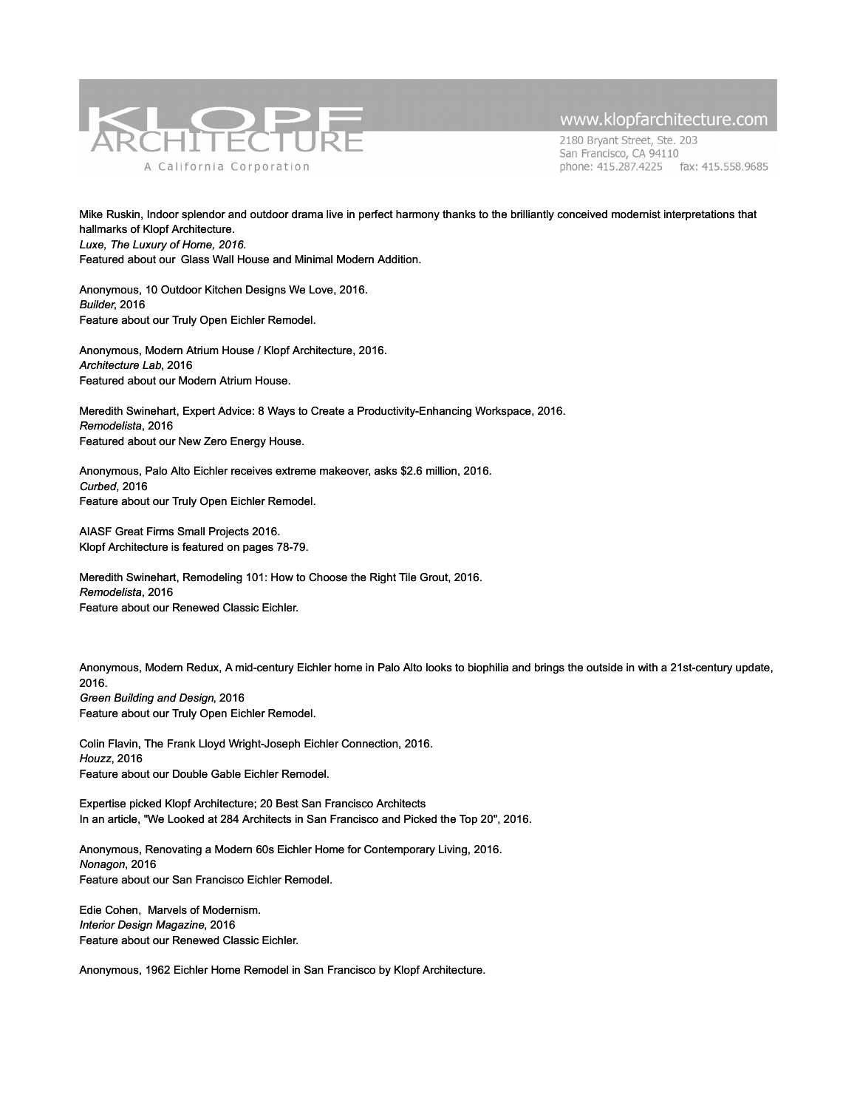

2180 Bryant Street, Ste. 203 San Francisco, CA 94110 phone: 415.287.4225 fax: 415.558.9685

Mike Ruskin, Indoor splendor and outdoor drama live in perfect harmony thanks to the brilliantly conceived modernist interpretations that hallmarks of Klopf Architecture. *Luxe, The Luxury of Home, 2016.* Featured about our Glass Wall House and Minimal Modern Addition.

Anonymous, 10 Outdoor Kitchen Designs We Love, 2016. *Builder*, 2016 Feature about our Truly Open Eichler Remodel.

Anonymous, Modern Atrium House / Klopf Architecture, 2016. *Architecture Lab*, 2016 Featured about our Modern Atrium House.

Meredith Swinehart, Expert Advice: 8 Ways to Create a Productivity-Enhancing Workspace, 2016. *Remodelista*, 2016 Featured about our New Zero Energy House.

Anonymous, Palo Alto Eichler receives extreme makeover, asks \$2.6 million, 2016. *Curbed*, 2016 Feature about our Truly Open Eichler Remodel.

AIASF Great Firms Small Projects 2016. Klopf Architecture is featured on pages 78-79.

Meredith Swinehart, Remodeling 101: How to Choose the Right Tile Grout, 2016. *Remodelista*, 2016 Feature about our Renewed Classic Eichler.

Anonymous, Modern Redux, A mid-century Eichler home in Palo Alto looks to biophilia and brings the outside in with a 21st-century update, 2016.

*Green Building and Design*, 2016 Feature about our Truly Open Eichler Remodel.

Colin Flavin, The Frank Lloyd Wright-Joseph Eichler Connection, 2016. *Houzz*, 2016 Feature about our Double Gable Eichler Remodel.

Expertise picked Klopf Architecture; 20 Best San Francisco Architects In an article, "We Looked at 284 Architects in San Francisco and Picked the Top 20", 2016.

Anonymous, Renovating a Modern 60s Eichler Home for Contemporary Living, 2016. *Nonagon*, 2016 Feature about our San Francisco Eichler Remodel.

Edie Cohen, Marvels of Modernism. *Interior Design Magazine*, 2016 Feature about our Renewed Classic Eichler.

Anonymous, 1962 Eichler Home Remodel in San Francisco by Klopf Architecture.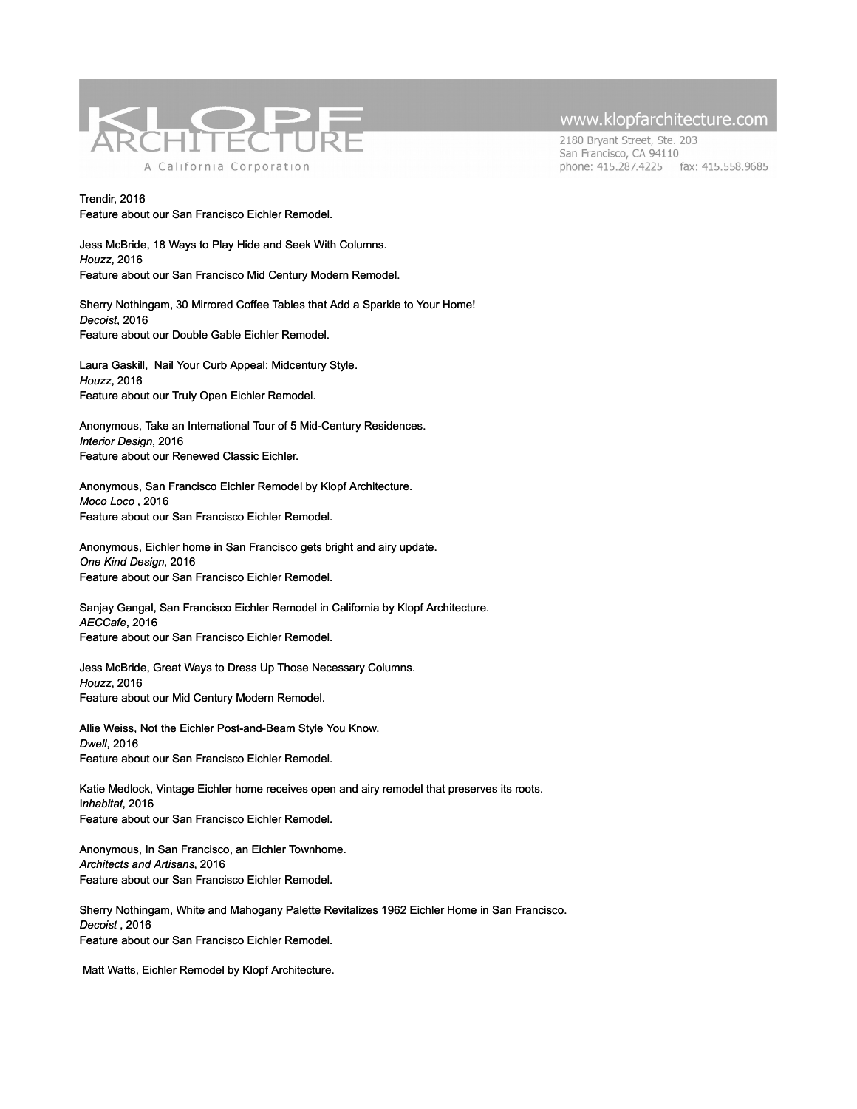

2180 Bryant Street, Ste. 203 San Francisco, CA 94110 phone: 415.287.4225 fax: 415.558.9685

Trendir, 2016 Feature about our San Francisco Eichler Remodel.

Jess McBride, 18 Ways to Play Hide and Seek With Columns. *Houzz*, 2016 Feature about our San Francisco Mid Century Modern Remodel.

Sherry Nothingam, 30 Mirrored Coffee Tables that Add a Sparkle to Your Home! *Decoist*, 2016 Feature about our Double Gable Eichler Remodel.

Laura Gaskill, Nail Your Curb Appeal: Midcentury Style. *Houzz*, 2016 Feature about our Truly Open Eichler Remodel.

Anonymous, Take an International Tour of 5 Mid-Century Residences. *Interior Design*, 2016 Feature about our Renewed Classic Eichler.

Anonymous, San Francisco Eichler Remodel by Klopf Architecture. *Moco Loco* , 2016 Feature about our San Francisco Eichler Remodel.

Anonymous, Eichler home in San Francisco gets bright and airy update. *One Kind Design*, 2016 Feature about our San Francisco Eichler Remodel.

Sanjay Gangal, San Francisco Eichler Remodel in California by Klopf Architecture. *AECCafe*, 2016 Feature about our San Francisco Eichler Remodel.

Jess McBride, Great Ways to Dress Up Those Necessary Columns. *Houzz*, 2016 Feature about our Mid Century Modern Remodel.

Allie Weiss, Not the Eichler Post-and-Beam Style You Know. *Dwell*, 2016 Feature about our San Francisco Eichler Remodel.

Katie Medlock, Vintage Eichler home receives open and airy remodel that preserves its roots. I*nhabitat*, 2016 Feature about our San Francisco Eichler Remodel.

Anonymous, In San Francisco, an Eichler Townhome. *Architects and Artisans*, 2016 Feature about our San Francisco Eichler Remodel.

Sherry Nothingam, White and Mahogany Palette Revitalizes 1962 Eichler Home in San Francisco. *Decoist* , 2016 Feature about our San Francisco Eichler Remodel.

Matt Watts, Eichler Remodel by Klopf Architecture.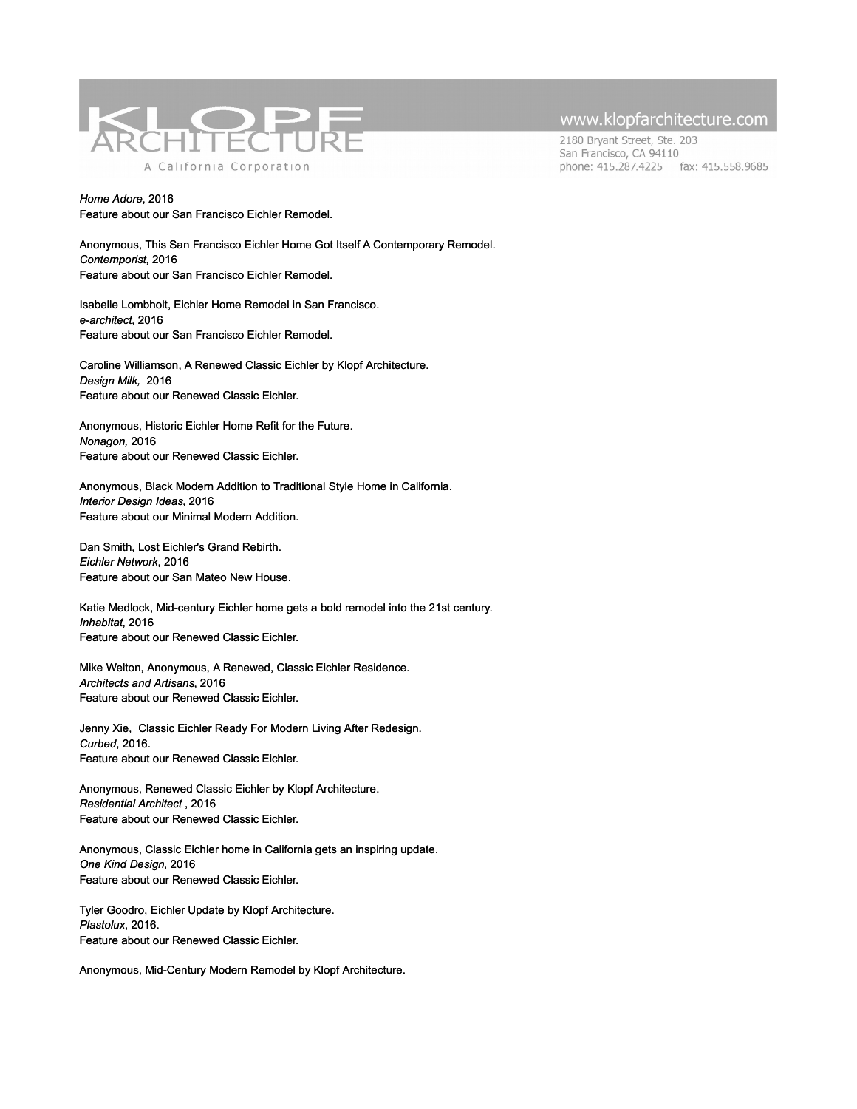

2180 Bryant Street, Ste. 203 San Francisco, CA 94110 phone: 415.287.4225 fax: 415.558.9685

*Home Adore*, 2016 Feature about our San Francisco Eichler Remodel.

Anonymous, This San Francisco Eichler Home Got Itself A Contemporary Remodel. *Contemporist*, 2016 Feature about our San Francisco Eichler Remodel.

Isabelle Lombholt, Eichler Home Remodel in San Francisco. *e-architect*, 2016 Feature about our San Francisco Eichler Remodel.

Caroline Williamson, A Renewed Classic Eichler by Klopf Architecture. *Design Milk,* 2016 Feature about our Renewed Classic Eichler.

Anonymous, Historic Eichler Home Refit for the Future. *Nonagon,* 2016 Feature about our Renewed Classic Eichler.

Anonymous, Black Modern Addition to Traditional Style Home in California. *Interior Design Ideas*, 2016 Feature about our Minimal Modern Addition.

Dan Smith, Lost Eichler's Grand Rebirth. *Eichler Network*, 2016 Feature about our San Mateo New House.

Katie Medlock, Mid-century Eichler home gets a bold remodel into the 21st century. *Inhabitat*, 2016 Feature about our Renewed Classic Eichler.

Mike Welton, Anonymous, A Renewed, Classic Eichler Residence. *Architects and Artisans*, 2016 Feature about our Renewed Classic Eichler.

Jenny Xie, Classic Eichler Ready For Modern Living After Redesign. *Curbed*, 2016. Feature about our Renewed Classic Eichler.

Anonymous, Renewed Classic Eichler by Klopf Architecture. *Residential Architect* , 2016 Feature about our Renewed Classic Eichler.

Anonymous, Classic Eichler home in California gets an inspiring update. *One Kind Design*, 2016 Feature about our Renewed Classic Eichler.

Tyler Goodro, Eichler Update by Klopf Architecture. *Plastolux*, 2016. Feature about our Renewed Classic Eichler.

Anonymous, Mid-Century Modern Remodel by Klopf Architecture.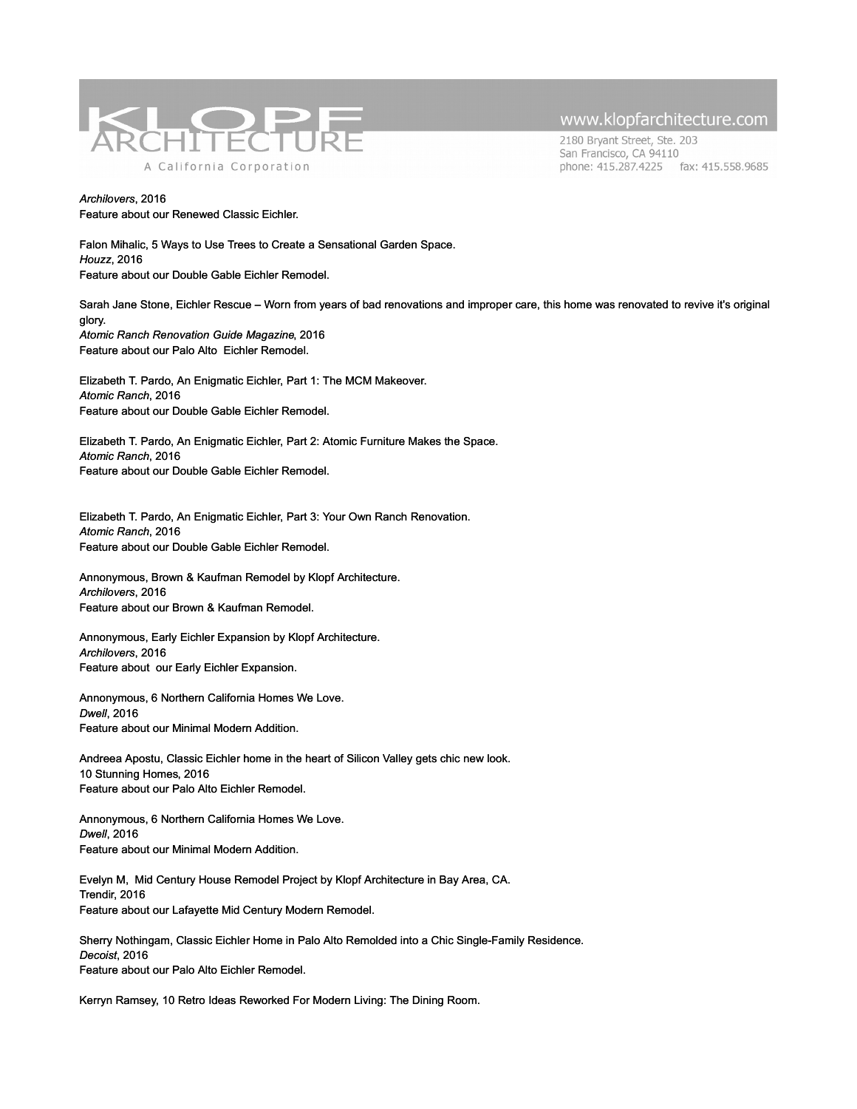

2180 Bryant Street, Ste. 203 San Francisco, CA 94110 phone: 415.287.4225 fax: 415.558.9685

*Archilovers*, 2016 Feature about our Renewed Classic Eichler.

Falon Mihalic, 5 Ways to Use Trees to Create a Sensational Garden Space. *Houzz*, 2016 Feature about our Double Gable Eichler Remodel.

Sarah Jane Stone, Eichler Rescue – Worn from years of bad renovations and improper care, this home was renovated to revive it's original glory. *Atomic Ranch Renovation Guide Magazine*, 2016 Feature about our Palo Alto Eichler Remodel.

Elizabeth T. Pardo, An Enigmatic Eichler, Part 1: The MCM Makeover. *Atomic Ranch*, 2016 Feature about our Double Gable Eichler Remodel.

Elizabeth T. Pardo, An Enigmatic Eichler, Part 2: Atomic Furniture Makes the Space. *Atomic Ranch*, 2016 Feature about our Double Gable Eichler Remodel.

Elizabeth T. Pardo, An Enigmatic Eichler, Part 3: Your Own Ranch Renovation. *Atomic Ranch*, 2016 Feature about our Double Gable Eichler Remodel.

Annonymous, Brown & Kaufman Remodel by Klopf Architecture. *Archilovers*, 2016 Feature about our Brown & Kaufman Remodel.

Annonymous, Early Eichler Expansion by Klopf Architecture. *Archilovers*, 2016 Feature about our Early Eichler Expansion.

Annonymous, 6 Northern California Homes We Love. *Dwell*, 2016 Feature about our Minimal Modern Addition.

Andreea Apostu, Classic Eichler home in the heart of Silicon Valley gets chic new look. 10 Stunning Homes, 2016 Feature about our Palo Alto Eichler Remodel.

Annonymous, 6 Northern California Homes We Love. *Dwell*, 2016 Feature about our Minimal Modern Addition.

Evelyn M, Mid Century House Remodel Project by Klopf Architecture in Bay Area, CA. Trendir, 2016 Feature about our Lafayette Mid Century Modern Remodel.

Sherry Nothingam, Classic Eichler Home in Palo Alto Remolded into a Chic Single-Family Residence. *Decoist*, 2016 Feature about our Palo Alto Eichler Remodel.

Kerryn Ramsey, 10 Retro Ideas Reworked For Modern Living: The Dining Room.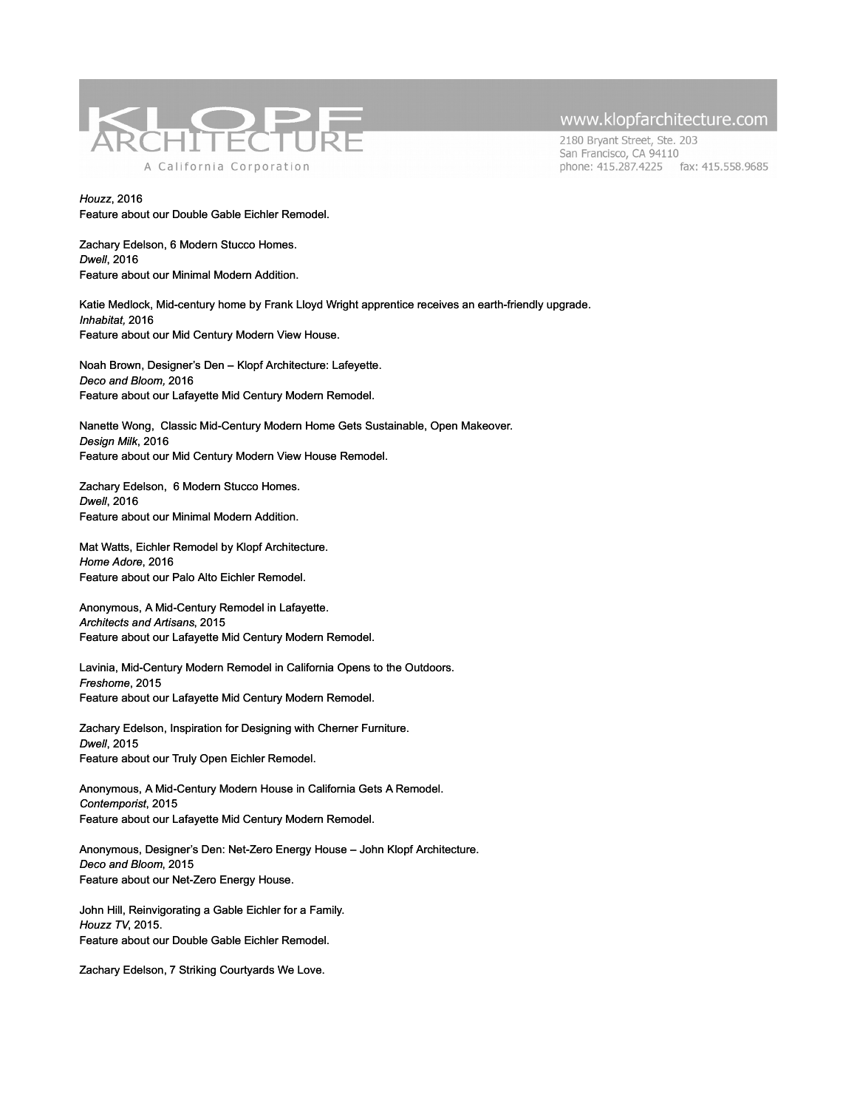

2180 Bryant Street, Ste. 203 San Francisco, CA 94110 phone: 415.287.4225 fax: 415.558.9685

*Houzz*, 2016 Feature about our Double Gable Eichler Remodel.

Zachary Edelson, 6 Modern Stucco Homes. *Dwell*, 2016 Feature about our Minimal Modern Addition.

Katie Medlock, Mid-century home by Frank Lloyd Wright apprentice receives an earth-friendly upgrade. *Inhabitat,* 2016 Feature about our Mid Century Modern View House.

Noah Brown, Designer's Den – Klopf Architecture: Lafeyette. *Deco and Bloom,* 2016 Feature about our Lafayette Mid Century Modern Remodel.

Nanette Wong, Classic Mid-Century Modern Home Gets Sustainable, Open Makeover. *Design Milk*, 2016 Feature about our Mid Century Modern View House Remodel.

Zachary Edelson, 6 Modern Stucco Homes. *Dwell*, 2016 Feature about our Minimal Modern Addition.

Mat Watts, Eichler Remodel by Klopf Architecture. *Home Adore*, 2016 Feature about our Palo Alto Eichler Remodel.

Anonymous, A Mid-Century Remodel in Lafayette. *Architects and Artisans*, 2015 Feature about our Lafayette Mid Century Modern Remodel.

Lavinia, Mid-Century Modern Remodel in California Opens to the Outdoors. *Freshome*, 2015 Feature about our Lafayette Mid Century Modern Remodel.

Zachary Edelson, Inspiration for Designing with Cherner Furniture. *Dwell*, 2015 Feature about our Truly Open Eichler Remodel.

Anonymous, A Mid-Century Modern House in California Gets A Remodel. *Contemporist*, 2015 Feature about our Lafayette Mid Century Modern Remodel.

Anonymous, Designer's Den: Net-Zero Energy House – John Klopf Architecture. *Deco and Bloom*, 2015 Feature about our Net-Zero Energy House.

John Hill, Reinvigorating a Gable Eichler for a Family. *Houzz TV*, 2015. Feature about our Double Gable Eichler Remodel.

Zachary Edelson, 7 Striking Courtyards We Love.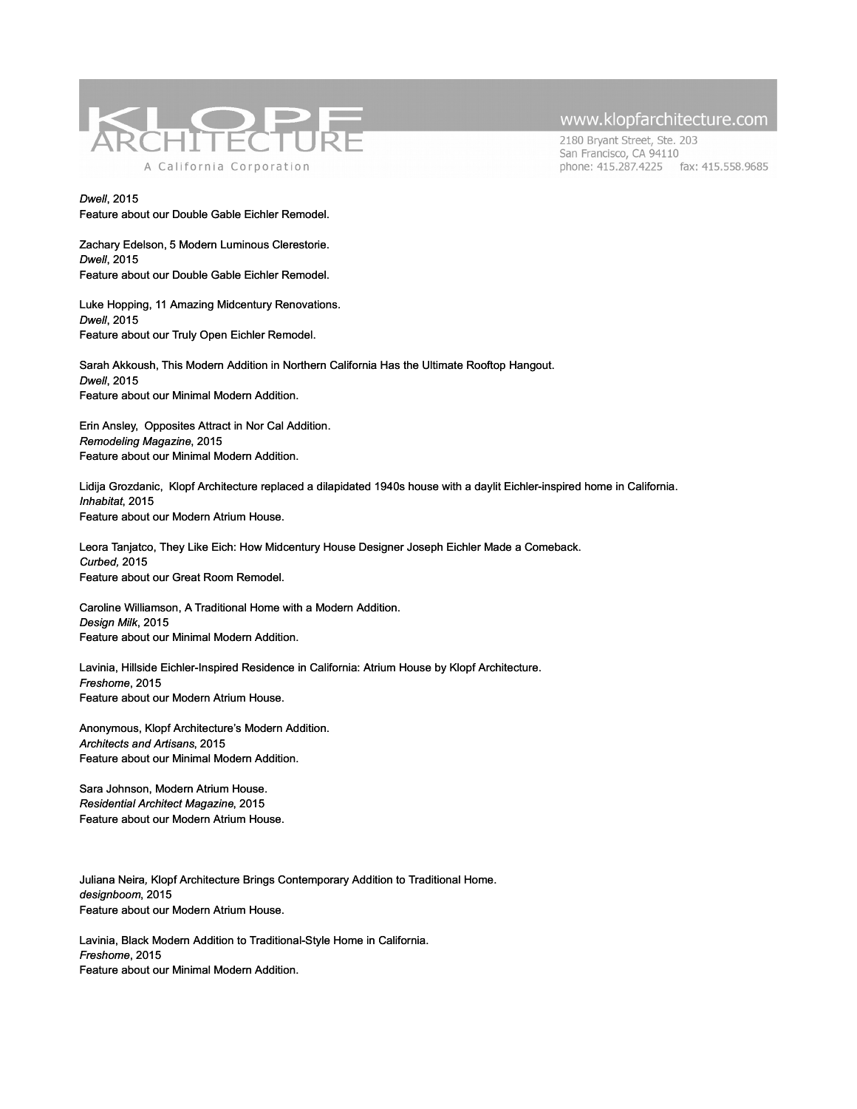

2180 Bryant Street, Ste. 203 San Francisco, CA 94110 phone: 415.287.4225 fax: 415.558.9685

*Dwell*, 2015 Feature about our Double Gable Eichler Remodel.

Zachary Edelson, 5 Modern Luminous Clerestorie. *Dwell*, 2015 Feature about our Double Gable Eichler Remodel.

Luke Hopping, 11 Amazing Midcentury Renovations. *Dwell*, 2015 Feature about our Truly Open Eichler Remodel.

Sarah Akkoush, This Modern Addition in Northern California Has the Ultimate Rooftop Hangout. *Dwell*, 2015 Feature about our Minimal Modern Addition.

Erin Ansley, Opposites Attract in Nor Cal Addition. *Remodeling Magazine*, 2015 Feature about our Minimal Modern Addition.

Lidija Grozdanic, Klopf Architecture replaced a dilapidated 1940s house with a daylit Eichler-inspired home in California. *Inhabitat*, 2015 Feature about our Modern Atrium House.

Leora Tanjatco, They Like Eich: How Midcentury House Designer Joseph Eichler Made a Comeback. *Curbed,* 2015 Feature about our Great Room Remodel.

Caroline Williamson, A Traditional Home with a Modern Addition. *Design Milk*, 2015 Feature about our Minimal Modern Addition.

Lavinia, Hillside Eichler-Inspired Residence in California: Atrium House by Klopf Architecture. *Freshome*, 2015 Feature about our Modern Atrium House.

Anonymous, Klopf Architecture's Modern Addition. *Architects and Artisans*, 2015 Feature about our Minimal Modern Addition.

Sara Johnson, Modern Atrium House. *Residential Architect Magazine*, 2015 Feature about our Modern Atrium House.

Juliana Neira*,* Klopf Architecture Brings Contemporary Addition to Traditional Home. *designboom*, 2015 Feature about our Modern Atrium House.

Lavinia, Black Modern Addition to Traditional-Style Home in California. *Freshome*, 2015 Feature about our Minimal Modern Addition.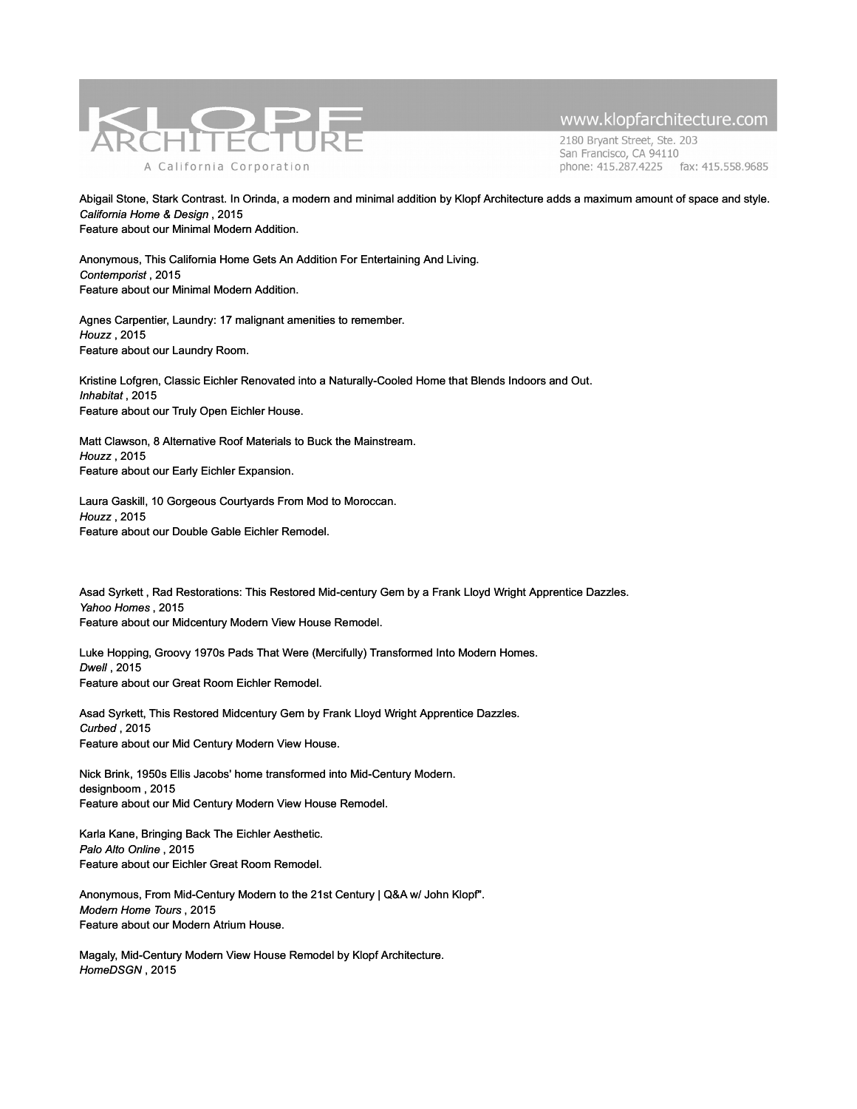

2180 Bryant Street, Ste. 203 San Francisco, CA 94110 phone: 415.287.4225 fax: 415.558.9685

Abigail Stone, Stark Contrast. In Orinda, a modern and minimal addition by Klopf Architecture adds a maximum amount of space and style. *California Home & Design* , 2015 Feature about our Minimal Modern Addition.

Anonymous, This California Home Gets An Addition For Entertaining And Living. *Contemporist* , 2015 Feature about our Minimal Modern Addition.

Agnes Carpentier, Laundry: 17 malignant amenities to remember. *Houzz* , 2015 Feature about our Laundry Room.

Kristine Lofgren, Classic Eichler Renovated into a Naturally-Cooled Home that Blends Indoors and Out. *Inhabitat* , 2015 Feature about our Truly Open Eichler House.

Matt Clawson, 8 Alternative Roof Materials to Buck the Mainstream. *Houzz* , 2015 Feature about our Early Eichler Expansion.

Laura Gaskill, 10 Gorgeous Courtyards From Mod to Moroccan. *Houzz* , 2015 Feature about our Double Gable Eichler Remodel.

Asad Syrkett , Rad Restorations: This Restored Mid-century Gem by a Frank Lloyd Wright Apprentice Dazzles. *Yahoo Homes* , 2015 Feature about our Midcentury Modern View House Remodel.

Luke Hopping, Groovy 1970s Pads That Were (Mercifully) Transformed Into Modern Homes. *Dwell* , 2015 Feature about our Great Room Eichler Remodel.

Asad Syrkett, This Restored Midcentury Gem by Frank Lloyd Wright Apprentice Dazzles. *Curbed* , 2015 Feature about our Mid Century Modern View House.

Nick Brink, 1950s Ellis Jacobs' home transformed into Mid-Century Modern. designboom , 2015 Feature about our Mid Century Modern View House Remodel.

Karla Kane, Bringing Back The Eichler Aesthetic. *Palo Alto Online* , 2015 Feature about our Eichler Great Room Remodel.

Anonymous, From Mid-Century Modern to the 21st Century | Q&A w/ John Klopf". *Modern Home Tours* , 2015 Feature about our Modern Atrium House.

Magaly, Mid-Century Modern View House Remodel by Klopf Architecture. *HomeDSGN* , 2015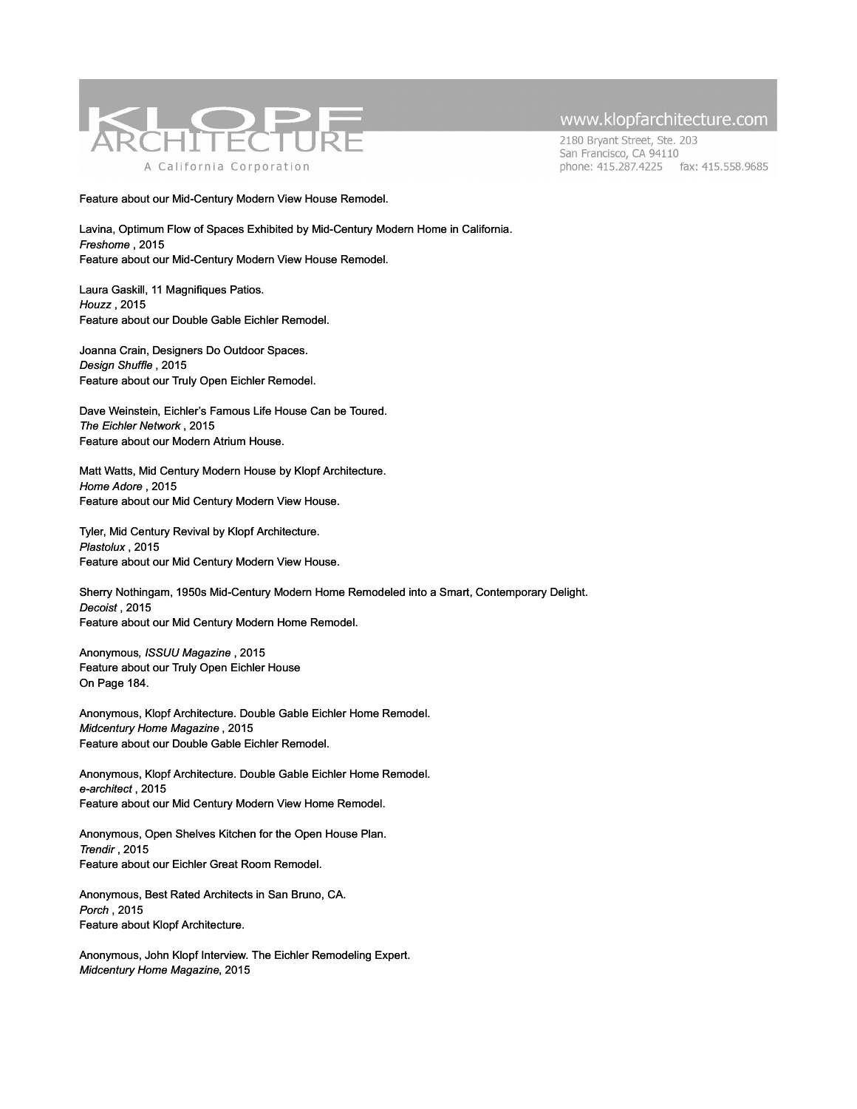

2180 Bryant Street, Ste. 203 San Francisco, CA 94110 phone: 415.287.4225 fax: 415.558.9685

Feature about our Mid-Century Modern View House Remodel.

Lavina, Optimum Flow of Spaces Exhibited by Mid-Century Modern Home in California. *Freshome* , 2015 Feature about our Mid-Century Modern View House Remodel.

Laura Gaskill, 11 Magnifiques Patios. *Houzz* , 2015 Feature about our Double Gable Eichler Remodel.

Joanna Crain, Designers Do Outdoor Spaces. *Design Shuffle* , 2015 Feature about our Truly Open Eichler Remodel.

Dave Weinstein, Eichler's Famous Life House Can be Toured. *The Eichler Network* , 2015 Feature about our Modern Atrium House.

Matt Watts, Mid Century Modern House by Klopf Architecture. *Home Adore* , 2015 Feature about our Mid Century Modern View House.

Tyler, Mid Century Revival by Klopf Architecture. *Plastolux* , 2015 Feature about our Mid Century Modern View House.

Sherry Nothingam, 1950s Mid-Century Modern Home Remodeled into a Smart, Contemporary Delight. *Decoist* , 2015 Feature about our Mid Century Modern Home Remodel.

Anonymous*, ISSUU Magazine* , 2015 Feature about our Truly Open Eichler House On Page 184.

Anonymous, Klopf Architecture. Double Gable Eichler Home Remodel. *Midcentury Home Magazine* , 2015 Feature about our Double Gable Eichler Remodel.

Anonymous, Klopf Architecture. Double Gable Eichler Home Remodel. *e-architect* , 2015 Feature about our Mid Century Modern View Home Remodel.

Anonymous, Open Shelves Kitchen for the Open House Plan. *Trendir* , 2015 Feature about our Eichler Great Room Remodel.

Anonymous, Best Rated Architects in San Bruno, CA. *Porch* , 2015 Feature about Klopf Architecture.

Anonymous, John Klopf Interview. The Eichler Remodeling Expert. *Midcentury Home Magazine*, 2015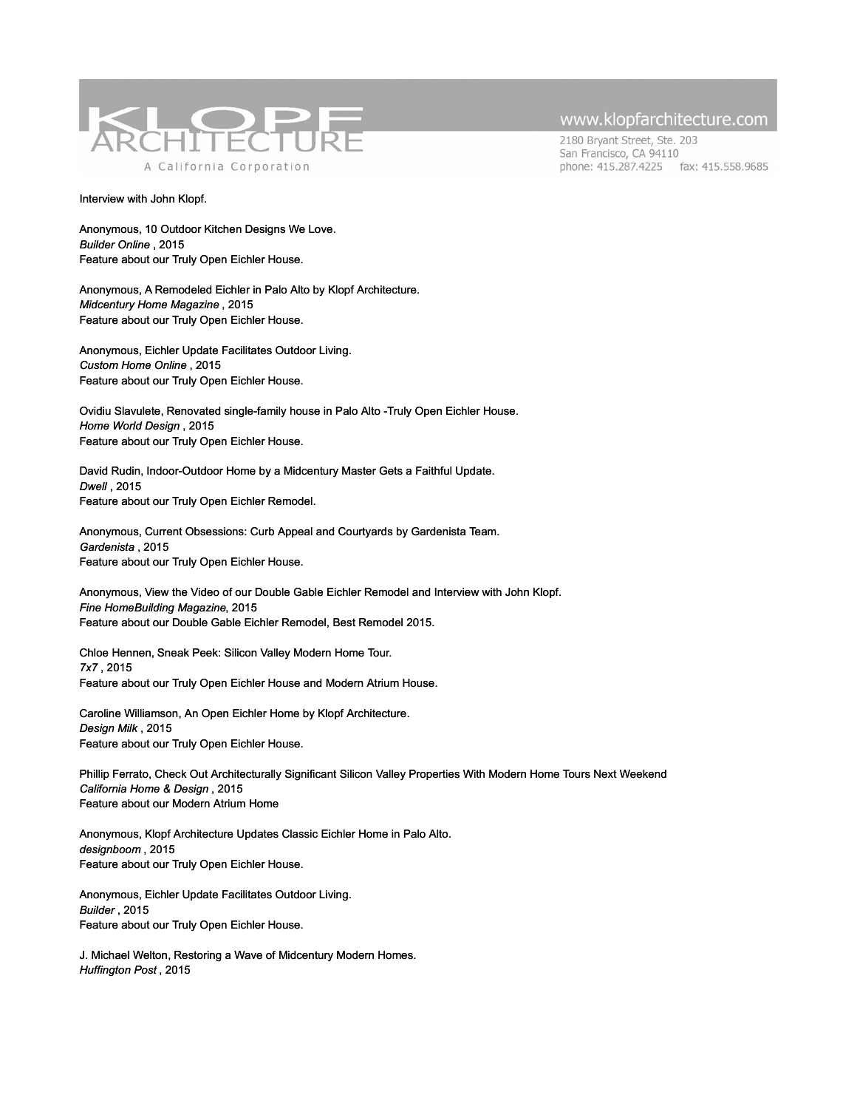

2180 Bryant Street, Ste. 203 San Francisco, CA 94110 phone: 415.287.4225 fax: 415.558.9685

#### Interview with John Klopf.

Anonymous, 10 Outdoor Kitchen Designs We Love. *Builder Online* , 2015 Feature about our Truly Open Eichler House.

Anonymous, A Remodeled Eichler in Palo Alto by Klopf Architecture. *Midcentury Home Magazine* , 2015 Feature about our Truly Open Eichler House.

Anonymous, Eichler Update Facilitates Outdoor Living. *Custom Home Online* , 2015 Feature about our Truly Open Eichler House.

Ovidiu Slavulete, Renovated single-family house in Palo Alto -Truly Open Eichler House. *Home World Design* , 2015 Feature about our Truly Open Eichler House.

David Rudin, Indoor-Outdoor Home by a Midcentury Master Gets a Faithful Update. *Dwell* , 2015 Feature about our Truly Open Eichler Remodel.

Anonymous, Current Obsessions: Curb Appeal and Courtyards by Gardenista Team. *Gardenista* , 2015 Feature about our Truly Open Eichler House.

Anonymous, View the Video of our Double Gable Eichler Remodel and Interview with John Klopf. *Fine HomeBuilding Magazine*, 2015 Feature about our Double Gable Eichler Remodel, Best Remodel 2015.

Chloe Hennen, Sneak Peek: Silicon Valley Modern Home Tour. *7x7* , 2015 Feature about our Truly Open Eichler House and Modern Atrium House.

Caroline Williamson, An Open Eichler Home by Klopf Architecture. *Design Milk* , 2015 Feature about our Truly Open Eichler House.

Phillip Ferrato, Check Out Architecturally Significant Silicon Valley Properties With Modern Home Tours Next Weekend *California Home & Design* , 2015 Feature about our Modern Atrium Home

Anonymous, Klopf Architecture Updates Classic Eichler Home in Palo Alto. *designboom* , 2015 Feature about our Truly Open Eichler House.

Anonymous, Eichler Update Facilitates Outdoor Living. *Builder* , 2015 Feature about our Truly Open Eichler House.

J. Michael Welton, Restoring a Wave of Midcentury Modern Homes. *Huffington Post* , 2015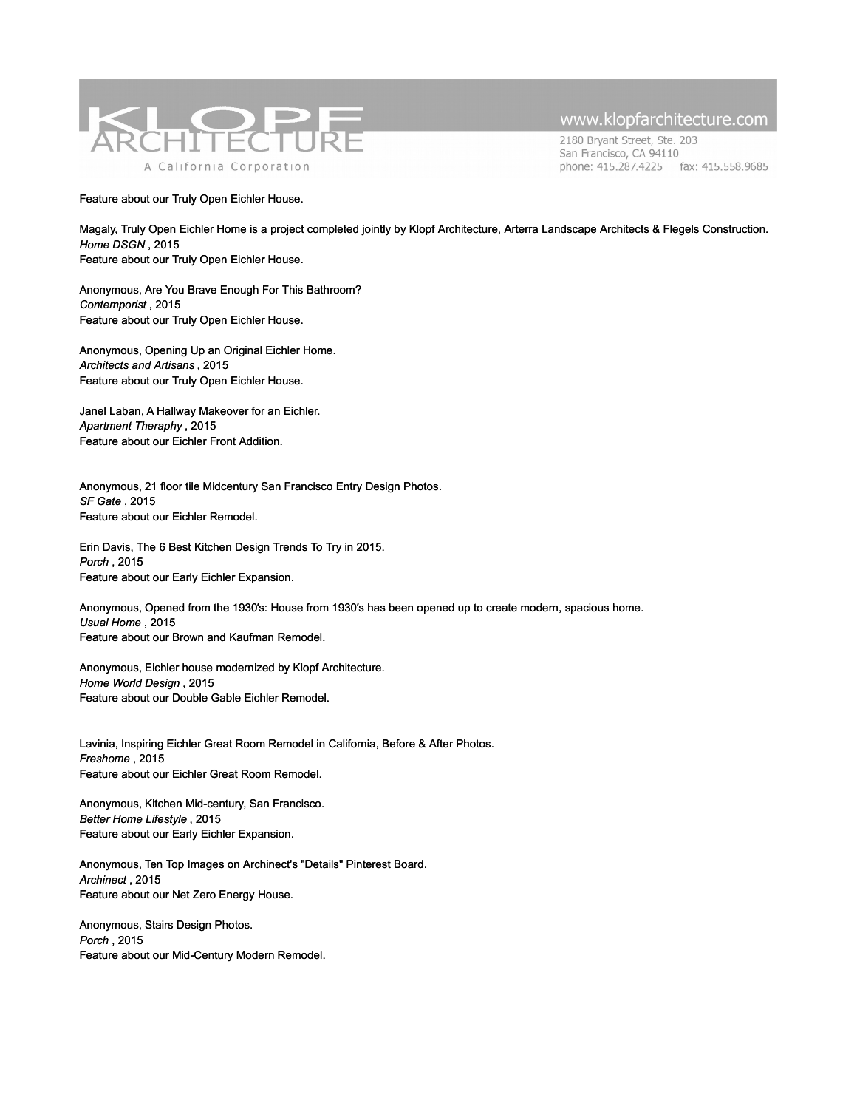

2180 Bryant Street, Ste. 203 San Francisco, CA 94110 phone: 415.287.4225 fax: 415.558.9685

#### Feature about our Truly Open Eichler House.

Magaly, Truly Open Eichler Home is a project completed jointly by Klopf Architecture, Arterra Landscape Architects & Flegels Construction. *Home DSGN* , 2015 Feature about our Truly Open Eichler House.

Anonymous, Are You Brave Enough For This Bathroom? *Contemporist* , 2015 Feature about our Truly Open Eichler House.

Anonymous, Opening Up an Original Eichler Home. *Architects and Artisans* , 2015 Feature about our Truly Open Eichler House.

Janel Laban, A Hallway Makeover for an Eichler. *Apartment Theraphy* , 2015 Feature about our Eichler Front Addition.

Anonymous, 21 floor tile Midcentury San Francisco Entry Design Photos. *SF Gate* , 2015 Feature about our Eichler Remodel.

Erin Davis, The 6 Best Kitchen Design Trends To Try in 2015. *Porch* , 2015 Feature about our Early Eichler Expansion.

Anonymous, Opened from the 1930′s: House from 1930′s has been opened up to create modern, spacious home. *Usual Home* , 2015 Feature about our Brown and Kaufman Remodel.

Anonymous, Eichler house modernized by Klopf Architecture. *Home World Design* , 2015 Feature about our Double Gable Eichler Remodel.

Lavinia, Inspiring Eichler Great Room Remodel in California, Before & After Photos. *Freshome* , 2015 Feature about our Eichler Great Room Remodel.

Anonymous, Kitchen Mid-century, San Francisco. *Better Home Lifestyle* , 2015 Feature about our Early Eichler Expansion.

Anonymous, Ten Top Images on Archinect's "Details" Pinterest Board. *Archinect* , 2015 Feature about our Net Zero Energy House.

Anonymous, Stairs Design Photos. *Porch* , 2015 Feature about our Mid-Century Modern Remodel.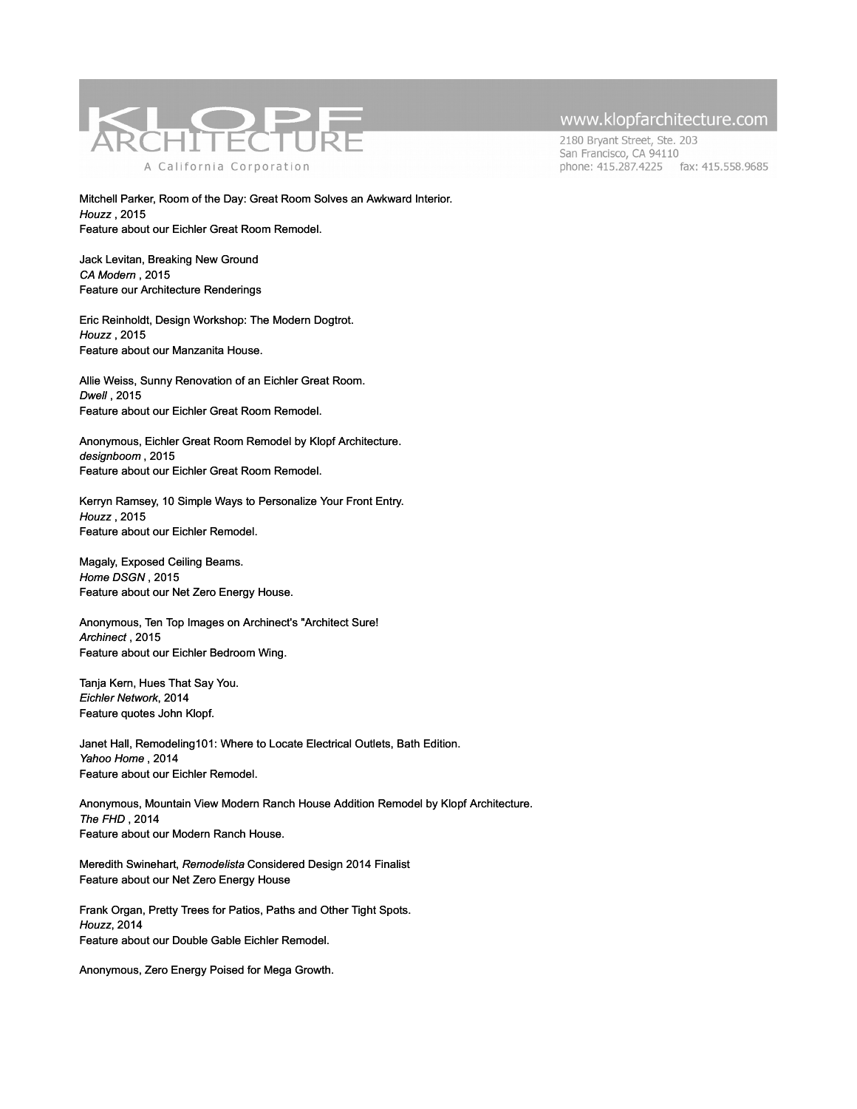

2180 Bryant Street, Ste. 203 San Francisco, CA 94110 phone: 415.287.4225 fax: 415.558.9685

Mitchell Parker, Room of the Day: Great Room Solves an Awkward Interior. *Houzz* , 2015 Feature about our Eichler Great Room Remodel.

Jack Levitan, Breaking New Ground *CA Modern* , 2015 Feature our Architecture Renderings

Eric Reinholdt, Design Workshop: The Modern Dogtrot. *Houzz* , 2015 Feature about our Manzanita House.

Allie Weiss, Sunny Renovation of an Eichler Great Room. *Dwell* , 2015 Feature about our Eichler Great Room Remodel.

Anonymous, Eichler Great Room Remodel by Klopf Architecture. *designboom* , 2015 Feature about our Eichler Great Room Remodel.

Kerryn Ramsey, 10 Simple Ways to Personalize Your Front Entry. *Houzz* , 2015 Feature about our Eichler Remodel.

Magaly, Exposed Ceiling Beams. *Home DSGN* , 2015 Feature about our Net Zero Energy House.

Anonymous, Ten Top Images on Archinect's "Architect Sure! *Archinect* , 2015 Feature about our Eichler Bedroom Wing.

Tanja Kern, Hues That Say You. *Eichler Network*, 2014 Feature quotes John Klopf.

Janet Hall, Remodeling101: Where to Locate Electrical Outlets, Bath Edition. *Yahoo Home* , 2014 Feature about our Eichler Remodel.

Anonymous, Mountain View Modern Ranch House Addition Remodel by Klopf Architecture. *The FHD* , 2014 Feature about our Modern Ranch House.

Meredith Swinehart, *Remodelista* Considered Design 2014 Finalist Feature about our Net Zero Energy House

Frank Organ, Pretty Trees for Patios, Paths and Other Tight Spots. *Houzz*, 2014 Feature about our Double Gable Eichler Remodel.

Anonymous, Zero Energy Poised for Mega Growth.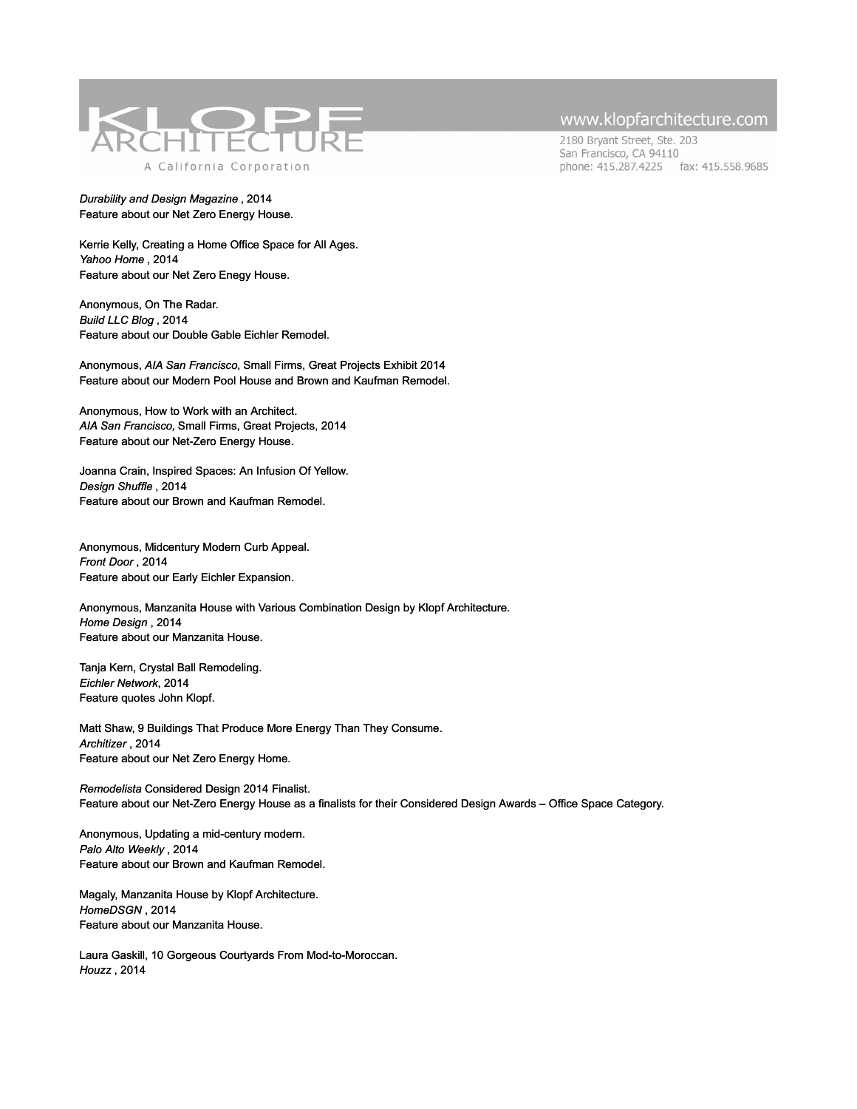

#### *Durability and Design Magazine* , 2014 Feature about our Net Zero Energy House.

Kerrie Kelly, Creating a Home Office Space for All Ages. *Yahoo Home* , 2014 Feature about our Net Zero Enegy House.

Anonymous, On The Radar. *Build LLC Blog* , 2014 Feature about our Double Gable Eichler Remodel.

Anonymous, *AIA San Francisco*, Small Firms, Great Projects Exhibit 2014 Feature about our Modern Pool House and Brown and Kaufman Remodel.

Anonymous, How to Work with an Architect. *AIA San Francisco,* Small Firms, Great Projects, 2014 Feature about our Net-Zero Energy House.

Joanna Crain, Inspired Spaces: An Infusion Of Yellow. *Design Shuffle* , 2014 Feature about our Brown and Kaufman Remodel.

Anonymous, Midcentury Modern Curb Appeal. *Front Door* , 2014 Feature about our Early Eichler Expansion.

Anonymous, Manzanita House with Various Combination Design by Klopf Architecture. *Home Design* , 2014 Feature about our Manzanita House.

Tanja Kern, Crystal Ball Remodeling. *Eichler Network*, 2014 Feature quotes John Klopf.

Matt Shaw, 9 Buildings That Produce More Energy Than They Consume. *Architizer* , 2014 Feature about our Net Zero Energy Home.

*Remodelista* Considered Design 2014 Finalist. Feature about our Net-Zero Energy House as a finalists for their Considered Design Awards – Office Space Category.

Anonymous, Updating a mid-century modern. *Palo Alto Weekly* , 2014 Feature about our Brown and Kaufman Remodel.

Magaly, Manzanita House by Klopf Architecture. *HomeDSGN* , 2014 Feature about our Manzanita House.

Laura Gaskill, 10 Gorgeous Courtyards From Mod-to-Moroccan. *Houzz* , 2014

### www.klopfarchitecture.com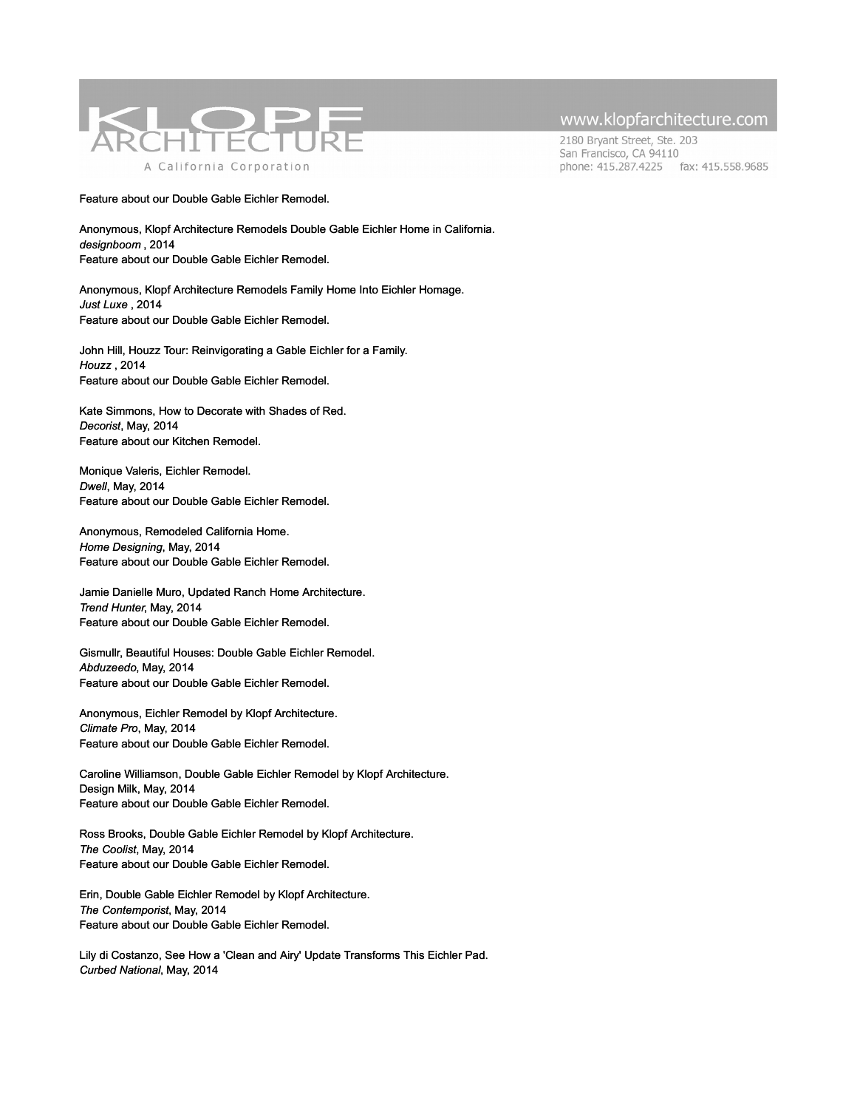

2180 Bryant Street, Ste. 203 San Francisco, CA 94110 phone: 415.287.4225 fax: 415.558.9685

Feature about our Double Gable Eichler Remodel.

Anonymous, Klopf Architecture Remodels Double Gable Eichler Home in California. *designboom* , 2014 Feature about our Double Gable Eichler Remodel.

Anonymous, Klopf Architecture Remodels Family Home Into Eichler Homage. *Just Luxe* , 2014 Feature about our Double Gable Eichler Remodel.

John Hill, Houzz Tour: Reinvigorating a Gable Eichler for a Family. *Houzz* , 2014 Feature about our Double Gable Eichler Remodel.

Kate Simmons, How to Decorate with Shades of Red. *Decorist*, May, 2014 [Feature about our Kitchen Remodel.](http://www.houzz.com/photos/midcentury/exterior)

Monique Valeris, Eichler Remodel. *Dwell*, May, 2014 [Feature about our Double Gable Eichler Remodel.](http://www.houzz.com/photos/midcentury/exterior)

Anonymous, Remodeled California Home. *Home Designing*, May, 2014 [Feature about our Double Gable Eichler Remodel.](http://www.houzz.com/photos/midcentury/exterior) 

Jamie Danielle Muro, Updated Ranch Home Architecture. *Trend Hunter*, May, 2014 [Feature about our Double Gable Eichler Remodel.](http://www.houzz.com/photos/midcentury/exterior) 

Gismullr, Beautiful Houses: Double Gable Eichler Remodel. *Abduzeedo*, May, 2014 [Feature about our Double Gable Eichler Remodel.](http://www.houzz.com/photos/midcentury/exterior) 

Anonymous, Eichler Remodel by Klopf Architecture. *Climate Pro*, May, 2014 [Feature about our Double Gable Eichler Remodel.](http://www.houzz.com/photos/midcentury/exterior) 

Caroline Williamson, Double Gable Eichler Remodel by Klopf Architecture. Design Milk, May, 2014 [Feature about our Double Gable Eichler Remodel.](http://www.houzz.com/photos/midcentury/exterior) 

Ross Brooks, Double Gable Eichler Remodel by Klopf Architecture. *The Coolist*, May, 2014 [Feature about our Double Gable Eichler Remodel.](http://www.houzz.com/photos/midcentury/exterior) 

Erin, Double Gable Eichler Remodel by Klopf Architecture. *The Contemporist*, May, 2014 [Feature about our Double Gable Eichler Remodel.](http://www.houzz.com/photos/midcentury/exterior) 

Lily di Costanzo, See How a 'Clean and Airy' Update Transforms This Eichler Pad. *Curbed National*, May, 2014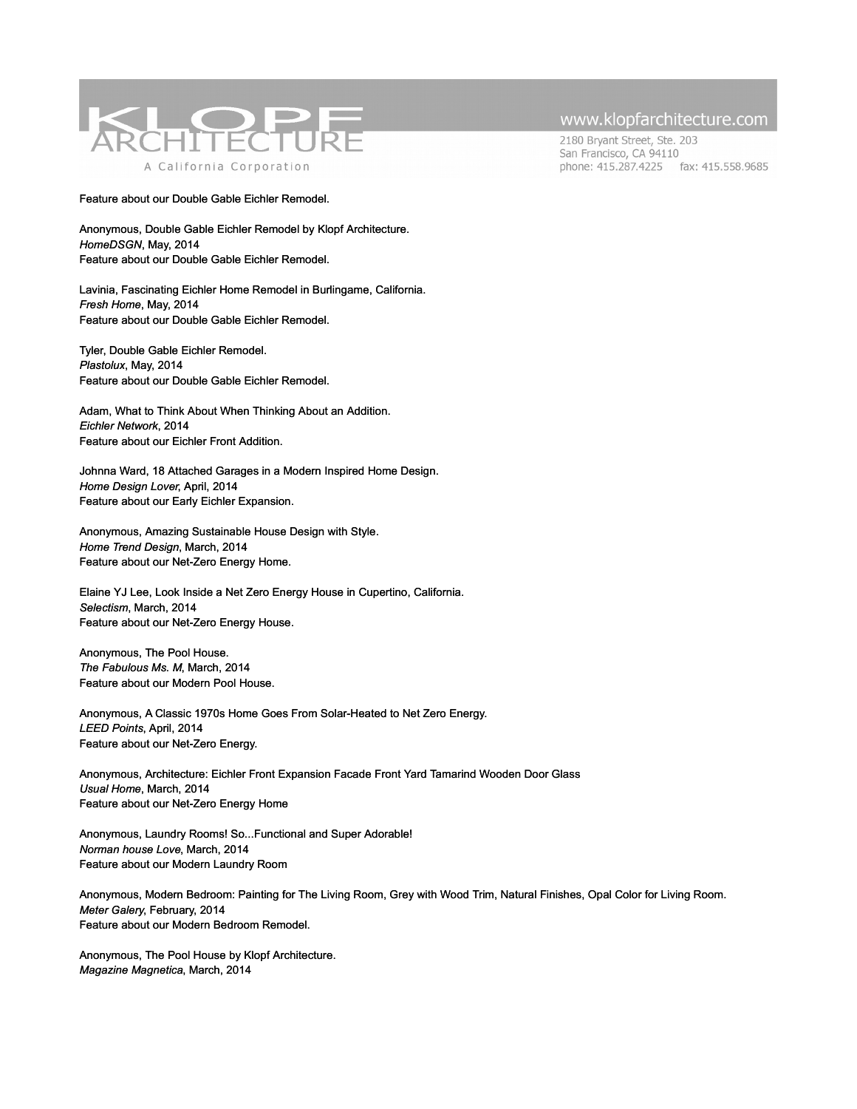

2180 Bryant Street, Ste. 203 San Francisco, CA 94110 phone: 415.287.4225 fax: 415.558.9685

[Feature about our Double Gable Eichler Remodel.](http://www.houzz.com/photos/midcentury/exterior) 

Anonymous, Double Gable Eichler Remodel by Klopf Architecture. *HomeDSGN*, May, 2014 [Feature about our Double Gable Eichler Remodel.](http://www.houzz.com/photos/midcentury/exterior) 

Lavinia, Fascinating Eichler Home Remodel in Burlingame, California. *Fresh Home*, May, 2014 [Feature about our Double Gable Eichler Remodel.](http://www.houzz.com/photos/midcentury/exterior) 

Tyler, Double Gable Eichler Remodel. *Plastolux*, May, 2014 [Feature about our Double Gable Eichler Remodel.](http://www.houzz.com/photos/midcentury/exterior) 

Adam, What to Think About When Thinking About an Addition. *Eichler Network*, 2014 [Feature about our Eichler Front Addition.](http://www.houzz.com/photos/midcentury/exterior) 

Johnna Ward, 18 Attached Garages in a Modern Inspired Home Design. *Home Design Lover*, April, 2014 [Feature about our Early Eichler Expansion.](http://www.houzz.com/photos/midcentury/exterior)

Anonymous, Amazing Sustainable House Design with Style. *Home Trend Design*, March, 2014 [Feature about our Net-Zero Energy Home.](http://www.houzz.com/photos/midcentury/exterior)

Elaine YJ Lee, Look Inside a Net Zero Energy House in Cupertino, California. *Selectism*, March, 2014 [Feature about our Net-Zero Energy House.](http://www.houzz.com/photos/midcentury/exterior)

Anonymous, The Pool House. *The Fabulous Ms. M*, March, 2014 [Feature about our Modern Pool House.](http://www.houzz.com/photos/midcentury/exterior)

Anonymous, A Classic 1970s Home Goes From Solar-Heated to Net Zero Energy. *LEED Points*, April, 2014 [Feature about our Net-Zero Energy.](http://www.houzz.com/photos/midcentury/exterior)

Anonymous, Architecture: Eichler Front Expansion Facade Front Yard Tamarind Wooden Door Glass *Usual Home*, March, 2014 [Feature about our Net-Zero Energy Home](http://www.houzz.com/photos/midcentury/exterior)

Anonymous, Laundry Rooms! So...Functional and Super Adorable! *Norman house Love*, March, 2014 [Feature about our Modern Laundry Room](http://www.houzz.com/photos/midcentury/exterior)

Anonymous, Modern Bedroom: Painting for The Living Room, Grey with Wood Trim, Natural Finishes, Opal Color for Living Room. *Meter Galery*, February, 2014 [Feature about our Modern Bedroom Remodel.](http://www.houzz.com/photos/midcentury/exterior)

Anonymous, The Pool House by Klopf Architecture. *Magazine Magnetica*, March, 2014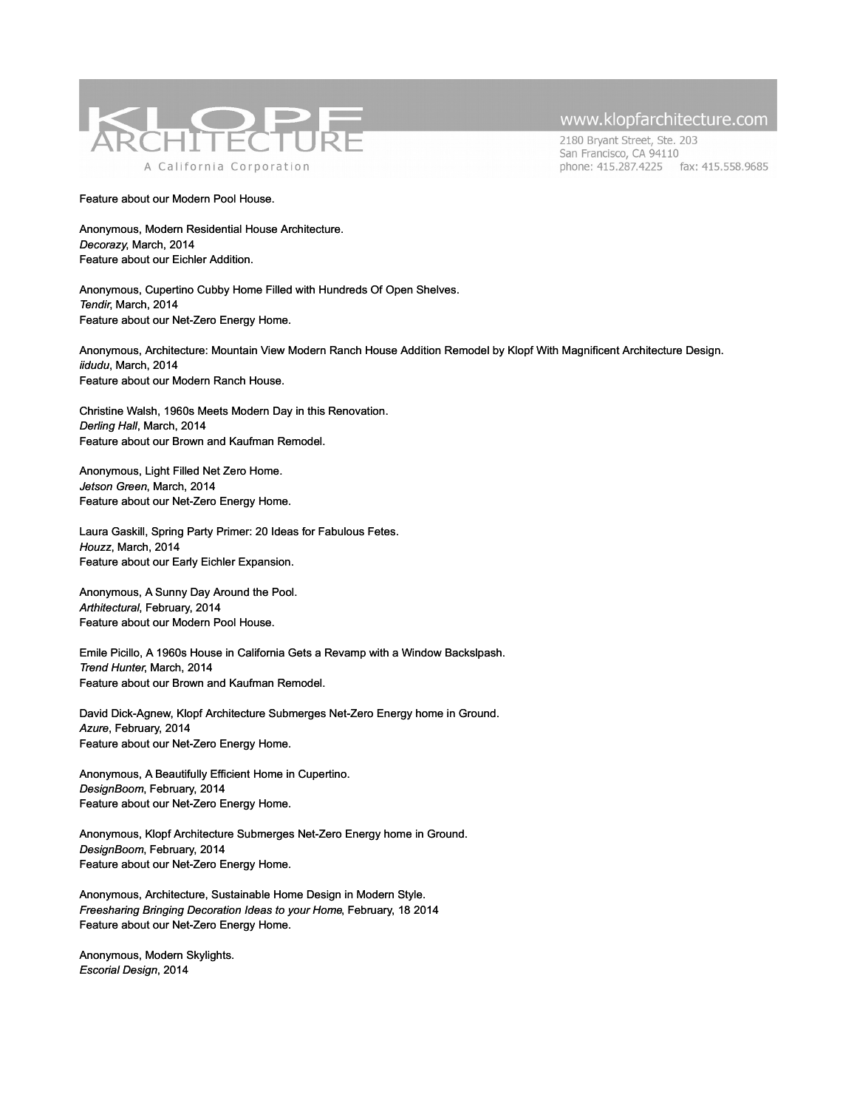

2180 Bryant Street, Ste. 203 San Francisco, CA 94110 phone: 415.287.4225 fax: 415.558.9685

#### [Feature about our Modern Pool House.](http://www.houzz.com/photos/midcentury/exterior)

Anonymous, Modern Residential House Architecture. *Decorazy*, March, 2014 [Feature about our Eichler Addition.](http://www.houzz.com/photos/midcentury/exterior)

Anonymous, Cupertino Cubby Home Filled with Hundreds Of Open Shelves. *Tendir*, March, 2014 [Feature about our Net-Zero Energy Home.](http://www.houzz.com/photos/midcentury/exterior) 

Anonymous, Architecture: Mountain View Modern Ranch House Addition Remodel by Klopf With Magnificent Architecture Design. *iidudu*, March, 2014 [Feature about our Modern Ranch House.](http://www.houzz.com/photos/midcentury/exterior)

Christine Walsh, 1960s Meets Modern Day in this Renovation. *Derling Hall*, March, 2014 [Feature about our Brown and Kaufman Remodel.](http://www.houzz.com/photos/midcentury/exterior)

Anonymous, Light Filled Net Zero Home. *Jetson Green*, March, 2014 [Feature about our Net-Zero Energy Home.](http://www.houzz.com/photos/midcentury/exterior)

Laura Gaskill, Spring Party Primer: 20 Ideas for Fabulous Fetes. *Houzz*, March, 2014 [Feature about our Early Eichler Expansion.](http://www.houzz.com/photos/midcentury/exterior)

Anonymous, A Sunny Day Around the Pool. *Arthitectural*, February, 2014 [Feature about our Modern Pool House.](http://www.houzz.com/photos/midcentury/exterior)

Emile Picillo, A 1960s House in California Gets a Revamp with a Window Backslpash. *Trend Hunter*, March, 2014 [Feature about our Brown and Kaufman Remodel.](http://www.houzz.com/photos/midcentury/exterior)

David Dick-Agnew, Klopf Architecture Submerges Net-Zero Energy home in Ground. *Azure*, February, 2014 [Feature about our Net-Zero Energy Home.](http://www.houzz.com/photos/midcentury/exterior)

Anonymous, A Beautifully Efficient Home in Cupertino. *DesignBoom*, February, 2014 [Feature about our Net-Zero Energy Home.](http://www.houzz.com/photos/midcentury/exterior)

Anonymous, Klopf Architecture Submerges Net-Zero Energy home in Ground. *DesignBoom*, February, 2014 [Feature about our Net-Zero Energy Home.](http://www.houzz.com/photos/midcentury/exterior)

Anonymous, Architecture, Sustainable Home Design in Modern Style. *Freesharing Bringing Decoration Ideas to your Home*, February, 18 2014 [Feature about our Net-Zero Energy Home.](http://www.houzz.com/photos/midcentury/exterior)

Anonymous, Modern Skylights. *Escorial Design*, 2014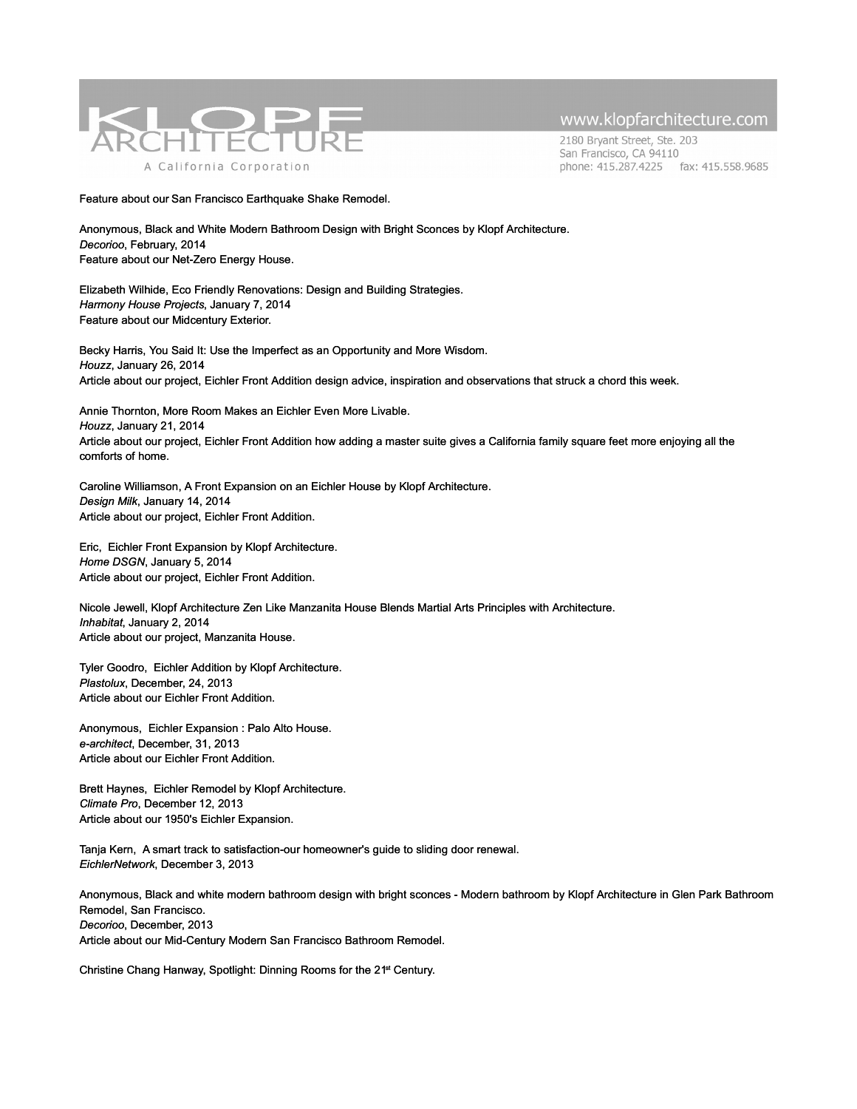

2180 Bryant Street, Ste. 203 San Francisco, CA 94110 phone: 415.287.4225 fax: 415.558.9685

[Feature about our San Francisco Earthquake Shake Remodel.](http://www.houzz.com/photos/midcentury/exterior)

Anonymous, Black and White Modern Bathroom Design with Bright Sconces by Klopf Architecture. *Decorioo*, February, 2014 [Feature about our Net-Zero Energy House.](http://www.houzz.com/photos/midcentury/exterior)

Elizabeth Wilhide, Eco Friendly Renovations: Design and Building Strategies. *Harmony House Projects*, January 7, 2014 [Feature about our Midcentury Exterior.](http://www.houzz.com/photos/midcentury/exterior)

Becky Harris, You Said It: Use the Imperfect as an Opportunity and More Wisdom. *Houzz*, January 26, 2014 Article about our project, Eichler Front Addition design advice, inspiration and observations that struck a chord this week.

Annie Thornton, More Room Makes an Eichler Even More Livable. *Houzz*, January 21, 2014 Article about our project, Eichler Front Addition how adding a master suite gives a California family square feet more enjoying all the comforts of home.

Caroline Williamson, A Front Expansion on an Eichler House by Klopf Architecture. *Design Milk*, January 14, 2014 Article about our project, Eichler Front Addition.

Eric, Eichler Front Expansion by Klopf Architecture. *Home DSGN*, January 5, 2014 Article about our project, Eichler Front Addition.

Nicole Jewell, Klopf Architecture Zen Like Manzanita House Blends Martial Arts Principles with Architecture. *Inhabitat*, January 2, 2014 Article about our project, Manzanita House.

Tyler Goodro, Eichler Addition by Klopf Architecture. *Plastolux*, December, 24, 2013 Article about our Eichler Front Addition.

Anonymous, Eichler Expansion : Palo Alto House. *e-architect*, December, 31, 2013 Article about our Eichler Front Addition.

Brett Haynes, Eichler Remodel by Klopf Architecture. *Climate Pro*, December 12, 2013 Article about our 1950's Eichler Expansion.

Tanja Kern, A smart track to satisfaction-our homeowner's guide to sliding door renewal. *EichlerNetwork*, December 3, 2013

Anonymous, Black and white modern bathroom design with bright sconces - Modern bathroom by Klopf Architecture in Glen Park Bathroom Remodel, San Francisco. *Decorioo*, December, 2013 Article about our Mid-Century Modern San Francisco Bathroom Remodel.

Christine Chang Hanway, Spotlight: Dinning Rooms for the 21st Century.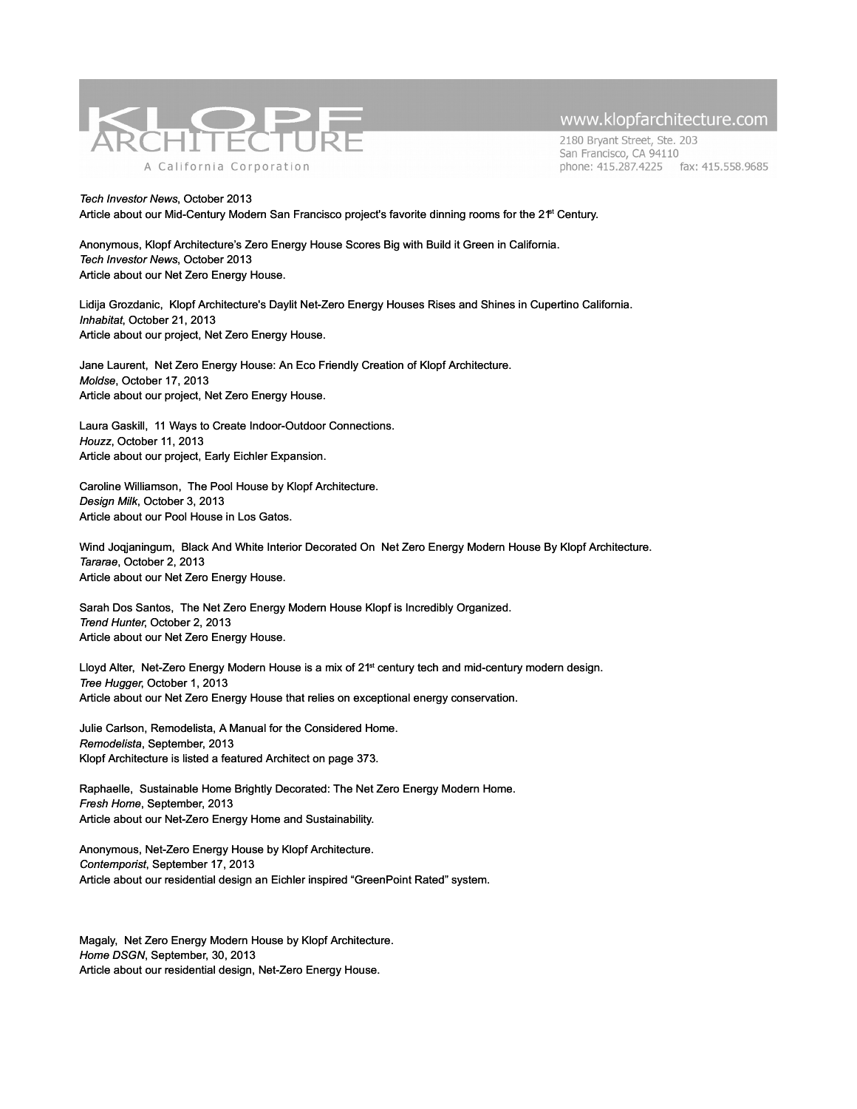

2180 Bryant Street, Ste. 203 San Francisco, CA 94110 phone: 415.287.4225 fax: 415.558.9685

*Tech Investor News*, October 2013 Article about our Mid-Century Modern San Francisco project's favorite dinning rooms for the 2<sup>+</sup> Century.

Anonymous, Klopf Architecture's Zero Energy House Scores Big with Build it Green in California. *Tech Investor News*, October 2013 Article about our Net Zero Energy House.

Lidija Grozdanic, Klopf Architecture's Daylit Net-Zero Energy Houses Rises and Shines in Cupertino California. *Inhabitat*, October 21, 2013 Article about our project, Net Zero Energy House.

Jane Laurent, Net Zero Energy House: An Eco Friendly Creation of Klopf Architecture. *Moldse*, October 17, 2013 Article about our project, Net Zero Energy House.

Laura Gaskill, 11 Ways to Create Indoor-Outdoor Connections. *Houzz*, October 11, 2013 Article about our project, Early Eichler Expansion.

Caroline Williamson, The Pool House by Klopf Architecture. *Design Milk*, October 3, 2013 Article about our Pool House in Los Gatos.

Wind Joqjaningum, Black And White Interior Decorated On Net Zero Energy Modern House By Klopf Architecture. *Tararae*, October 2, 2013 Article about our Net Zero Energy House.

Sarah Dos Santos, The Net Zero Energy Modern House Klopf is Incredibly Organized. *Trend Hunter*, October 2, 2013 Article about our Net Zero Energy House.

Lloyd Alter, Net-Zero Energy Modern House is a mix of 21<sup>st</sup> century tech and mid-century modern design. *Tree Hugger*, October 1, 2013 Article about our Net Zero Energy House that relies on exceptional energy conservation.

Julie Carlson, Remodelista, A Manual for the Considered Home. *Remodelista*, September, 2013 Klopf Architecture is listed a featured Architect on page 373.

Raphaelle, Sustainable Home Brightly Decorated: The Net Zero Energy Modern Home. *Fresh Home*, September, 2013 Article about our Net-Zero Energy Home and Sustainability.

Anonymous, Net-Zero Energy House by Klopf Architecture. *Contemporist*, September 17, 2013 Article about our residential design an Eichler inspired "GreenPoint Rated" system.

Magaly, Net Zero Energy Modern House by Klopf Architecture. *Home DSGN*, September, 30, 2013 Article about our residential design, Net-Zero Energy House.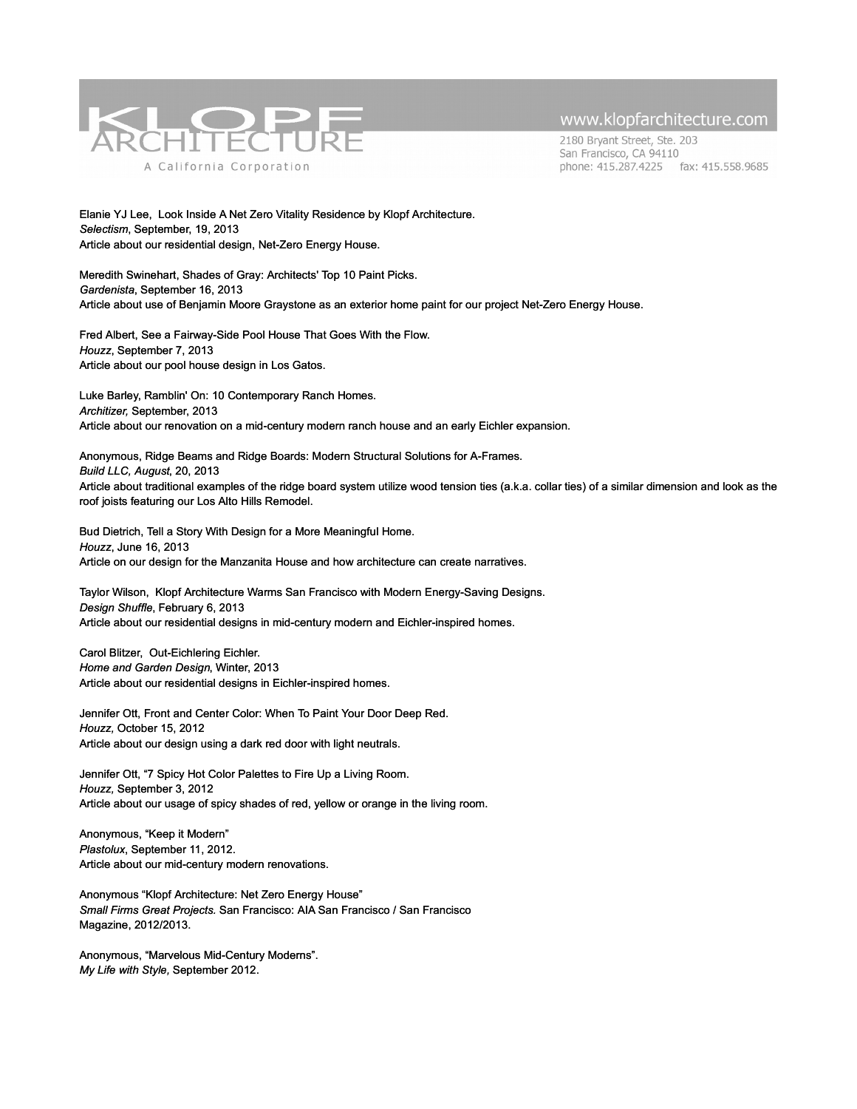

2180 Bryant Street, Ste. 203 San Francisco, CA 94110 phone: 415.287.4225 fax: 415.558.9685

Elanie YJ Lee, Look Inside A Net Zero Vitality Residence by Klopf Architecture. *Selectism*, September, 19, 2013 Article about our residential design, Net-Zero Energy House.

Meredith Swinehart, Shades of Gray: Architects' Top 10 Paint Picks. *Gardenista*, September 16, 2013 Article about use of Benjamin Moore Graystone as an exterior home paint for our project Net-Zero Energy House.

Fred Albert, See a Fairway-Side Pool House That Goes With the Flow. *Houzz*, September 7, 2013 Article about our pool house design in Los Gatos.

Luke Barley, Ramblin' On: 10 Contemporary Ranch Homes. *Architizer,* September, 2013 Article about our renovation on a mid-century modern ranch house and an early Eichler expansion.

Anonymous, Ridge Beams and Ridge Boards: Modern Structural Solutions for A-Frames. *Build LLC, August*, 20, 2013 Article about traditional examples of the ridge board system utilize wood tension ties (a.k.a. collar ties) of a similar dimension and look as the roof joists featuring our Los Alto Hills Remodel.

Bud Dietrich, Tell a Story With Design for a More Meaningful Home. *Houzz*, June 16, 2013 Article on our design for the Manzanita House and how architecture can create narratives.

Taylor Wilson, Klopf Architecture Warms San Francisco with Modern Energy-Saving Designs. *Design Shuffle*, February 6, 2013 Article about our residential designs in mid-century modern and Eichler-inspired homes.

Carol Blitzer, Out-Eichlering Eichler. *Home and Garden Design*, Winter, 2013 Article about our residential designs in Eichler-inspired homes.

Jennifer Ott, Front and Center Color: When To Paint Your Door Deep Red. *Houzz,* October 15, 2012 Article about our design using a dark red door with light neutrals.

Jennifer Ott, "7 Spicy Hot Color Palettes to Fire Up a Living Room. *Houzz,* September 3, 2012 Article about our usage of spicy shades of red, yellow or orange in the living room.

Anonymous, "Keep it Modern" *Plastolux*, September 11, 2012. Article about our mid-century modern renovations.

Anonymous "Klopf Architecture: Net Zero Energy House" *Small Firms Great Projects.* San Francisco: AIA San Francisco / San Francisco Magazine, 2012/2013.

Anonymous, "Marvelous Mid-Century Moderns". *My Life with Style,* September 2012.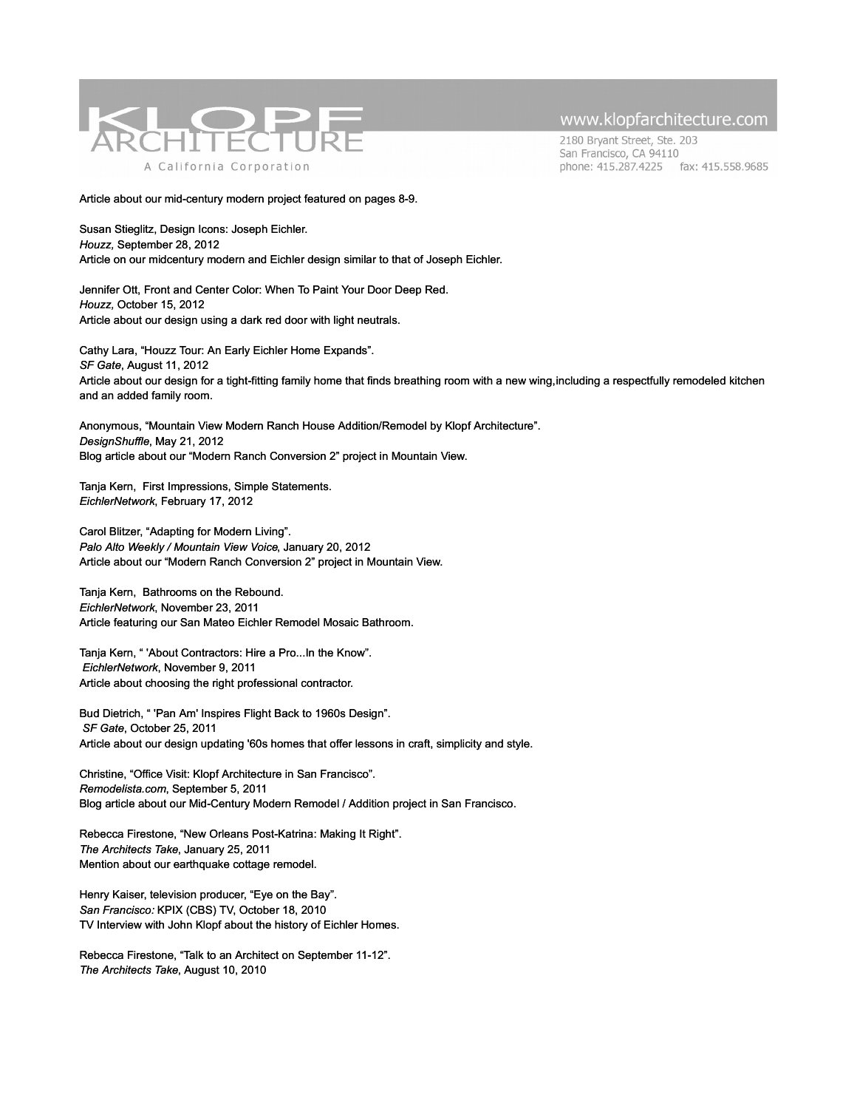

2180 Bryant Street, Ste. 203 San Francisco, CA 94110 phone: 415.287.4225 fax: 415.558.9685

Article about our mid-century modern project featured on pages 8-9.

Susan Stieglitz, Design Icons: Joseph Eichler. *Houzz,* September 28, 2012 Article on our midcentury modern and Eichler design similar to that of Joseph Eichler.

Jennifer Ott, Front and Center Color: When To Paint Your Door Deep Red. *Houzz,* October 15, 2012 Article about our design using a dark red door with light neutrals.

Cathy Lara, "Houzz Tour: An Early Eichler Home Expands". *SF Gate*, August 11, 2012 Article about our design for a tight-fitting family home that finds breathing room with a new wing, including a respectfully remodeled kitchen and an added family room.

Anonymous, "Mountain View Modern Ranch House Addition/Remodel by Klopf Architecture". *DesignShuffle*, May 21, 2012 Blog article about our "Modern Ranch Conversion 2" project in Mountain View.

Tanja Kern, First Impressions, Simple Statements. *EichlerNetwork*, February 17, 2012

Carol Blitzer, "Adapting for Modern Living". *Palo Alto Weekly / Mountain View Voice*, January 20, 2012 Article about our "Modern Ranch Conversion 2" project in Mountain View.

Tanja Kern, Bathrooms on the Rebound. *EichlerNetwork*, November 23, 2011 Article featuring our San Mateo Eichler Remodel Mosaic Bathroom.

Tanja Kern, " 'About Contractors: Hire a Pro...In the Know". *EichlerNetwork*, November 9, 2011 Article about choosing the right professional contractor.

Bud Dietrich, " 'Pan Am' Inspires Flight Back to 1960s Design". *SF Gate*, October 25, 2011 Article about our design updating '60s homes that offer lessons in craft, simplicity and style.

Christine, "Office Visit: Klopf Architecture in San Francisco". *Remodelista.com*, September 5, 2011 Blog article about our Mid-Century Modern Remodel / Addition project in San Francisco.

Rebecca Firestone, "New Orleans Post-Katrina: Making It Right". *The Architects Take*, January 25, 2011 Mention about our earthquake cottage remodel.

Henry Kaiser, television producer, "Eye on the Bay". *San Francisco:* KPIX (CBS) TV, October 18, 2010 TV Interview with John Klopf about the history of Eichler Homes.

Rebecca Firestone, "Talk to an Architect on September 11-12". *The Architects Take*, August 10, 2010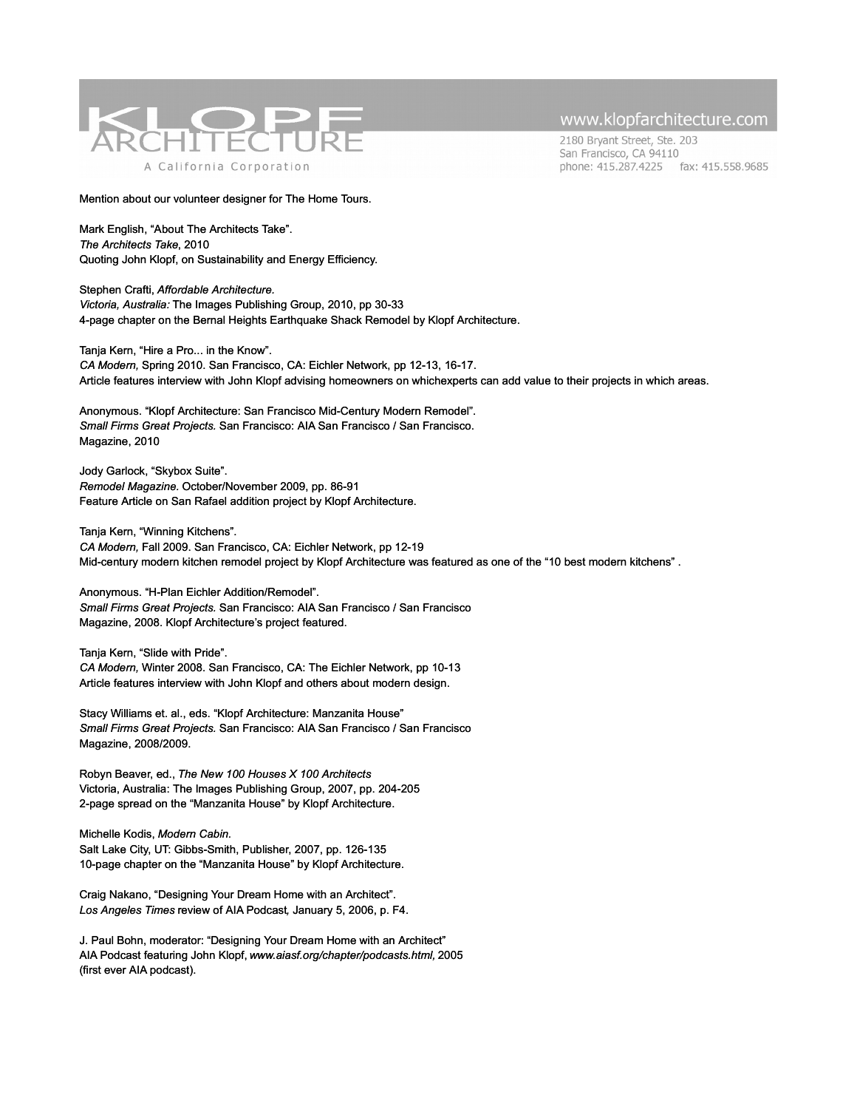

2180 Bryant Street, Ste. 203 San Francisco, CA 94110 phone: 415.287.4225 fax: 415.558.9685

Mention about our volunteer designer for The Home Tours.

Mark English, "About The Architects Take". *The Architects Take*, 2010 Quoting John Klopf, on Sustainability and Energy Efficiency.

Stephen Crafti, *Affordable Architecture. Victoria, Australia:* The Images Publishing Group, 2010, pp 30-33 4-page chapter on the Bernal Heights Earthquake Shack Remodel by Klopf Architecture.

Tanja Kern, "Hire a Pro... in the Know". *CA Modern,* Spring 2010. San Francisco, CA: Eichler Network, pp 12-13, 16-17. Article features interview with John Klopf advising homeowners on whichexperts can add value to their projects in which areas.

Anonymous. "Klopf Architecture: San Francisco Mid-Century Modern Remodel". *Small Firms Great Projects.* San Francisco: AIA San Francisco / San Francisco. Magazine, 2010

Jody Garlock, "Skybox Suite". *Remodel Magazine.* October/November 2009, pp. 86-91 Feature Article on San Rafael addition project by Klopf Architecture.

Tanja Kern, "Winning Kitchens". *CA Modern,* Fall 2009. San Francisco, CA: Eichler Network, pp 12-19 Mid-century modern kitchen remodel project by Klopf Architecture was featured as one of the "10 best modern kitchens" .

Anonymous. "H-Plan Eichler Addition/Remodel". *Small Firms Great Projects.* San Francisco: AIA San Francisco / San Francisco Magazine, 2008. Klopf Architecture's project featured.

Tanja Kern, "Slide with Pride".

*CA Modern,* Winter 2008. San Francisco, CA: The Eichler Network, pp 10-13 Article features interview with John Klopf and others about modern design.

Stacy Williams et. al., eds. "Klopf Architecture: Manzanita House" *Small Firms Great Projects.* San Francisco: AIA San Francisco / San Francisco Magazine, 2008/2009.

Robyn Beaver, ed., *The New 100 Houses X 100 Architects* Victoria, Australia: The Images Publishing Group, 2007, pp. 204-205 2-page spread on the "Manzanita House" by Klopf Architecture.

Michelle Kodis, *Modern Cabin.* Salt Lake City, UT: Gibbs-Smith, Publisher, 2007, pp. 126-135 10-page chapter on the "Manzanita House" by Klopf Architecture.

Craig Nakano, "Designing Your Dream Home with an Architect". *Los Angeles Times* review of AIA Podcast*,* January 5, 2006, p. F4.

J. Paul Bohn, moderator: "Designing Your Dream Home with an Architect" AIA Podcast featuring John Klopf, *www.aiasf.org/chapter/podcasts.html,* 2005 (first ever AIA podcast).